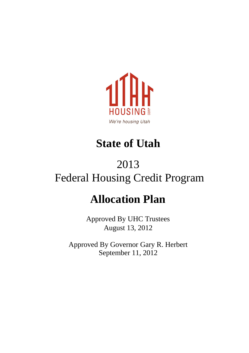

### **State of Utah**

### 2013 Federal Housing Credit Program

### **Allocation Plan**

Approved By UHC Trustees August 13, 2012

Approved By Governor Gary R. Herbert September 11, 2012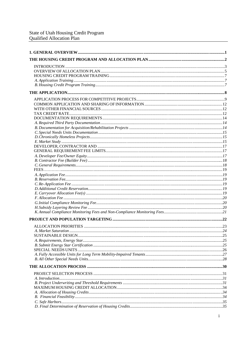| SUSTAINABLE DESIGN |  |
|--------------------|--|
|                    |  |
|                    |  |
|                    |  |
|                    |  |
|                    |  |
|                    |  |
|                    |  |
|                    |  |
|                    |  |
|                    |  |
|                    |  |
|                    |  |
|                    |  |
|                    |  |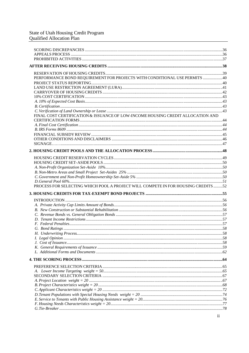| PERFORMANCE BOND REQUIREMENT FOR PROJECTS WITH CONDITIONAL USE PERMITS  40        |  |
|-----------------------------------------------------------------------------------|--|
|                                                                                   |  |
|                                                                                   |  |
|                                                                                   |  |
|                                                                                   |  |
|                                                                                   |  |
|                                                                                   |  |
|                                                                                   |  |
| FINAL COST CERTIFICATION & ISSUANCE OF LOW-INCOME HOUSING CREDIT ALLOCATION AND   |  |
|                                                                                   |  |
|                                                                                   |  |
|                                                                                   |  |
|                                                                                   |  |
|                                                                                   |  |
|                                                                                   |  |
|                                                                                   |  |
|                                                                                   |  |
|                                                                                   |  |
|                                                                                   |  |
|                                                                                   |  |
|                                                                                   |  |
| PROCESS FOR SELECTING WHICH POOL A PROJECT WILL COMPETE IN FOR HOUSING CREDITS 52 |  |
|                                                                                   |  |
|                                                                                   |  |
|                                                                                   |  |
|                                                                                   |  |
|                                                                                   |  |
|                                                                                   |  |
|                                                                                   |  |
|                                                                                   |  |
| 58<br>H. Underwriting Process                                                     |  |
|                                                                                   |  |
|                                                                                   |  |
|                                                                                   |  |
|                                                                                   |  |
|                                                                                   |  |
|                                                                                   |  |
|                                                                                   |  |
|                                                                                   |  |
|                                                                                   |  |
|                                                                                   |  |
|                                                                                   |  |
|                                                                                   |  |
|                                                                                   |  |
|                                                                                   |  |
|                                                                                   |  |
|                                                                                   |  |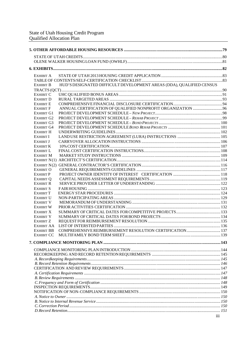| EXHIBIT A                              |                                                                      |  |
|----------------------------------------|----------------------------------------------------------------------|--|
|                                        |                                                                      |  |
| EXHIBIT B                              | HUD'S DESIGNATED DIFFICULT DEVELOPMENT AREAS (DDA), QUALIFIED CENSUS |  |
|                                        |                                                                      |  |
| <b>EXHIBIT C</b>                       |                                                                      |  |
| <b>EXHIBIT D</b>                       |                                                                      |  |
| <b>EXHIBIT E</b>                       |                                                                      |  |
| <b>EXHIBIT F</b>                       |                                                                      |  |
| EXHIBIT G1                             |                                                                      |  |
| <b>EXHIBIT G2</b><br><b>EXHIBIT G3</b> |                                                                      |  |
| <b>EXHIBIT G4</b>                      |                                                                      |  |
| <b>EXHIBIT H</b>                       |                                                                      |  |
| <b>EXHIBIT I</b>                       |                                                                      |  |
| <b>EXHIBIT J</b>                       |                                                                      |  |
| <b>EXHIBIT K</b>                       |                                                                      |  |
| <b>EXHIBIT L</b>                       |                                                                      |  |
| <b>EXHIBIT M</b>                       |                                                                      |  |
|                                        |                                                                      |  |
|                                        |                                                                      |  |
| <b>EXHIBIT O</b>                       |                                                                      |  |
| <b>EXHIBIT P</b>                       |                                                                      |  |
| <b>EXHIBIT O</b><br><b>EXHIBIT R</b>   |                                                                      |  |
| <b>EXHIBIT S</b>                       |                                                                      |  |
| <b>EXHIBIT T</b>                       |                                                                      |  |
| <b>EXHIBIT U</b>                       |                                                                      |  |
| <b>EXHIBIT V</b>                       |                                                                      |  |
| <b>EXHIBIT W</b>                       |                                                                      |  |
| EXHIBIT X                              |                                                                      |  |
| <b>EXHIBIT Y</b>                       |                                                                      |  |
| <b>EXHIBIT Z</b>                       |                                                                      |  |
| <b>EXHIBIT AA</b>                      |                                                                      |  |
| <b>EXHIBIT BB</b>                      | COMPREHENSIVE REIMBURSEMENT RESOLUTION CERTIFICATION  137            |  |
| <b>EXHIBIT CC</b>                      |                                                                      |  |
|                                        |                                                                      |  |
|                                        |                                                                      |  |
|                                        |                                                                      |  |
|                                        |                                                                      |  |
|                                        |                                                                      |  |
|                                        |                                                                      |  |
|                                        |                                                                      |  |
|                                        |                                                                      |  |
|                                        |                                                                      |  |
|                                        |                                                                      |  |
|                                        |                                                                      |  |
|                                        |                                                                      |  |
|                                        |                                                                      |  |
|                                        |                                                                      |  |
|                                        | iii                                                                  |  |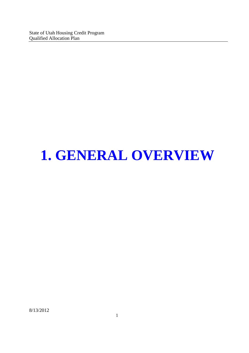## **1. GENERAL OVERVIEW**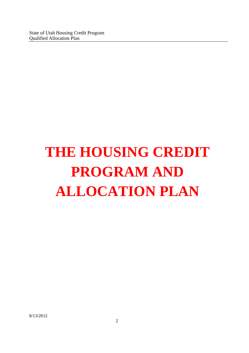# **THE HOUSING CREDIT PROGRAM AND ALLOCATION PLAN**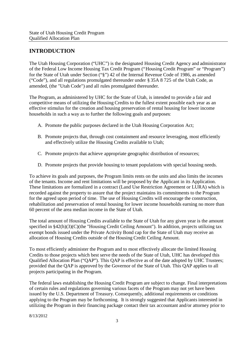#### **INTRODUCTION**

The Utah Housing Corporation ("UHC") is the designated Housing Credit Agency and administrator of the Federal Low Income Housing Tax Credit Program ("Housing Credit Program" or "Program") for the State of Utah under Section ("§") 42 of the Internal Revenue Code of 1986, as amended ("Code"), and all regulations promulgated thereunder under § 35A 8 725 of the Utah Code, as amended, (the "Utah Code") and all rules promulgated thereunder.

The Program, as administered by UHC for the State of Utah, is intended to provide a fair and competitive means of utilizing the Housing Credits to the fullest extent possible each year as an effective stimulus for the creation and housing preservation of rental housing for lower income households in such a way as to further the following goals and purposes:

- A. Promote the public purposes declared in the Utah Housing Corporation Act;
- B. Promote projects that, through cost containment and resource leveraging, most efficiently and effectively utilize the Housing Credits available to Utah;
- C. Promote projects that achieve appropriate geographic distribution of resources;
- D. Promote projects that provide housing to tenant populations with special housing needs.

To achieve its goals and purposes, the Program limits rents on the units and also limits the incomes of the tenants. Income and rent limitations will be proposed by the Applicant in its Application. These limitations are formalized in a contract (Land Use Restriction Agreement or LURA) which is recorded against the property to assure that the project maintains its commitments to the Program for the agreed upon period of time. The use of Housing Credits will encourage the construction, rehabilitation and preservation of rental housing for lower income households earning no more than 60 percent of the area median income in the State of Utah.

The total amount of Housing Credits available to the State of Utah for any given year is the amount specified in §42(h)(3)(C)(the "Housing Credit Ceiling Amount"). In addition, projects utilizing tax exempt bonds issued under the Private Activity Bond cap for the State of Utah may receive an allocation of Housing Credits outside of the Housing Credit Ceiling Amount.

To most efficiently administer the Program and to most effectively allocate the limited Housing Credits to those projects which best serve the needs of the State of Utah, UHC has developed this Qualified Allocation Plan ("QAP"). This QAP is effective as of the date adopted by UHC Trustees; provided that the QAP is approved by the Governor of the State of Utah. This QAP applies to all projects participating in the Program.

The federal laws establishing the Housing Credit Program are subject to change. Final interpretations of certain rules and regulations governing various facets of the Program may not yet have been issued by the U.S. Department of Treasury. Consequently, additional requirements or conditions applying to the Program may be forthcoming. It is strongly suggested that Applicants interested in utilizing the Program in their financing package contact their tax accountant and/or attorney prior to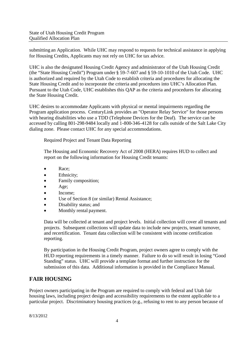submitting an Application. While UHC may respond to requests for technical assistance in applying for Housing Credits, Applicants may not rely on UHC for tax advice.

UHC is also the designated Housing Credit Agency and administrator of the Utah Housing Credit (the "State Housing Credit") Program under § 59-7-607 and § 59-10-1010 of the Utah Code. UHC is authorized and required by the Utah Code to establish criteria and procedures for allocating the State Housing Credit and to incorporate the criteria and procedures into UHC's Allocation Plan. Pursuant to the Utah Code, UHC establishes this QAP as the criteria and procedures for allocating the State Housing Credit.

UHC desires to accommodate Applicants with physical or mental impairments regarding the Program application process. CenturyLink provides an "Operator Relay Service" for those persons with hearing disabilities who use a TDD (Telephone Devices for the Deaf). The service can be accessed by calling 801-298-9484 locally and 1-800-346-4128 for calls outside of the Salt Lake City dialing zone. Please contact UHC for any special accommodations.

Required Project and Tenant Data Reporting

The Housing and Economic Recovery Act of 2008 (HERA) requires HUD to collect and report on the following information for Housing Credit tenants:

- Race:
- Ethnicity;
- Family composition;
- Age;
- Income;
- Use of Section 8 (or similar) Rental Assistance;
- Disability status; and
- Monthly rental payment.

Data will be collected at tenant and project levels. Initial collection will cover all tenants and projects. Subsequent collections will update data to include new projects, tenant turnover, and recertification. Tenant data collection will be consistent with income certification reporting.

By participation in the Housing Credit Program, project owners agree to comply with the HUD reporting requirements in a timely manner. Failure to do so will result in losing "Good Standing" status. UHC will provide a template format and further instruction for the submission of this data. Additional information is provided in the Compliance Manual.

#### **FAIR HOUSING**

Project owners participating in the Program are required to comply with federal and Utah fair housing laws, including project design and accessibility requirements to the extent applicable to a particular project. Discriminatory housing practices (e.g., refusing to rent to any person because of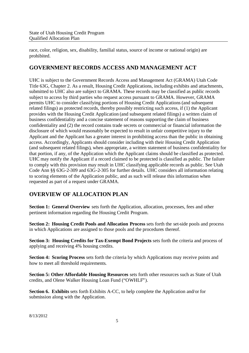race, color, religion, sex, disability, familial status, source of income or national origin) are prohibited.

#### **GOVERNMENT RECORDS ACCESS AND MANAGEMENT ACT**

UHC is subject to the Government Records Access and Management Act (GRAMA) Utah Code Title 63G, Chapter 2. As a result, Housing Credit Applications, including exhibits and attachments, submitted to UHC also are subject to GRAMA. These records may be classified as public records subject to access by third parties who request access pursuant to GRAMA. However, GRAMA permits UHC to consider classifying portions of Housing Credit Applications (and subsequent related filings) as protected records, thereby possibly restricting such access, if (1) the Applicant provides with the Housing Credit Application (and subsequent related filings) a written claim of business confidentiality and a concise statement of reasons supporting the claim of business confidentiality and (2) the record contains trade secrets or commercial or financial information the disclosure of which would reasonably be expected to result in unfair competitive injury to the Applicant and the Applicant has a greater interest in prohibiting access than the public in obtaining access. Accordingly, Applicants should consider including with their Housing Credit Application (and subsequent related filings), when appropriate, a written statement of business confidentiality for that portion, if any, of the Application which the Applicant claims should be classified as protected. UHC may notify the Applicant if a record claimed to be protected is classified as public. The failure to comply with this provision may result in UHC classifying applicable records as public. See Utah Code Ann §§ 63G-2-309 and 63G-2-305 for further details. UHC considers all information relating to scoring elements of the Application public, and as such will release this information when requested as part of a request under GRAMA.

#### **OVERVIEW OF ALLOCATION PLAN**

**Section 1: General Overview** sets forth the Application, allocation, processes, fees and other pertinent information regarding the Housing Credit Program.

**Section 2: Housing Credit Pools and Allocation Process** sets forth the set-side pools and process in which Applications are assigned to those pools and the procedures thereof.

**Section 3: Housing Credits for Tax-Exempt Bond Projects** sets forth the criteria and process of applying and receiving 4% housing credits.

**Section 4: Scoring Process** sets forth the criteria by which Applications may receive points and how to meet all threshold requirements.

**Section 5: Other Affordable Housing Resources** sets forth other resources such as State of Utah credits, and Olene Walker Housing Loan Fund ("OWHLF").

**Section 6. Exhibits** sets forth Exhibits A-CC, to help complete the Application and/or for submission along with the Application.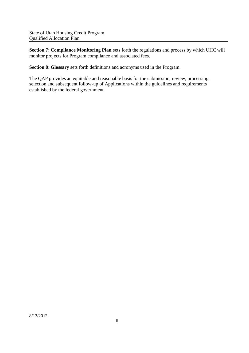**Section 7: Compliance Monitoring Plan** sets forth the regulations and process by which UHC will monitor projects for Program compliance and associated fees.

**Section 8: Glossary** sets forth definitions and acronyms used in the Program.

The QAP provides an equitable and reasonable basis for the submission, review, processing, selection and subsequent follow-up of Applications within the guidelines and requirements established by the federal government.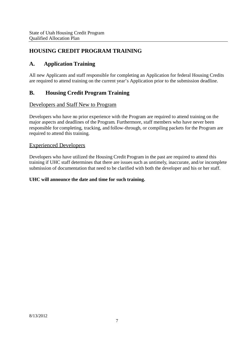#### **HOUSING CREDIT PROGRAM TRAINING**

#### **A. Application Training**

All new Applicants and staff responsible for completing an Application for federal Housing Credits are required to attend training on the current year's Application prior to the submission deadline.

#### **B. Housing Credit Program Training**

#### Developers and Staff New to Program

Developers who have no prior experience with the Program are required to attend training on the major aspects and deadlines of the Program. Furthermore, staff members who have never been responsible for completing, tracking, and follow-through, or compiling packets for the Program are required to attend this training.

#### Experienced Developers

Developers who have utilized the Housing Credit Program in the past are required to attend this training if UHC staff determines that there are issues such as untimely, inaccurate, and/or incomplete submission of documentation that need to be clarified with both the developer and his or her staff.

#### **UHC will announce the date and time for such training.**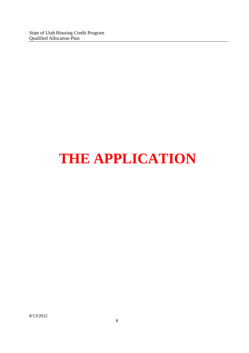State of Utah Housing Credit Program Qualified Allocation Plan

## **THE APPLICATION**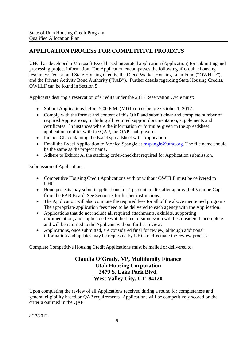#### **APPLICATION PROCESS FOR COMPETITIVE PROJECTS**

UHC has developed a Microsoft Excel based integrated application (Application) for submitting and processing project information. The Application encompasses the following affordable housing resources: Federal and State Housing Credits, the Olene Walker Housing Loan Fund ("OWHLF"), and the Private Activity Bond Authority ("PAB"). Further details regarding State Housing Credits, OWHLF can be found in Section 5.

Applicants desiring a reservation of Credits under the 2013 Reservation Cycle must:

- Submit Applications before 5:00 P.M. (MDT) on or before October 1, 2012.
- Comply with the format and content of this OAP and submit clear and complete number of required Applications, including all required support documentation, supplements and certificates. In instances where the information or formulas given in the spreadsheet application conflict with the QAP, the QAP shall govern.
- Include CD containing the Excel spreadsheet with Application.
- $\bullet$  Email the Excel Application to Monica Spangle at mspangle@uthc.org. The file name should be the same as the project name.
- Adhere to Exhibit A, the stacking order/checklist required for Application submission.

Submission of Applications:

- Competitive Housing Credit Applications with or without OWHLF must be delivered to UHC.
- Bond projects may submit applications for 4 percent credits after approval of Volume Cap from the PAB Board. See Section 3 for further instructions.
- The Application will also compute the required fees for all of the above mentioned programs. The appropriate application fees need to be delivered to each agency with the Application.
- Applications that do not include all required attachments, exhibits, supporting documentation, and applicable fees at the time of submission will be considered incomplete and will be returned to the Applicant without further review.
- Applications, once submitted, are considered final for review, although additional information and updates may be requested by UHC to effectuate the review process.

Complete Competitive Housing Credit Applications must be mailed or delivered to:

#### **Claudia O'Grady, VP, Multifamily Finance Utah Housing Corporation 2479 S. Lake Park Blvd. West Valley City, UT 84120**

Upon completing the review of all Applications received during a round for completeness and general eligibility based on QAP requirements, Applications will be competitively scored on the criteria outlined in the QAP.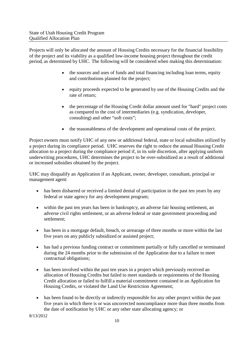Projects will only be allocated the amount of Housing Credits necessary for the financial feasibility of the project and its viability as a qualified low-income housing project throughout the credit period, as determined by UHC. The following will be considered when making this determination:

- the sources and uses of funds and total financing including loan terms, equity and contributions planned for the project;
- equity proceeds expected to be generated by use of the Housing Credits and the rate of return;
- the percentage of the Housing Credit dollar amount used for "hard" project costs as compared to the cost of intermediaries (e.g. syndication, developer, consulting) and other "soft costs";
- the reasonableness of the development and operational costs of the project.

Project owners must notify UHC of any new or additional federal, state or local subsidies utilized by a project during its compliance period. UHC reserves the right to reduce the annual Housing Credit allocation to a project during the compliance period if, in its sole discretion, after applying uniform underwriting procedures, UHC determines the project to be over-subsidized as a result of additional or increased subsidies obtained by the project.

UHC may disqualify an Application if an Applicant, owner, developer, consultant, principal or management agent:

- has been disbarred or received a limited denial of participation in the past ten years by any federal or state agency for any development program;
- within the past ten years has been in bankruptcy, an adverse fair housing settlement, an adverse civil rights settlement, or an adverse federal or state government proceeding and settlement;
- has been in a mortgage default, breach, or arrearage of three months or more within the last five years on any publicly subsidized or assisted project;
- has had a previous funding contract or commitment partially or fully cancelled or terminated during the 24 months prior to the submission of the Application due to a failure to meet contractual obligations;
- has been involved within the past ten years in a project which previously received an allocation of Housing Credits but failed to meet standards or requirements of the Housing Credit allocation or failed to fulfill a material commitment contained in an Application for Housing Credits, or violated the Land Use Restriction Agreement;
- has been found to be directly or indirectly responsible for any other project within the past five years in which there is or was uncorrected noncompliance more than three months from the date of notification by UHC or any other state allocating agency; or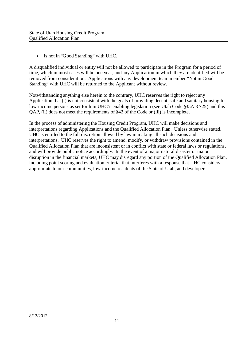• is not in "Good Standing" with UHC.

A disqualified individual or entity will not be allowed to participate in the Program for a period of time, which in most cases will be one year, and any Application in which they are identified will be removed from consideration. Applications with any development team member "Not in Good Standing" with UHC will be returned to the Applicant without review.

Notwithstanding anything else herein to the contrary, UHC reserves the right to reject any Application that (i) is not consistent with the goals of providing decent, safe and sanitary housing for low-income persons as set forth in UHC's enabling legislation (see Utah Code §35A 8 725) and this QAP, (ii) does not meet the requirements of §42 of the Code or (iii) is incomplete.

In the process of administering the Housing Credit Program, UHC will make decisions and interpretations regarding Applications and the Qualified Allocation Plan. Unless otherwise stated, UHC is entitled to the full discretion allowed by law in making all such decisions and interpretations. UHC reserves the right to amend, modify, or withdraw provisions contained in the Qualified Allocation Plan that are inconsistent or in conflict with state or federal laws or regulations, and will provide public notice accordingly. In the event of a major natural disaster or major disruption in the financial markets, UHC may disregard any portion of the Qualified Allocation Plan, including point scoring and evaluation criteria, that interferes with a response that UHC considers appropriate to our communities, low-income residents of the State of Utah, and developers.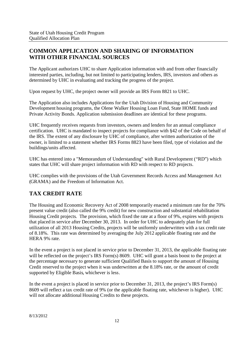#### **COMMON APPLICATION AND SHARING OF INFORMATION WITH OTHER FINANCIAL SOURCES**

The Applicant authorizes UHC to share Application information with and from other financially interested parties, including, but not limited to participating lenders, IRS, investors and others as determined by UHC in evaluating and tracking the progress of the project.

Upon request by UHC, the project owner will provide an IRS Form 8821 to UHC.

The Application also includes Applications for the Utah Division of Housing and Community Development housing programs, the Olene Walker Housing Loan Fund, State HOME funds and Private Activity Bonds. Application submission deadlines are identical for these programs.

UHC frequently receives requests from investors, owners and lenders for an annual compliance certification. UHC is mandated to inspect projects for compliance with §42 of the Code on behalf of the IRS. The extent of any disclosure by UHC of compliance, after written authorization of the owner, is limited to a statement whether IRS Forms 8823 have been filed, type of violation and the buildings/units affected.

UHC has entered into a "Memorandum of Understanding" with Rural Development ("RD") which states that UHC will share project information with RD with respect to RD projects.

UHC complies with the provisions of the Utah Government Records Access and Management Act (GRAMA) and the Freedom of Information Act.

#### **TAX CREDIT RATE**

The Housing and Economic Recovery Act of 2008 temporarily enacted a minimum rate for the 70% present value credit (also called the 9% credit) for new construction and substantial rehabilitation Housing Credit projects. The provision, which fixed the rate at a floor of 9%, expires with projects that placed in service after December 30, 2013. In order for UHC to adequately plan for full utilization of all 2013 Housing Credits, projects will be uniformly underwritten with a tax credit rate of 8.18%. This rate was determined by averaging the July 2012 applicable floating rate and the HERA 9% rate.

In the event a project is not placed in service prior to December 31, 2013, the applicable floating rate will be reflected on the project's IRS Form(s) 8609. UHC will grant a basis boost to the project at the percentage necessary to generate sufficient Qualified Basis to support the amount of Housing Credit reserved to the project when it was underwritten at the 8.18% rate, or the amount of credit supported by Eligible Basis, whichever is less.

In the event a project is placed in service prior to December 31, 2013, the project's IRS Form(s) 8609 will reflect a tax credit rate of 9% (or the applicable floating rate, whichever is higher). UHC will not allocate additional Housing Credits to these projects.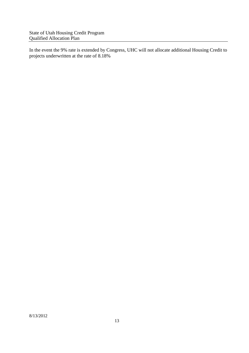State of Utah Housing Credit Program Qualified Allocation Plan

In the event the 9% rate is extended by Congress, UHC will not allocate additional Housing Credit to projects underwritten at the rate of 8.18%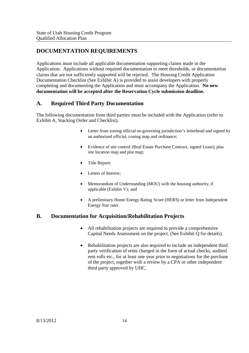#### **DOCUMENTATION REQUIREMENTS**

Applications must include all applicable documentation supporting claims made in the Application. Applications without required documentation to meet thresholds, or documentation claims that are not sufficiently supported will be rejected. The Housing Credit Application Documentation Checklist (See Exhibit A) is provided to assist developers with properly completing and documenting the Application and must accompany the Application. **No new documentation will be accepted after the Reservation Cycle submission deadline.**

#### **A. Required Third Party Documentation**

The following documentation from third parties must be included with the Application (refer to Exhibit A, Stacking Order and Checklist).

- Letter from zoning official on governing jurisdiction's letterhead and signed by an authorized official, zoning map and ordinance;
- Evidence of site control (Real Estate Purchase Contract, signed Lease), plus site location map and plat map;
- Title Report;
- Letters of Interest;
- Memorandum of Understanding (MOU) with the housing authority, if applicable (Exhibit V); and
- A preliminary Home Energy Rating Score (HERS) or letter from Independent Energy Star rater.

#### **B. Documentation for Acquisition/Rehabilitation Projects**

- All rehabilitation projects are required to provide a comprehensive Capital Needs Assessment on the project. (See Exhibit Q for details).
- Rehabilitation projects are also required to include an independent third party verification of rents charged in the form of actual checks, audited rent rolls etc., for at least one year prior to negotiations for the purchase of the project, together with a review by a CPA or other independent third party approved by UHC.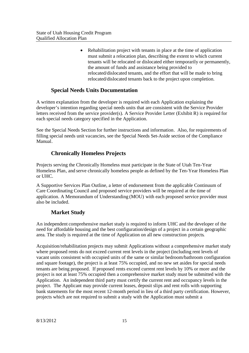• Rehabilitation project with tenants in place at the time of application must submit a relocation plan, describing the extent to which current tenants will be relocated or dislocated either temporarily or permanently, the amount of funds and assistance being provided to relocated/dislocated tenants, and the effort that will be made to bring relocated/dislocated tenants back to the project upon completion.

#### **Special Needs Units Documentation**

A written explanation from the developer is required with each Application explaining the developer's intention regarding special needs units that are consistent with the Service Provider letters received from the service provider(s). A Service Provider Letter (Exhibit R) is required for each special needs category specified in the Application.

See the Special Needs Section for further instructions and information. Also, for requirements of filling special needs unit vacancies, see the Special Needs Set-Aside section of the Compliance Manual.

#### **Chronically Homeless Projects**

Projects serving the Chronically Homeless must participate in the State of Utah Ten-Year Homeless Plan, and serve chronically homeless people as defined by the Ten-Year Homeless Plan or UHC.

A Supportive Services Plan Outline, a letter of endorsement from the applicable Continuum of Care Coordinating Council and proposed service providers will be required at the time of application. A Memorandum of Understanding (MOU) with each proposed service provider must also be included.

#### **Market Study**

An independent comprehensive market study is required to inform UHC and the developer of the need for affordable housing and the best configuration/design of a project in a certain geographic area. The study is required at the time of Application on all new construction projects.

Acquisition/rehabilitation projects may submit Applications without a comprehensive market study where proposed rents do not exceed current rent levels in the project (including rent levels of vacant units consistent with occupied units of the same or similar bedroom/bathroom configuration and square footage), the project is at least 75% occupied, and no new set asides for special needs tenants are being proposed. If proposed rents exceed current rent levels by 10% or more and the project is not at least 75% occupied then a comprehensive market study must be submitted with the Application. An independent third party must certify the current rent and occupancy levels in the project. The Applicant may provide current leases, deposit slips and rent rolls with supporting bank statements for the most recent 12-month period in lieu of a third party certification. However, projects which are not required to submit a study with the Application must submit a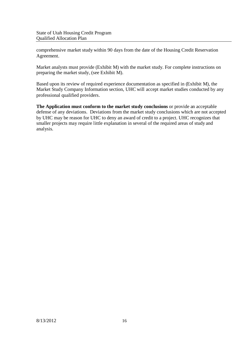comprehensive market study within 90 days from the date of the Housing Credit Reservation Agreement.

Market analysts must provide (Exhibit M) with the market study. For complete instructions on preparing the market study, (see Exhibit M).

Based upon its review of required experience documentation as specified in (Exhibit M), the Market Study Company Information section, UHC will accept market studies conducted by any professional qualified providers.

**The Application must conform to the market study conclusions** or provide an acceptable defense of any deviations. Deviations from the market study conclusions which are not accepted by UHC may be reason for UHC to deny an award of credit to a project. UHC recognizes that smaller projects may require little explanation in several of the required areas of study and analysis.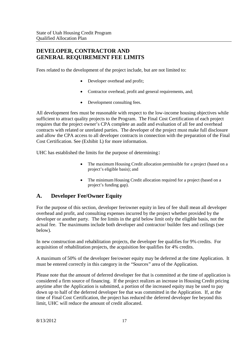#### **DEVELOPER, CONTRACTOR AND GENERAL REQUIREMENT FEE LIMITS**

Fees related to the development of the project include, but are not limited to:

- Developer overhead and profit;
- Contractor overhead, profit and general requirements, and;
- Development consulting fees.

All development fees must be reasonable with respect to the low-income housing objectives while sufficient to attract quality projects to the Program. The Final Cost Certification of each project requires that the project owner's CPA complete an audit and evaluation of all fee and overhead contracts with related or unrelated parties. The developer of the project must make full disclosure and allow the CPA access to all developer contracts in connection with the preparation of the Final Cost Certification. See (Exhibit L) for more information.

UHC has established the limits for the purpose of determining:

- The maximum Housing Credit allocation permissible for a project (based on a project's eligible basis); and
- The minimum Housing Credit allocation required for a project (based on a project's funding gap).

#### **A. Developer Fee/Owner Equity**

For the purpose of this section, developer fee/owner equity in lieu of fee shall mean all developer overhead and profit, and consulting expenses incurred by the project whether provided by the developer or another party. The fee limits in the grid below limit only the eligible basis, not the actual fee. The maximums include both developer and contractor/ builder fees and ceilings (see below).

In new construction and rehabilitation projects, the developer fee qualifies for 9% credits. For acquisition of rehabilitation projects, the acquisition fee qualifies for 4% credits.

A maximum of 50% of the developer fee/owner equity may be deferred at the time Application. It must be entered correctly in this category in the "Sources" area of the Application.

Please note that the amount of deferred developer fee that is committed at the time of application is considered a firm source of financing. If the project realizes an increase in Housing Credit pricing anytime after the Application is submitted, a portion of the increased equity may be used to pay down up to half of the deferred developer fee that was committed in the Application. If, at the time of Final Cost Certification, the project has reduced the deferred developer fee beyond this limit, UHC will reduce the amount of credit allocated.

8/13/2012 17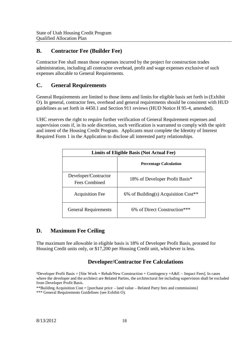#### **B. Contractor Fee (Builder Fee)**

Contractor Fee shall mean those expenses incurred by the project for construction trades administration, including all contractor overhead, profit and wage expenses exclusive of such expenses allocable to General Requirements.

#### **C. General Requirements**

General Requirements are limited to those items and limits for eligible basis set forth in (Exhibit O). In general, contractor fees, overhead and general requirements should be consistent with HUD guidelines as set forth in 4450.1 and Section 911 reviews (HUD Notice H 95-4, amended).

UHC reserves the right to require further verification of General Requirement expenses and supervision costs if, in its sole discretion, such verification is warranted to comply with the spirit and intent of the Housing Credit Program. Applicants must complete the Identity of Interest Required Form 1 in the Application to disclose all interested party relationships.

| <b>Limits of Eligible Basis (Not Actual Fee)</b> |                                                  |  |
|--------------------------------------------------|--------------------------------------------------|--|
|                                                  | <b>Percentage Calculation</b>                    |  |
| Developer/Contractor<br>Fees Combined            | 18% of Developer Profit Basis*                   |  |
| <b>Acquisition Fee</b>                           | 6% of Building(s) Acquisition Cost <sup>**</sup> |  |
| <b>General Requirements</b>                      | 6\% of Direct Construction***                    |  |

#### **D. Maximum Fee Ceiling**

The maximum fee allowable in eligible basis is 18% of Developer Profit Basis, prorated for Housing Credit units only, or \$17,200 per Housing Credit unit, whichever is less.

#### **Developer/Contractor Fee Calculations**

\*Developer Profit Basis = [Site Work + Rehab/New Construction + Contingency +A&E – Impact Fees]. In cases where the developer and the architect are Related Parties, the architectural fee including supervision shall be excluded from Developer Profit Basis.

\*\*Building Acquisition Cost = [purchase price – land value – Related Party fees and commissions]

\*\*\* General Requirements Guidelines (see Exhibit O).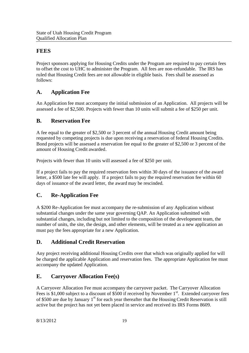#### **FEES**

Project sponsors applying for Housing Credits under the Program are required to pay certain fees to offset the cost to UHC to administer the Program. All fees are non-refundable. The IRS has ruled that Housing Credit fees are not allowable in eligible basis. Fees shall be assessed as follows:

#### **A. Application Fee**

An Application fee must accompany the initial submission of an Application. All projects will be assessed a fee of \$2,500. Projects with fewer than 10 units will submit a fee of \$250 per unit.

#### **B. Reservation Fee**

A fee equal to the greater of \$2,500 or 3 percent of the annual Housing Credit amount being requested by competing projects is due upon receiving a reservation of federal Housing Credits. Bond projects will be assessed a reservation fee equal to the greater of \$2,500 or 3 percent of the amount of Housing Credit awarded.

Projects with fewer than 10 units will assessed a fee of \$250 per unit.

If a project fails to pay the required reservation fees within 30 days of the issuance of the award letter, a \$500 late fee will apply. If a project fails to pay the required reservation fee within 60 days of issuance of the award letter, the award may be rescinded.

#### **C. Re-Application Fee**

A \$200 Re-Application fee must accompany the re-submission of any Application without substantial changes under the same year governing QAP. An Application submitted with substantial changes, including but not limited to the composition of the development team, the number of units, the site, the design, and other elements, will be treated as a new application an must pay the fees appropriate for a new Application.

#### **D. Additional Credit Reservation**

Any project receiving additional Housing Credits over that which was originally applied for will be charged the applicable Application and reservation fees. The appropriate Application fee must accompany the updated Application.

#### **E. Carryover Allocation Fee(s)**

A Carryover Allocation Fee must accompany the carryover packet. The Carryover Allocation Fees is \$1,000 subject to a discount of \$500 if received by November 1<sup>st</sup>. Extended carryover fees of \$500 are due by January 1<sup>st</sup> for each year thereafter that the Housing Credit Reservation is still active but the project has not yet been placed in service and received its IRS Forms 8609.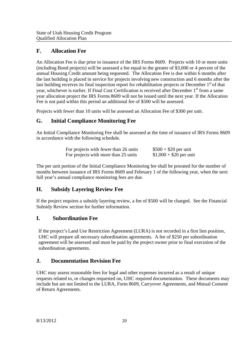#### **F. Allocation Fee**

An Allocation Fee is due prior to issuance of the IRS Forms 8609. Projects with 10 or more units (including Bond projects) will be assessed a fee equal to the greater of \$3,000 or 4 percent of the annual Housing Credit amount being requested. The Allocation Fee is due within 6 months after the last building is placed in service for projects involving new construction and 6 months after the last building receives its final inspection report for rehabilitation projects or December 1<sup>st</sup> of that year, whichever is earlier. If Final Cost Certification is received after December 1<sup>st</sup> from a same year allocation project the IRS Forms 8609 will not be issued until the next year. If the Allocation Fee is not paid within this period an additional fee of \$500 will be assessed.

Projects with fewer than 10 units will be assessed an Allocation Fee of \$300 per unit.

#### **G. Initial Compliance Monitoring Fee**

An Initial Compliance Monitoring Fee shall be assessed at the time of issuance of IRS Forms 8609 in accordance with the following schedule.

| For projects with fewer than 26 units | $$500 + $20$ per unit   |
|---------------------------------------|-------------------------|
| For projects with more than 25 units  | $$1,000 + $20$ per unit |

The per unit portion of the Initial Compliance Monitoring fee shall be prorated for the number of months between issuance of IRS Forms 8609 and February 1 of the following year, when the next full year's annual compliance monitoring fees are due.

#### **H. Subsidy Layering Review Fee**

If the project requires a subsidy layering review, a fee of \$500 will be charged. See the Financial Subsidy Review section for further information.

#### **I. Subordination Fee**

If the project's Land Use Restriction Agreement (LURA) is not recorded in a first lien position, UHC will prepare all necessary subordination agreements. A fee of \$250 per subordination agreement will be assessed and must be paid by the project owner prior to final execution of the subordination agreements.

#### **J. Documentation Revision Fee**

UHC may assess reasonable fees for legal and other expenses incurred as a result of unique requests related to, or changes requested on, UHC required documentation. These documents may include but are not limited to the LURA, Form 8609, Carryover Agreements, and Mutual Consent of Return Agreements.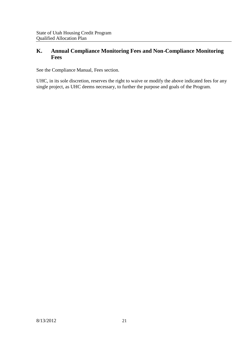#### **K. Annual Compliance Monitoring Fees and Non-Compliance Monitoring Fees**

See the Compliance Manual, Fees section.

UHC, in its sole discretion, reserves the right to waive or modify the above indicated fees for any single project, as UHC deems necessary, to further the purpose and goals of the Program.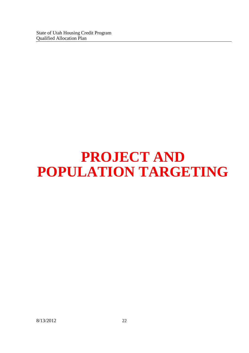## **PROJECT AND POPULATION TARGETING**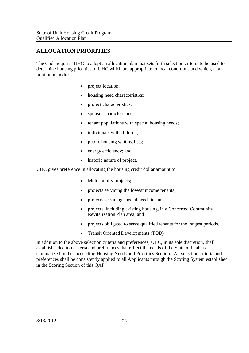#### **ALLOCATION PRIORITIES**

The Code requires UHC to adopt an allocation plan that sets forth selection criteria to be used to determine housing priorities of UHC which are appropriate to local conditions and which, at a minimum, address:

- project location;
- housing need characteristics;
- project characteristics:
- sponsor characteristics;
- tenant populations with special housing needs;
- individuals with children;
- public housing waiting lists;
- energy efficiency; and
- historic nature of project.

UHC gives preference in allocating the housing credit dollar amount to:

- Multi-family projects;
- projects servicing the lowest income tenants;
- projects servicing special needs tenants
- projects, including existing housing, in a Concerted Community Revitalization Plan area; and
- projects obligated to serve qualified tenants for the longest periods.
- Transit Oriented Developments (TOD)

In addition to the above selection criteria and preferences, UHC, in its sole discretion, shall establish selection criteria and preferences that reflect the needs of the State of Utah as summarized in the succeeding Housing Needs and Priorities Section. All selection criteria and preferences shall be consistently applied to all Applicants through the Scoring System established in the Scoring Section of this QAP.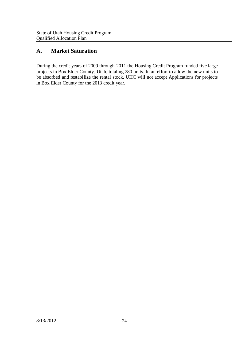#### **A. Market Saturation**

During the credit years of 2009 through 2011 the Housing Credit Program funded five large projects in Box Elder County, Utah, totaling 280 units. In an effort to allow the new units to be absorbed and restabilize the rental stock, UHC will not accept Applications for projects in Box Elder County for the 2013 credit year.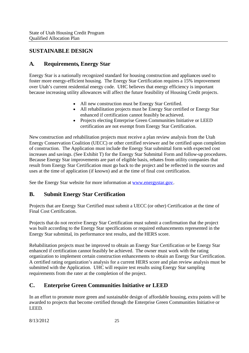#### **SUSTAINABLE DESIGN**

#### **A. Requirements, Energy Star**

Energy Star is a nationally recognized standard for housing construction and appliances used to foster more energy-efficient housing. The Energy Star Certification requires a 15% improvement over Utah's current residential energy code. UHC believes that energy efficiency is important because increasing utility allowances will affect the future feasibility of Housing Credit projects.

- All new construction must be Energy Star Certified.
- All rehabilitation projects must be Energy Star certified or Energy Star enhanced if certification cannot feasibly be achieved.
- Projects electing Enterprise Green Communities Initiative or LEED certification are not exempt from Energy Star Certification.

New construction and rehabilitation projects must receive a plan review analysis from the Utah Energy Conservation Coalition (UECC) or other certified reviewer and be certified upon completion of construction. The Application must include the Energy Star submittal form with expected cost increases and savings. (See Exhibit T) for the Energy Star Submittal Form and follow-up procedures. Because Energy Star improvements are part of eligible basis, rebates from utility companies that result from Energy Star Certification must go back to the project and be reflected in the sources and uses at the time of application (if known) and at the time of final cost certification.

See the Energy Star website for more information at www.energystar.gov.

#### **B. Submit Energy Star Certification**

Projects that are Energy Star Certified must submit a UECC (or other) Certification at the time of Final Cost Certification.

Projects that do not receive Energy Star Certification must submit a confirmation that the project was built according to the Energy Star specifications or required enhancements represented in the Energy Star submittal, its performance test results, and the HERS score.

Rehabilitation projects must be improved to obtain an Energy Star Certification or be Energy Star enhanced if certification cannot feasibly be achieved. The owner must work with the rating organization to implement certain construction enhancements to obtain an Energy Star Certification. A certified rating organization's analysis for a current HERS score and plan review analysis must be submitted with the Application. UHC will require test results using Energy Star sampling requirements from the rater at the completion of the project.

#### **C. Enterprise Green Communities Initiative or LEED**

In an effort to promote more green and sustainable design of affordable housing, extra points will be awarded to projects that become certified through the Enterprise Green Communities Initiative or LEED.

8/13/2012 25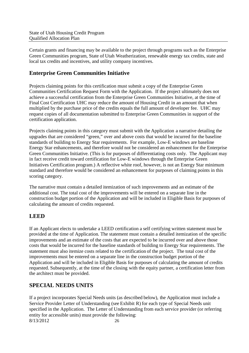Certain grants and financing may be available to the project through programs such as the Enterprise Green Communities program, State of Utah Weatherization, renewable energy tax credits, state and local tax credits and incentives, and utility company incentives.

#### **Enterprise Green Communities Initiative**

Projects claiming points for this certification must submit a copy of the Enterprise Green Communities Certification Request Form with the Application. If the project ultimately does not achieve a successful certification from the Enterprise Green Communities Initiative, at the time of Final Cost Certification UHC may reduce the amount of Housing Credit in an amount that when multiplied by the purchase price of the credits equals the full amount of developer fee. UHC may request copies of all documentation submitted to Enterprise Green Communities in support of the certification application.

Projects claiming points in this category must submit with the Application a narrative detailing the upgrades that are considered "green," over and above costs that would be incurred for the baseline standards of building to Energy Star requirements. For example, Low-E windows are baseline Energy Star enhancements, and therefore would not be considered an enhancement for the Enterprise Green Communities Initiative. (This is for purposes of differentiating costs only. The Applicant may in fact receive credit toward certification for Low-E windows through the Enterprise Green Initiatives Certification program.) A reflective white roof, however, is not an Energy Star minimum standard and therefore would be considered an enhancement for purposes of claiming points in this scoring category.

The narrative must contain a detailed itemization of such improvements and an estimate of the additional cost. The total cost of the improvements will be entered on a separate line in the construction budget portion of the Application and will be included in Eligible Basis for purposes of calculating the amount of credits requested.

#### **LEED**

If an Applicant elects to undertake a LEED certification a self certifying written statement must be provided at the time of Application. The statement must contain a detailed itemization of the specific improvements and an estimate of the costs that are expected to be incurred over and above those costs that would be incurred for the baseline standards of building to Energy Star requirements. The statement must also itemize costs related to the certification of the project. The total cost of the improvements must be entered on a separate line in the construction budget portion of the Application and will be included in Eligible Basis for purposes of calculating the amount of credits requested. Subsequently, at the time of the closing with the equity partner, a certification letter from the architect must be provided.

#### **SPECIAL NEEDS UNITS**

8/13/2012 26 If a project incorporates Special Needs units (as described below), the Application must include a Service Provider Letter of Understanding (see Exhibit R) for each type of Special Needs unit specified in the Application. The Letter of Understanding from each service provider (or referring entity for accessible units) must provide the following: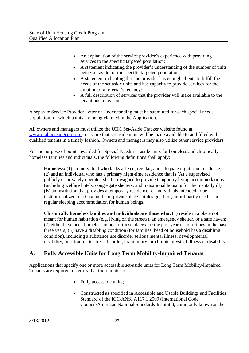- An explanation of the service provider's experience with providing services to the specific targeted population;
- A statement indicating the provider's understanding of the number of units being set aside for the specific targeted population;
- A statement indicating that the provider has enough clients to fulfill the needs of the set aside units and has capacity to provide services for the duration of a referral's tenancy;
- A full description of services that the provider will make available to the tenant post move-in.

A separate Service Provider Letter of Understanding must be submitted for each special needs population for which points are being claimed in the Application.

All owners and managers must utilize the UHC Set-Aside Tracker website found at www.utahhousingcorp.org, to assure that set-aside units will be made available to and filled with qualified tenants in a timely fashion. Owners and managers may also utilize other service providers.

For the purpose of points awarded for Special Needs set aside units for homeless and chronically homeless families and individuals, the following definitions shall apply:

**Homeless:** (1) an individual who lacks a fixed, regular, and adequate night-time residence; (2) and an individual who has a primary night-time residence that is (A) a supervised publicly or privately operated shelter designed to provide temporary living accommodations (including welfare hotels, congregate shelters, and transitional housing for the mentally ill); (B) an institution that provides a temporary residence for individuals intended to be institutionalized; or (C) a public or private place not designed for, or ordinarily used as, a regular sleeping accommodation for human beings.

**Chronically homeless families and individuals are those who:** (1) reside in a place not meant for human habitation (e.g. living on the streets), an emergency shelter, or a safe haven; (2) either have been homeless in one of those places for the past year or four times in the past three years; (3) have a disabling condition (for families, head of household has a disabling condition), including a substance use disorder serious mental illness, developmental disability, post traumatic stress disorder, brain injury, or chronic physical illness or disability.

#### **A. Fully Accessible Units for Long Term Mobility-Impaired Tenants**

Applications that specify one or more accessible set-aside units for Long Term Mobility-Impaired Tenants are required to certify that those units are:

- Fully accessible units;
- Constructed as specified in Accessible and Usable Buildings and Facilities Standard of the ICC/ANSI A117.1 2009 (International Code Council/American National Standards Institute), commonly known as the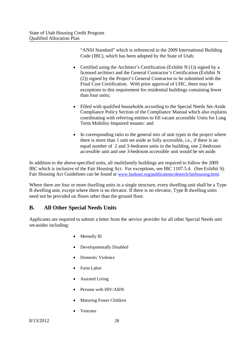"ANSI Standard" which is referenced in the 2009 International Building Code (IBC), which has been adopted by the State of Utah;

- Certified using the Architect's Certification (Exhibit N (1)) signed by a licensed architect and the General Contractor's Certification (Exhibit N (2)) signed by the Project's General Contractor to be submitted with the Final Cost Certification. With prior approval of UHC, there may be exceptions to this requirement for residential buildings containing fewer than four units;
- Filled with qualified households according to the Special Needs Set-Aside Compliance Policy Section of the Compliance Manual which also explains coordinating with referring entities to fill vacant accessible Units for Long Term Mobility-Impaired tenants: and
- In corresponding ratio to the general mix of unit types in the project where there is more than 1 unit set aside as fully accessible, i.e., if there is an equal number of 2 and 3-bedroom units in the building, one 2-bedroom accessible unit and one 3-bedroom accessible unit would be set aside.

In addition to the above-specified units, all multifamily buildings are required to follow the 2009 IBC which is inclusive of the Fair Housing Act. For exceptions, see IBC 1107.5.4. (See Exhibit S). Fair Housing Act Guidelines can be found at www.huduser.org/publications/destech/fairhousing.html.

Where there are four or more dwelling units in a single structure, every dwelling unit shall be a Type B dwelling unit, except where there is no elevator. If there is no elevator, Type B dwelling units need not be provided on floors other than the ground floor.

#### **B. All Other Special Needs Units**

Applicants are required to submit a letter from the service provider for all other Special Needs unit set-asides including:

- Mentally Ill
- Developmentally Disabled
- Domestic Violence
- Farm Labor
- Assisted Living
- Persons with HIV/AIDS
- Maturing Foster Children
- Veterans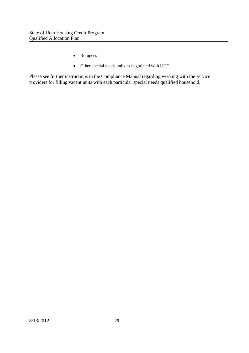- Refugees
- Other special needs units as negotiated with UHC

Please see further instructions in the Compliance Manual regarding working with the service providers for filling vacant units with each particular special needs qualified household.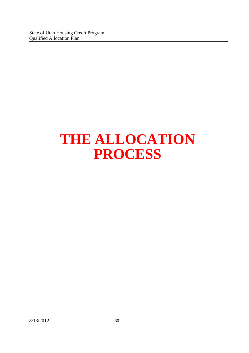State of Utah Housing Credit Program Qualified Allocation Plan

### **THE ALLOCATION PROCESS**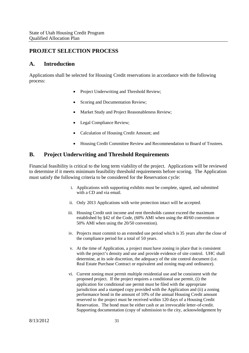#### **PROJECT SELECTION PROCESS**

#### **A. Introduction**

Applications shall be selected for Housing Credit reservations in accordance with the following process:

- Project Underwriting and Threshold Review;
- Scoring and Documentation Review;
- Market Study and Project Reasonableness Review;
- Legal Compliance Review;
- Calculation of Housing Credit Amount; and
- Housing Credit Committee Review and Recommendation to Board of Trustees.

#### **B. Project Underwriting and Threshold Requirements**

Financial feasibility is critical to the long term viability of the project. Applications will be reviewed to determine if it meets minimum feasibility threshold requirements before scoring. The Application must satisfy the following criteria to be considered for the Reservation cycle:

- i. Applications with supporting exhibits must be complete, signed, and submitted with a CD and via email.
- ii. Only 2013 Applications with write protection intact will be accepted.
- iii. Housing Credit unit income and rent thresholds cannot exceed the maximum established by §42 of the Code, (60% AMI when using the 40/60 convention or 50% AMI when using the 20/50 convention).
- iv. Projects must commit to an extended use period which is 35 years after the close of the compliance period for a total of 50 years.
- v. At the time of Application, a project must have zoning in place that is consistent with the project's density and use and provide evidence of site control. UHC shall determine, at its sole discretion, the adequacy of the site control document (i.e. Real Estate Purchase Contract or equivalent and zoning map and ordinance).
- vi. Current zoning must permit multiple residential use and be consistent with the proposed project. If the project requires a conditional use permit, (i) the application for conditional use permit must be filed with the appropriate jurisdiction and a stamped copy provided with the Application and (ii) a zoning performance bond in the amount of 10% of the annual Housing Credit amount reserved to the project must be received within 120 days of a Housing Credit Reservation. The bond must be either cash or an irrevocable letter-of-credit. Supporting documentation (copy of submission to the city, acknowledgement by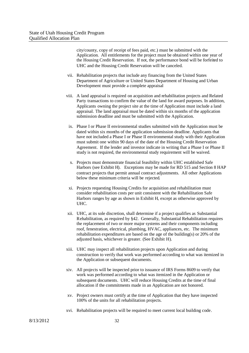city/county, copy of receipt of fees paid, etc.) must be submitted with the Application. All entitlements for the project must be obtained within one year of the Housing Credit Reservation. If not, the performance bond will be forfeited to UHC and the Housing Credit Reservation will be canceled.

- vii. Rehabilitation projects that include any financing from the United States Department of Agriculture or United States Department of Housing and Urban Development must provide a complete appraisal
- viii. A land appraisal is required on acquisition and rehabilitation projects and Related Party transactions to confirm the value of the land for award purposes. In addition, Applicants owning the project site at the time of Application must include a land appraisal. The land appraisal must be dated within six months of the application submission deadline and must be submitted with the Application.
	- ix. Phase I or Phase II environmental studies submitted with the Application must be dated within six months of the application submission deadline. Applicants that have not included a Phase I or Phase II environmental study with their Application must submit one within 90 days of the date of the Housing Credit Reservation Agreement. If the lender and investor indicate in writing that a Phase I or Phase II study is not required, the environmental study requirement will be waived.
	- x. Projects must demonstrate financial feasibility within UHC established Safe Harbors (see Exhibit H). Exceptions may be made for RD 515 and Section 8 HAP contract projects that permit annual contract adjustments. All other Applications below these minimum criteria will be rejected.
	- xi. Projects requesting Housing Credits for acquisition and rehabilitation must consider rehabilitation costs per unit consistent with the Rehabilitation Safe Harbors ranges by age as shown in Exhibit H, except as otherwise approved by UHC.
- xii. UHC, at its sole discretion, shall determine if a project qualifies as Substantial Rehabilitation, as required by §42. Generally, Substantial Rehabilitation requires the replacement of two or more major systems and their components including roof, fenestration, electrical, plumbing, HVAC, appliances, etc. The minimum rehabilitation expenditures are based on the age of the building(s) or 20% of the adjusted basis, whichever is greater. (See Exhibit H).
- xiii. UHC may inspect all rehabilitation projects upon Application and during construction to verify that work was performed according to what was itemized in the Application or subsequent documents.
- xiv. All projects will be inspected prior to issuance of IRS Forms 8609 to verify that work was performed according to what was itemized in the Application or subsequent documents. UHC will reduce Housing Credits at the time of final allocation if the commitments made in an Application are not honored.
- xv. Project owners must certify at the time of Application that they have inspected 100% of the units for all rehabilitation projects.
- xvi. Rehabilitation projects will be required to meet current local building code.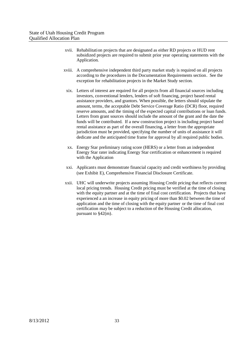- xvii. Rehabilitation projects that are designated as either RD projects or HUD rent subsidized projects are required to submit prior year operating statements with the Application.
- xviii. A comprehensive independent third party market study is required on all projects according to the procedures in the Documentation Requirements section. See the exception for rehabilitation projects in the Market Study section.
	- xix. Letters of interest are required for all projects from all financial sources including investors, conventional lenders, lenders of soft financing, project based rental assistance providers, and grantors. When possible, the letters should stipulate the amount, terms, the acceptable Debt Service Coverage Ratio (DCR) floor, required reserve amounts, and the timing of the expected capital contributions or loan funds. Letters from grant sources should include the amount of the grant and the date the funds will be contributed. If a new construction project is including project based rental assistance as part of the overall financing, a letter from the appropriate jurisdiction must be provided, specifying the number of units of assistance it will dedicate and the anticipated time frame for approval by all required public bodies.
	- xx. Energy Star preliminary rating score (HERS) or a letter from an independent Energy Star rater indicating Energy Star certification or enhancement is required with the Application
	- xxi. Applicants must demonstrate financial capacity and credit worthiness by providing (see Exhibit E), Comprehensive Financial Disclosure Certificate.
- xxii. UHC will underwrite projects assuming Housing Credit pricing that reflects current local pricing trends. Housing Credit pricing must be verified at the time of closing with the equity partner and at the time of final cost certification. Projects that have experienced a an increase in equity pricing of more than \$0.02 between the time of application and the time of closing with the equity partner or the time of final cost certification may be subject to a reduction of the Housing Credit allocation, pursuant to §42(m).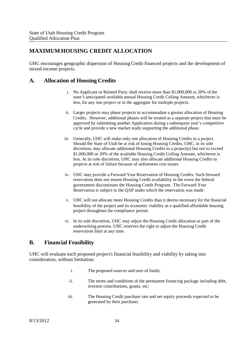## **MAXIMUM HOUSING CREDIT ALLOCATION**

UHC encourages geographic dispersion of Housing Credit financed projects and the development of mixed-income projects.

## **A. Allocation of Housing Credits**

- i. No Applicant or Related Party shall receive more than \$1,000,000 or 20% of the state's anticipated available annual Housing Credit Ceiling Amount, whichever is less, for any one project or in the aggregate for multiple projects.
- ii. Larger projects may phase projects to accommodate a greater allocation of Housing Credits. However, additional phases will be treated as a separate project that must be approved by submitting another Application during a subsequent year's competitive cycle and provide a new market study supporting the additional phase.
- iii. Generally, UHC will make only one allocation of Housing Credits to a project. Should the State of Utah be at risk of losing Housing Credits, UHC, in its sole discretion, may allocate additional Housing Credits to a project(s) but not to exceed \$1,000,000 or 20% of the available Housing Credit Ceiling Amount, whichever is less. At its sole discretion, UHC may also allocate additional Housing Credits to projects at risk of failure because of unforeseen cost issues.
- iv. UHC may provide a Forward Year Reservation of Housing Credits. Such forward reservation does not ensure Housing Credit availability in the event the federal government discontinues the Housing Credit Program. The Forward Year Reservation is subject to the QAP under which the reservation was made.
- v. UHC will not allocate more Housing Credits than it deems necessary for the financial feasibility of the project and its economic viability as a qualified affordable housing project throughout the compliance period.
- vi. In its sole discretion, UHC may adjust the Housing Credit allocation as part of the underwriting process. UHC reserves the right to adjust the Housing Credit reservation limit at any time.

#### **B. Financial Feasibility**

UHC will evaluate each proposed project's financial feasibility and viability by taking into consideration, without limitation:

- i. The proposed sources and uses of funds;
- ii. The terms and conditions of the permanent financing package including debt, investor contributions, grants, etc;
- iii. The Housing Credit purchase rate and net equity proceeds expected to be generated by their purchase;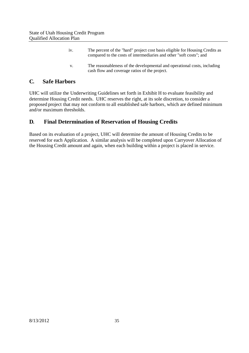| 1V <sub>1</sub> | The percent of the "hard" project cost basis eligible for Housing Credits as<br>compared to the costs of intermediaries and other "soft costs"; and |
|-----------------|-----------------------------------------------------------------------------------------------------------------------------------------------------|
| $V_{\odot}$     | The reasonableness of the developmental and operational costs, including<br>cash flow and coverage ratios of the project.                           |

#### **C. Safe Harbors**

UHC will utilize the Underwriting Guidelines set forth in Exhibit H to evaluate feasibility and determine Housing Credit needs. UHC reserves the right, at its sole discretion, to consider a proposed project that may not conform to all established safe harbors, which are defined minimum and/or maximum thresholds.

## **D. Final Determination of Reservation of Housing Credits**

Based on its evaluation of a project, UHC will determine the amount of Housing Credits to be reserved for each Application. A similar analysis will be completed upon Carryover Allocation of the Housing Credit amount and again, when each building within a project is placed in service.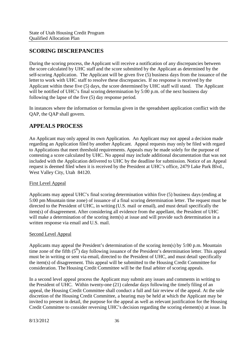## **SCORING DISCREPANCIES**

During the scoring process, the Applicant will receive a notification of any discrepancies between the score calculated by UHC staff and the score submitted by the Applicant as determined by the self-scoring Application. The Applicant will be given five (5) business days from the issuance of the letter to work with UHC staff to resolve these discrepancies. If no response is received by the Applicant within these five (5) days, the score determined by UHC staff will stand. The Applicant will be notified of UHC's final scoring determination by 5:00 p.m. of the next business day following the lapse of the five (5) day response period.

In instances where the information or formulas given in the spreadsheet application conflict with the QAP, the QAP shall govern.

#### **APPEALS PROCESS**

An Applicant may only appeal its own Application. An Applicant may not appeal a decision made regarding an Application filed by another Applicant. Appeal requests may only be filed with regard to Applications that meet threshold requirements. Appeals may be made solely for the purpose of contesting a score calculated by UHC. No appeal may include additional documentation that was not included with the Application delivered to UHC by the deadline for submission. Notice of an Appeal request is deemed filed when it is received by the President at UHC's office, 2479 Lake Park Blvd., West Valley City, Utah 84120.

#### First Level Appeal

Applicants may appeal UHC's final scoring determination within five (5) business days (ending at 5:00 pm Mountain time zone) of issuance of a final scoring determination letter. The request must be directed to the President of UHC, in writing (U.S. mail or email), and must detail specifically the item(s) of disagreement. After considering all evidence from the appellant, the President of UHC will make a determination of the scoring item(s) at issue and will provide such determination in a written response via email and U.S. mail.

#### Second Level Appeal

Applicants may appeal the President's determination of the scoring item(s) by 5:00 p.m. Mountain time zone of the fifth  $(5<sup>th</sup>)$  day following issuance of the President's determination letter. This appeal must be in writing or sent via email, directed to the President of UHC, and must detail specifically the item(s) of disagreement. This appeal will be submitted to the Housing Credit Committee for consideration. The Housing Credit Committee will be the final arbiter of scoring appeals.

In a second level appeal process the Applicant may submit any issues and comments in writing to the President of UHC. Within twenty-one (21) calendar days following the timely filing of an appeal, the Housing Credit Committee shall conduct a full and fair review of the appeal. At the sole discretion of the Housing Credit Committee, a hearing may be held at which the Applicant may be invited to present in detail, the purpose for the appeal as well as relevant justification for the Housing Credit Committee to consider reversing UHC's decision regarding the scoring element(s) at issue. In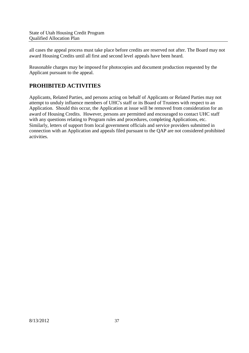all cases the appeal process must take place before credits are reserved not after. The Board may not award Housing Credits until all first and second level appeals have been heard.

Reasonable charges may be imposed for photocopies and document production requested by the Applicant pursuant to the appeal.

## **PROHIBITED ACTIVITIES**

Applicants, Related Parties, and persons acting on behalf of Applicants or Related Parties may not attempt to unduly influence members of UHC's staff or its Board of Trustees with respect to an Application. Should this occur, the Application at issue will be removed from consideration for an award of Housing Credits. However, persons are permitted and encouraged to contact UHC staff with any questions relating to Program rules and procedures, completing Applications, etc. Similarly, letters of support from local government officials and service providers submitted in connection with an Application and appeals filed pursuant to the QAP are not considered prohibited activities.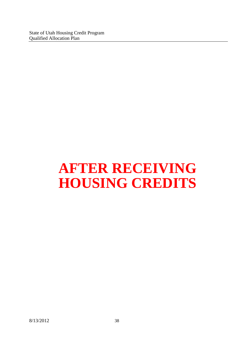# **AFTER RECEIVING HOUSING CREDITS**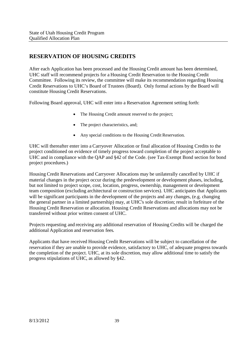## **RESERVATION OF HOUSING CREDITS**

After each Application has been processed and the Housing Credit amount has been determined, UHC staff will recommend projects for a Housing Credit Reservation to the Housing Credit Committee. Following its review, the committee will make its recommendation regarding Housing Credit Reservations to UHC's Board of Trustees (Board). Only formal actions by the Board will constitute Housing Credit Reservations.

Following Board approval, UHC will enter into a Reservation Agreement setting forth:

- The Housing Credit amount reserved to the project;
- The project characteristics, and:
- Any special conditions to the Housing Credit Reservation.

UHC will thereafter enter into a Carryover Allocation or final allocation of Housing Credits to the project conditioned on evidence of timely progress toward completion of the project acceptable to UHC and in compliance with the QAP and §42 of the Code. (see Tax-Exempt Bond section for bond project procedures.)

Housing Credit Reservations and Carryover Allocations may be unilaterally cancelled by UHC if material changes in the project occur during the predevelopment or development phases, including, but not limited to project scope, cost, location, progress, ownership, management or development team composition (excluding architectural or construction services). UHC anticipates that Applicants will be significant participants in the development of the projects and any changes, (e.g. changing the general partner in a limited partnership) may, at UHC's sole discretion; result in forfeiture of the Housing Credit Reservation or allocation. Housing Credit Reservations and allocations may not be transferred without prior written consent of UHC.

Projects requesting and receiving any additional reservation of Housing Credits will be charged the additional Application and reservation fees.

Applicants that have received Housing Credit Reservations will be subject to cancellation of the reservation if they are unable to provide evidence, satisfactory to UHC, of adequate progress towards the completion of the project. UHC, at its sole discretion, may allow additional time to satisfy the progress stipulations of UHC, as allowed by §42.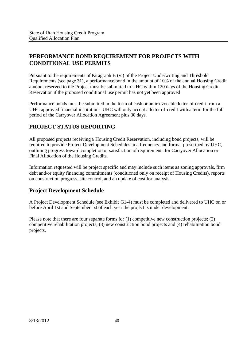# **PERFORMANCE BOND REQUIREMENT FOR PROJECTS WITH CONDITIONAL USE PERMITS**

Pursuant to the requirements of Paragraph B (vi) of the Project Underwriting and Threshold Requirements (see page 31), a performance bond in the amount of 10% of the annual Housing Credit amount reserved to the Project must be submitted to UHC within 120 days of the Housing Credit Reservation if the proposed conditional use permit has not yet been approved.

Performance bonds must be submitted in the form of cash or an irrevocable letter-of-credit from a UHC-approved financial institution. UHC will only accept a letter-of-credit with a term for the full period of the Carryover Allocation Agreement plus 30 days.

## **PROJECT STATUS REPORTING**

All proposed projects receiving a Housing Credit Reservation, including bond projects, will be required to provide Project Development Schedules in a frequency and format prescribed by UHC, outlining progress toward completion or satisfaction of requirements for Carryover Allocation or Final Allocation of the Housing Credits.

Information requested will be project specific and may include such items as zoning approvals, firm debt and/or equity financing commitments (conditioned only on receipt of Housing Credits), reports on construction progress, site control, and an update of cost for analysis.

## **Project Development Schedule**

A Project Development Schedule (see Exhibit G1-4) must be completed and delivered to UHC on or before April 1st and September 1st of each year the project is under development.

Please note that there are four separate forms for (1) competitive new construction projects; (2) competitive rehabilitation projects; (3) new construction bond projects and (4) rehabilitation bond projects.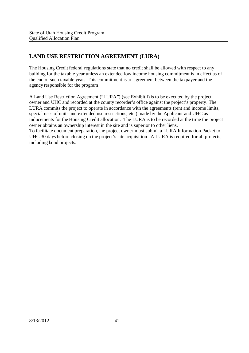# **LAND USE RESTRICTION AGREEMENT (LURA)**

The Housing Credit federal regulations state that no credit shall be allowed with respect to any building for the taxable year unless an extended low-income housing commitment is in effect as of the end of such taxable year. This commitment is an agreement between the taxpayer and the agency responsible for the program.

A Land Use Restriction Agreement ("LURA") (see Exhibit I) is to be executed by the project owner and UHC and recorded at the county recorder's office against the project's property. The LURA commits the project to operate in accordance with the agreements (rent and income limits, special uses of units and extended use restrictions, etc.) made by the Applicant and UHC as inducements for the Housing Credit allocation. The LURA is to be recorded at the time the project owner obtains an ownership interest in the site and is superior to other liens. To facilitate document preparation, the project owner must submit a LURA Information Packet to UHC 30 days before closing on the project's site acquisition. A LURA is required for all projects, including bond projects.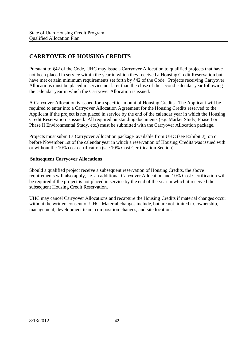# **CARRYOVER OF HOUSING CREDITS**

Pursuant to §42 of the Code, UHC may issue a Carryover Allocation to qualified projects that have not been placed in service within the year in which they received a Housing Credit Reservation but have met certain minimum requirements set forth by §42 of the Code. Projects receiving Carryover Allocations must be placed in service not later than the close of the second calendar year following the calendar year in which the Carryover Allocation is issued.

A Carryover Allocation is issued for a specific amount of Housing Credits. The Applicant will be required to enter into a Carryover Allocation Agreement for the Housing Credits reserved to the Applicant if the project is not placed in service by the end of the calendar year in which the Housing Credit Reservation is issued. All required outstanding documents (e.g. Market Study, Phase I or Phase II Environmental Study, etc.) must be submitted with the Carryover Allocation package.

Projects must submit a Carryover Allocation package, available from UHC (see Exhibit J), on or before November 1st of the calendar year in which a reservation of Housing Credits was issued with or without the 10% cost certification (see 10% Cost Certification Section).

#### **Subsequent Carryover Allocations**

Should a qualified project receive a subsequent reservation of Housing Credits, the above requirements will also apply, i.e. an additional Carryover Allocation and 10% Cost Certification will be required if the project is not placed in service by the end of the year in which it received the subsequent Housing Credit Reservation.

UHC may cancel Carryover Allocations and recapture the Housing Credits if material changes occur without the written consent of UHC. Material changes include, but are not limited to, ownership, management, development team, composition changes, and site location.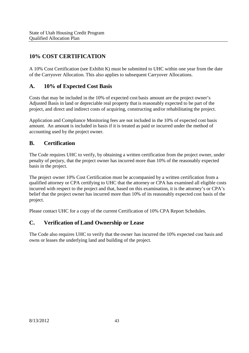# **10% COST CERTIFICATION**

A 10% Cost Certification (see Exhibit K) must be submitted to UHC within one year from the date of the Carryover Allocation. This also applies to subsequent Carryover Allocations.

## **A. 10% of Expected Cost Basis**

Costs that may be included in the 10% of expected cost basis amount are the project owner's Adjusted Basis in land or depreciable real property that is reasonably expected to be part of the project, and direct and indirect costs of acquiring, constructing and/or rehabilitating the project.

Application and Compliance Monitoring fees are not included in the 10% of expected cost basis amount. An amount is included in basis if it is treated as paid or incurred under the method of accounting used by the project owner.

#### **B. Certification**

The Code requires UHC to verify, by obtaining a written certification from the project owner, under penalty of perjury, that the project owner has incurred more than 10% of the reasonably expected basis in the project.

The project owner 10% Cost Certification must be accompanied by a written certification from a qualified attorney or CPA certifying to UHC that the attorney or CPA has examined all eligible costs incurred with respect to the project and that, based on this examination, it is the attorney's or CPA's belief that the project owner has incurred more than 10% of its reasonably expected cost basis of the project.

Please contact UHC for a copy of the current Certification of 10% CPA Report Schedules.

## **C. Verification of Land Ownership or Lease**

The Code also requires UHC to verify that the owner has incurred the 10% expected cost basis and owns or leases the underlying land and building of the project.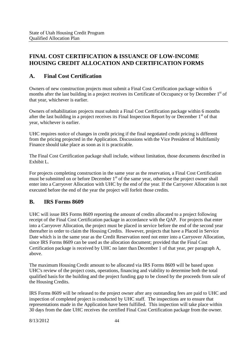## **FINAL COST CERTIFICATION & ISSUANCE OF LOW-INCOME HOUSING CREDIT ALLOCATION AND CERTIFICATION FORMS**

## **A. Final Cost Certification**

Owners of new construction projects must submit a Final Cost Certification package within 6 months after the last building in a project receives its Certificate of Occupancy or by December 1<sup>st</sup> of that year, whichever is earlier.

Owners of rehabilitation projects must submit a Final Cost Certification package within 6 months after the last building in a project receives its Final Inspection Report by or December  $1<sup>st</sup>$  of that year, whichever is earlier.

UHC requires notice of changes in credit pricing if the final negotiated credit pricing is different from the pricing projected in the Application. Discussions with the Vice President of Multifamily Finance should take place as soon as it is practicable.

The Final Cost Certification package shall include, without limitation, those documents described in Exhibit L.

For projects completing construction in the same year as the reservation, a Final Cost Certification must be submitted on or before December 1<sup>st</sup> of the same year, otherwise the project owner shall enter into a Carryover Allocation with UHC by the end of the year. If the Carryover Allocation is not executed before the end of the year the project will forfeit those credits.

## **B. IRS Forms 8609**

UHC will issue IRS Forms 8609 reporting the amount of credits allocated to a project following receipt of the Final Cost Certification package in accordance with the QAP. For projects that enter into a Carryover Allocation, the project must be placed in service before the end of the second year thereafter in order to claim the Housing Credits. However, projects that have a Placed in Service Date which is in the same year as the Credit Reservation need not enter into a Carryover Allocation, since IRS Forms 8609 can be used as the allocation document; provided that the Final Cost Certification package is received by UHC no later than December 1 of that year, per paragraph A, above.

The maximum Housing Credit amount to be allocated via IRS Forms 8609 will be based upon UHC's review of the project costs, operations, financing and viability to determine both the total qualified basisfor the building and the project funding gap to be closed by the proceeds from sale of the Housing Credits.

IRS Forms 8609 will be released to the project owner after any outstanding fees are paid to UHC and inspection of completed project is conducted by UHC staff. The inspections are to ensure that representations made in the Application have been fulfilled. This inspection will take place within 30 days from the date UHC receives the certified Final Cost Certification package from the owner.

8/13/2012 44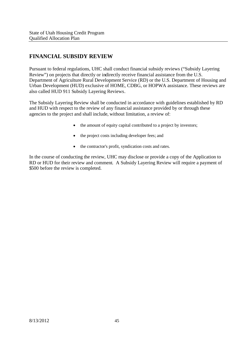# **FINANCIAL SUBSIDY REVIEW**

Pursuant to federal regulations, UHC shall conduct financial subsidy reviews ("Subsidy Layering Review") on projects that directly or indirectly receive financial assistance from the U.S. Department of Agriculture Rural Development Service (RD) or the U.S. Department of Housing and Urban Development (HUD) exclusive of HOME, CDBG, or HOPWA assistance. These reviews are also called HUD 911 Subsidy Layering Reviews.

The Subsidy Layering Review shall be conducted in accordance with guidelines established by RD and HUD with respect to the review of any financial assistance provided by or through these agencies to the project and shall include, without limitation, a review of:

- the amount of equity capital contributed to a project by investors;
- the project costs including developer fees; and
- the contractor's profit, syndication costs and rates.

In the course of conducting the review, UHC may disclose or provide a copy of the Application to RD or HUD for their review and comment. A Subsidy Layering Review will require a payment of \$500 before the review is completed.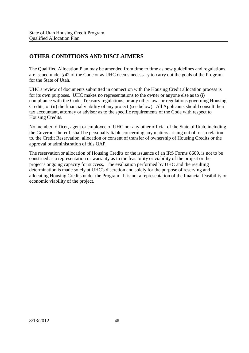## **OTHER CONDITIONS AND DISCLAIMERS**

The Qualified Allocation Plan may be amended from time to time as new guidelines and regulations are issued under §42 of the Code or as UHC deems necessary to carry out the goals of the Program for the State of Utah.

UHC's review of documents submitted in connection with the Housing Credit allocation process is for its own purposes. UHC makes no representations to the owner or anyone else as to (i) compliance with the Code, Treasury regulations, or any other laws or regulations governing Housing Credits, or (ii) the financial viability of any project (see below). All Applicants should consult their tax accountant, attorney or advisor as to the specific requirements of the Code with respect to Housing Credits.

No member, officer, agent or employee of UHC nor any other official of the State of Utah, including the Governor thereof, shall be personally liable concerning any matters arising out of, or in relation to, the Credit Reservation, allocation or consent of transfer of ownership of Housing Credits or the approval or administration of this QAP.

The reservation or allocation of Housing Credits or the issuance of an IRS Forms 8609, is not to be construed as a representation or warranty as to the feasibility or viability of the project or the project's ongoing capacity for success. The evaluation performed by UHC and the resulting determination is made solely at UHC's discretion and solely for the purpose of reserving and allocating Housing Credits under the Program. It is not a representation of the financial feasibility or economic viability of the project.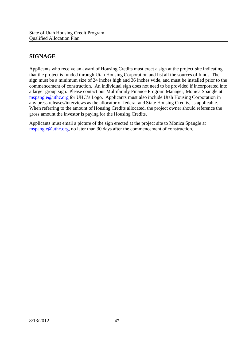# **SIGNAGE**

Applicants who receive an award of Housing Credits must erect a sign at the project site indicating that the project is funded through Utah Housing Corporation and list all the sources of funds. The sign must be a minimum size of 24 inches high and 36 inches wide, and must be installed prior to the commencement of construction. An individual sign does not need to be provided if incorporated into a larger group sign. Please contact our Multifamily Finance Program Manager, Monica Spangle at mspangle@uthc.org for UHC's Logo. Applicants must also include Utah Housing Corporation in any press releases/interviews as the allocator of federal and State Housing Credits, as applicable. When referring to the amount of Housing Credits allocated, the project owner should reference the gross amount the investor is paying for the Housing Credits.

Applicants must email a picture of the sign erected at the project site to Monica Spangle at mspangle@uthc.org, no later than 30 days after the commencement of construction.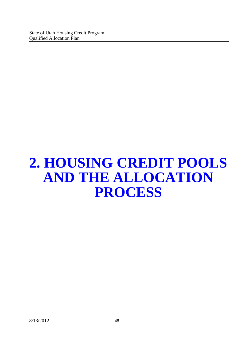# **2. HOUSING CREDIT POOLS AND THE ALLOCATION PROCESS**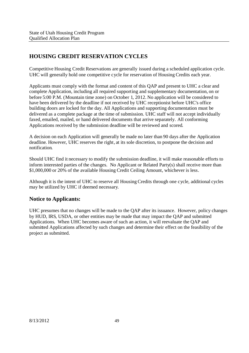# **HOUSING CREDIT RESERVATION CYCLES**

Competitive Housing Credit Reservations are generally issued during a scheduled application cycle. UHC will generally hold one competitive cycle for reservation of Housing Credits each year.

Applicants must comply with the format and content of this QAP and present to UHC a clear and complete Application, including all required supporting and supplementary documentation, on or before 5:00 P.M. (Mountain time zone) on October 1, 2012. No application will be considered to have been delivered by the deadline if not received by UHC receptionist before UHC's office building doors are locked for the day. All Applications and supporting documentation must be delivered as a complete package at the time of submission. UHC staff will not accept individually faxed, emailed, mailed, or hand delivered documents that arrive separately. All conforming Applications received by the submission deadline will be reviewed and scored.

A decision on each Application will generally be made no later than 90 days after the Application deadline. However, UHC reserves the right, at its sole discretion, to postpone the decision and notification.

Should UHC find it necessary to modify the submission deadline, it will make reasonable efforts to inform interested parties of the changes. No Applicant or Related Party(s) shall receive more than \$1,000,000 or 20% of the available Housing Credit Ceiling Amount, whichever is less.

Although it is the intent of UHC to reserve all Housing Credits through one cycle, additional cycles may be utilized by UHC if deemed necessary.

#### **Notice to Applicants:**

UHC presumes that no changes will be made to the QAP after its issuance. However, policy changes by HUD, IRS, USDA, or other entities may be made that may impact the QAP and submitted Applications. When UHC becomes aware of such an action, it will reevaluate the QAP and submitted Applications affected by such changes and determine their effect on the feasibility of the project as submitted.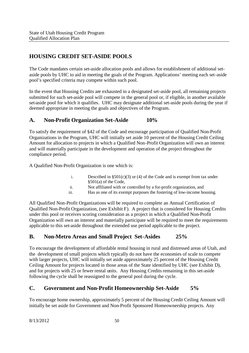## **HOUSING CREDIT SET-ASIDE POOLS**

The Code mandates certain set-aside allocation pools and allows for establishment of additional setaside pools by UHC to aid in meeting the goals of the Program. Applications' meeting each set-aside pool's specified criteria may compete within such pool.

In the event that Housing Credits are exhausted in a designated set-aside pool, all remaining projects submitted for such set-aside pool will compete in the general pool or, if eligible, in another available set-aside pool for which it qualifies. UHC may designate additional set-aside pools during the year if deemed appropriate in meeting the goals and objectives of the Program.

#### **A. Non-Profit Organization Set-Aside 10%**

To satisfy the requirement of §42 of the Code and encourage participation of Qualified Non-Profit Organizations in the Program, UHC will initially set aside 10 percent of the Housing Credit Ceiling Amount for allocation to projects in which a Qualified Non-Profit Organization will own an interest and will materially participate in the development and operation of the project throughout the compliance period.

A Qualified Non-Profit Organization is one which is:

- i. Described in  $\S501(c)(3)$  or (4) of the Code and is exempt from tax under §501(a) of the Code,
- ii. Not affiliated with or controlled by a for-profit organization, and
- iii. Has as one of its exempt purposes the fostering of low-income housing.

All Qualified Non-Profit Organizations will be required to complete an Annual Certification of Qualified Non-Profit Organization, (see Exhibit F). A project that is considered for Housing Credits under this pool or receives scoring consideration as a project in which a Qualified Non-Profit Organization will own an interest and materially participate will be required to meet the requirements applicable to this set-aside throughout the extended use period applicable to the project.

#### **B. Non-Metro Areas and Small Project Set-Asides 25%**

To encourage the development of affordable rental housing in rural and distressed areas of Utah, and the development of small projects which typically do not have the economies of scale to compete with larger projects, UHC will initially set aside approximately 25 percent of the Housing Credit Ceiling Amount for projects located in those areas of the State identified by UHC (see Exhibit D), and for projects with 25 or fewer rental units. Any Housing Credits remaining in this set-aside following the cycle shall be reassigned to the general pool during the cycle.

#### **C. Government and Non-Profit Homeownership Set-Aside 5%**

To encourage home ownership, approximately 5 percent of the Housing Credit Ceiling Amount will initially be set aside for Government and Non-Profit Sponsored Homeownership projects. Any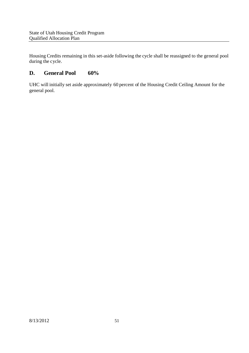Housing Credits remaining in this set-aside following the cycle shall be reassigned to the general pool during the cycle.

## **D. General Pool 60%**

UHC will initially set aside approximately 60 percent of the Housing Credit Ceiling Amount for the general pool.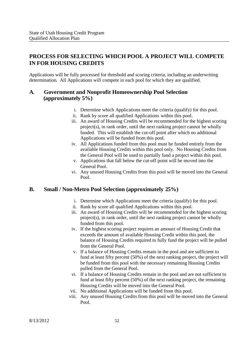## **PROCESS FOR SELECTING WHICH POOL A PROJECT WILL COMPETE IN FOR HOUSING CREDITS**

Applications will be fully processed for threshold and scoring criteria, including an underwriting determination. All Applications will compete in each pool for which they are qualified.

#### **A. Government and Nonprofit Homeownership Pool Selection (approximately 5%)**

- i. Determine which Applications meet the criteria (qualify) for this pool.
- ii. Rank by score all qualified Applications within this pool.
- iii. An award of Housing Credits will be recommended for the highest scoring project(s), in rank order, until the next ranking project cannot be wholly funded. This will establish the cut-off point after which no additional Applications will be funded from this pool.
- iv. All Applications funded from this pool must be funded entirely from the available Housing Credits within this pool only. No Housing Credits from the General Pool will be used to partially fund a project within this pool.
- v. Applications that fall below the cut-off point will be moved into the General Pool.
- vi. Any unused Housing Credits from this pool will be moved into the General Pool.

#### **B. Small / Non-Metro Pool Selection (approximately 25%)**

- i. Determine which Applications meet the criteria (qualify) for this pool.
- ii. Rank by score all qualified Applications within this pool.
- iii. An award of Housing Credits will be recommended for the highest scoring project(s), in rank order, until the next ranking project cannot be wholly funded from this pool.
- iv. If the highest scoring project requires an amount of Housing Credit that exceeds the amount of available Housing Credit within this pool, the balance of Housing Credits required to fully fund the project will be pulled from the General Pool.
- v. If a balance of Housing Credits remain in the pool and are sufficient to fund at least fifty percent (50%) of the next ranking project, the project will be funded from this pool with the necessary remaining Housing Credits pulled from the General Pool.
- vi. If a balance of Housing Credits remain in the pool and are not sufficient to fund at least fifty percent (50%) of the next ranking project, the remaining Housing Credits will be moved into the General Pool.
- vii. No additional Applications will be funded from this pool.
- viii. Any unused Housing Credits from this pool will be moved into the General Pool.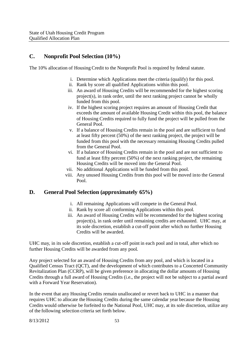#### **C. Nonprofit Pool Selection (10%)**

The 10% allocation of Housing Credit to the Nonprofit Pool is required by federal statute.

- i. Determine which Applications meet the criteria (qualify) for this pool.
- ii. Rank by score all qualified Applications within this pool.
- iii. An award of Housing Credits will be recommended for the highest scoring project(s), in rank order, until the next ranking project cannot be wholly funded from this pool.
- iv. If the highest scoring project requires an amount of Housing Credit that exceeds the amount of available Housing Credit within this pool, the balance of Housing Credits required to fully fund the project will be pulled from the General Pool.
- v. If a balance of Housing Credits remain in the pool and are sufficient to fund at least fifty percent (50%) of the next ranking project, the project will be funded from this pool with the necessary remaining Housing Credits pulled from the General Pool.
- vi. If a balance of Housing Credits remain in the pool and are not sufficient to fund at least fifty percent (50%) of the next ranking project, the remaining Housing Credits will be moved into the General Pool.
- vii. No additional Applications will be funded from this pool.
- viii. Any unused Housing Credits from this pool will be moved into the General Pool.

#### **D. General Pool Selection (approximately 65%)**

- i. All remaining Applications will compete in the General Pool.
- ii. Rank by score all conforming Applications within this pool.
- iii. An award of Housing Credits will be recommended for the highest scoring project(s), in rank order until remaining credits are exhausted. UHC may, at its sole discretion, establish a cut-off point after which no further Housing Credits will be awarded.

UHC may, in its sole discretion, establish a cut-off point in each pool and in total, after which no further Housing Credits will be awarded from any pool.

Any project selected for an award of Housing Credits from any pool, and which is located in a Qualified Census Tract (QCT), and the development of which contributes to a Concerted Community Revitalization Plan (CCRP), will be given preference in allocating the dollar amounts of Housing Credits through a full award of Housing Credits (i.e., the project will not be subject to a partial award with a Forward Year Reservation).

In the event that any Housing Credits remain unallocated or revert back to UHC in a manner that requires UHC to allocate the Housing Credits during the same calendar year because the Housing Credits would otherwise be forfeited to the National Pool, UHC may, at its sole discretion, utilize any of the following selection criteria set forth below.

8/13/2012 53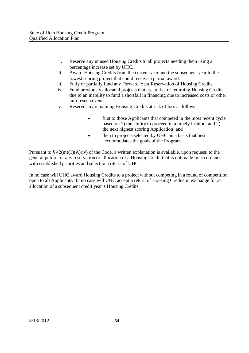- i. Reserve any unused Housing Credits to all projects needing them using a percentage increase set by UHC.
- ii. Award Housing Credits from the current year and the subsequent year to the lowest scoring project that could receive a partial award.
- iii. Fully or partially fund any Forward Year Reservation of Housing Credits.
- iv. Fund previously allocated projects that are at risk of returning Housing Credits due to an inability to fund a shortfall in financing due to increased costs or other unforeseen events.
- v. Reserve any remaining Housing Credits at risk of loss as follows:
	- first to those Applicants that competed in the most recent cycle based on 1) the ability to proceed in a timely fashion; and 2) the next highest scoring Application; and
	- then to projects selected by UHC on a basis that best accommodates the goals of the Program.

Pursuant to  $\S 42(m)(1)(A)(iv)$  of the Code, a written explanation is available, upon request, to the general public for any reservation or allocation of a Housing Credit that is not made in accordance with established priorities and selection criteria of UHC.

In no case will UHC award Housing Credits to a project without competing in a round of competition open to all Applicants. In no case will UHC accept a return of Housing Credits in exchange for an allocation of a subsequent credit year's Housing Credits.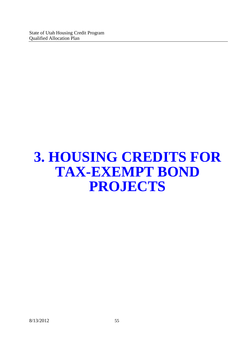# **3. HOUSING CREDITS FOR TAX-EXEMPT BOND PROJECTS**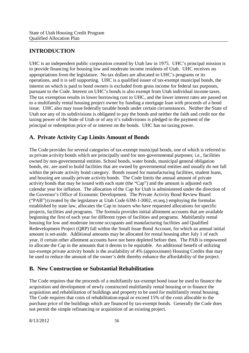# **INTRODUCTION**

UHC is an independent public corporation created by Utah law in 1975. UHC's principal mission is to provide financing for housing low and moderate income residents of Utah. UHC receives no appropriations from the legislature. No tax dollars are allocated to UHC's programs or its operations, and it is self supporting. UHC is a qualified issuer of tax-exempt municipal bonds, the interest on which is paid to bond owners is excluded from gross income for federal tax purposes, pursuant to the Code. Interest on UHC's bonds is also exempt from Utah individual income taxes. The tax exemption results in lower borrowing cost to UHC, and the lower interest rates are passed on to a multifamily rental housing project owner by funding a mortgage loan with proceeds of a bond issue. UHC also may issue federally taxable bonds under certain circumstances. Neither the State of Utah nor any of its subdivisions is obligated to pay the bonds and neither the faith and credit nor the taxing power of the State of Utah or of any it's subdivisions is pledged to the payment of the principal or redemption price of or interest on the bonds. UHC has no taxing power.

## **A. Private Activity Cap Limits Amount of Bonds**

The Code provides for several categories of tax-exempt municipal bonds, one of which is referred to as private activity bonds which are principally used for non-governmental purposes; i.e., facilities owned by non-governmental entities. School bonds, water bonds, municipal general obligation bonds, etc. are used to build facilities that are owned by governmental entities and usually do not fall within the private activity bond category. Bonds issued for manufacturing facilities, student loans, and housing are usually private activity bonds. The Code limits the annual amount of private activity bonds that may be issued with each state (the "Cap") and the amount is adjusted each calendar year for inflation. The allocation of the Cap for Utah is administered under the direction of the Governor's Office of Economic Development. The Private Activity Bond Review Board ("PAB") (created by the legislature at Utah Code 63M-1-3002, et.seq.) employing the formulas established by state law, allocates the Cap to issuers who have requested allocations for specific projects, facilities and programs. The formula provides initial allotment accounts that are available beginning the first of each year for different types of facilities and programs. Multifamily rental housing for low and moderate income occupants and manufacturing facilities and Qualified Redevelopment Project (QRP) fall within the Small Issue Bond Account, for which an annual initial amount is set-aside. Additional amounts may be allocated for rental housing after July 1 of each year, if certain other allotment accounts have not been depleted before then. The PAB is empowered to allocate the Cap in the amounts that it deems to be equitable. An additional benefit of utilizing tax-exempt private activity bonds is the availability of 4% (approximate) Housing Credits that may be used to reduce the amount of the owner's debt thereby enhance the affordability of the project.

## **B. New Construction or Substantial Rehabilitation**

The Code requires that the proceeds of a multifamily tax-exempt bond issue be used to finance the acquisition and development of newly constructed multifamily rental housing or to finance the acquisition and rehabilitation of buildings and property to be used for multifamily rental housing. The Code requires that costs of rehabilitation equal or exceed 15% of the costs allocable to the purchase price of the buildings which are financed by tax-exempt bonds. Generally the Code does not permit the simple refinancing or acquisition of an existing project.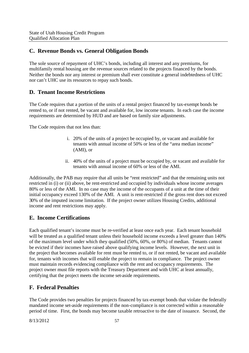## **C. Revenue Bonds vs. General Obligation Bonds**

The sole source of repayment of UHC's bonds, including all interest and any premiums, for multifamily rental housing are the revenue sources related to the projects financed by the bonds. Neither the bonds nor any interest or premium shall ever constitute a general indebtedness of UHC nor can't UHC use its resources to repay such bonds.

## **D. Tenant Income Restrictions**

The Code requires that a portion of the units of a rental project financed by tax-exempt bonds be rented to, or if not rented, be vacant and available for, low income tenants. In each case the income requirements are determined by HUD and are based on family size adjustments.

The Code requires that not less than:

- i. 20% of the units of a project be occupied by, or vacant and available for tenants with annual income of 50% or less of the "area median income" (AMI), or
- ii. 40% of the units of a project must be occupied by, or vacant and available for tenants with annual income of 60% or less of the AMI.

Additionally, the PAB may require that all units be "rent restricted" and that the remaining units not restricted in (i) or (ii) above, be rent-restricted and occupied by individuals whose income averages 80% or less of the AMI. In no case may the income of the occupants of a unit at the time of their initial occupancy exceed 130% of the AMI. A unit is rent-restricted if the gross rent does not exceed 30% of the imputed income limitation. If the project owner utilizes Housing Credits, additional income and rent restrictions may apply.

## **E. Income Certifications**

Each qualified tenant's income must be re-verified at least once each year. Each tenant household will be treated as a qualified tenant unless their household income exceeds a level greater than 140% of the maximum level under which they qualified (50%, 60%, or 80%) of median. Tenants cannot be evicted if their incomes have raised above qualifying income levels. However, the next unit in the project that becomes available for rent must be rented to, or if not rented, be vacant and available for, tenants with incomes that will enable the project to remain in compliance. The project owner must maintain records evidencing compliance with the rent and occupancy requirements. The project owner must file reports with the Treasury Department and with UHC at least annually, certifying that the project meets the income set-aside requirements.

## **F. Federal Penalties**

The Code provides two penalties for projects financed by tax-exempt bonds that violate the federally mandated income set-aside requirements if the non-compliance is not corrected within a reasonable period of time. First, the bonds may become taxable retroactive to the date of issuance. Second, the

8/13/2012 57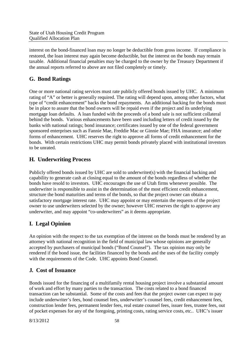interest on the bond-financed loan may no longer be deductible from gross income. If compliance is restored, the loan interest may again become deductible, but the interest on the bonds may remain taxable. Additional financial penalties may be charged to the owner by the Treasury Department if the annual reports referred to above are not filed completely or timely.

## **G. Bond Ratings**

One or more national rating services must rate publicly offered bonds issued by UHC. A minimum rating of "A" or better is generally required. The rating will depend upon, among other factors, what type of "credit enhancement" backs the bond repayments. An additional backing for the bonds must be in place to assure that the bond owners will be repaid even if the project and its underlying mortgage loan defaults. A loan funded with the proceeds of a bond sale is not sufficient collateral behind the bonds. Various enhancements have been used including letters of credit issued by the banks with national ratings; bond insurance; certificates issued by one of the federal government sponsored enterprises such as Fannie Mae, Freddie Mac or Ginnie Mae; FHA insurance; and other forms of enhancement. UHC reserves the right to approve all forms of credit enhancement for the bonds. With certain restrictions UHC may permit bonds privately placed with institutional investors to be unrated.

## **H. Underwriting Process**

Publicly offered bonds issued by UHC are sold to underwriter(s) with the financial backing and capability to generate cash at closing equal to the amount of the bonds regardless of whether the bonds have resold to investors. UHC encourages the use of Utah firms whenever possible. The underwriter is responsible to assist in the determination of the most efficient credit enhancement, structure the bond maturities and terms of the bonds, so that the project owner can obtain a satisfactory mortgage interest rate. UHC may appoint or may entertain the requests of the project owner to use underwriters selected by the owner; however UHC reserves the right to approve any underwriter, and may appoint "co-underwriters" as it deems appropriate.

## **I. Legal Opinion**

An opinion with the respect to the tax exemption of the interest on the bonds must be rendered by an attorney with national recognition in the field of municipal law whose opinions are generally accepted by purchasers of municipal bonds ("Bond Counsel"). The tax opinion may only be rendered if the bond issue, the facilities financed by the bonds and the uses of the facility comply with the requirements of the Code. UHC appoints Bond Counsel.

## **J. Cost of Issuance**

Bonds issued for the financing of a multifamily rental housing project involve a substantial amount of work and effort by many parties to the transaction. The costs related to a bond financed transaction can be substantial. Some of the costs and fees that the project owner can expect to pay include underwriter's fees, bond counsel fees, underwriter's counsel fees, credit enhancement fees, construction lender fees, permanent lender fees, real estate counsel fees, issuer fees, trustee fees, out of pocket expenses for any of the foregoing, printing costs, rating service costs, etc.. UHC's issuer

8/13/2012 58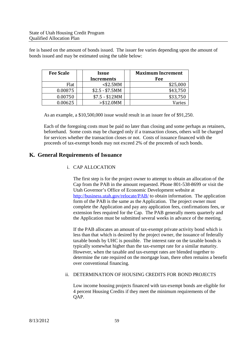fee is based on the amount of bonds issued. The issuer fee varies depending upon the amount of bonds issued and may be estimated using the table below:

| <b>Fee Scale</b> | <i><u><b>Issue</b></u></i> | <b>Maximum Increment</b> |  |
|------------------|----------------------------|--------------------------|--|
|                  | <b>Increments</b>          | Fee                      |  |
| Flat             | $<$ \$2.5MM                | \$25,000                 |  |
| 0.00875          | $$2.5 - $7.5MM$            | \$43,750                 |  |
| 0.00750          | $$7.5 - $12MM$             | \$33,750                 |  |
| 0.00625          | > \$12.0MM                 | Varies                   |  |

As an example, a \$10,500,000 issue would result in an issuer fee of \$91,250.

Each of the foregoing costs must be paid no later than closing and some perhaps as retainers, beforehand. Some costs may be charged only if a transaction closes, others will be charged for services whether the transaction closes or not. Costs of issuance financed with the proceeds of tax-exempt bonds may not exceed 2% of the proceeds of such bonds.

#### **K. General Requirements of Issuance**

#### i. CAP ALLOCATION

The first step is for the project owner to attempt to obtain an allocation of the Cap from the PAB in the amount requested. Phone 801-538-8699 or visit the Utah Governor's Office of Economic Development website at http://business.utah.gov/relocate/PAB/ to obtain information. The application form of the PAB is the same as the Application. The project owner must complete the Application and pay any application fees, confirmations fees, or extension fees required for the Cap. The PAB generally meets quarterly and the Application must be submitted several weeks in advance of the meeting.

If the PAB allocates an amount of tax-exempt private activity bond which is less than that which is desired by the project owner, the issuance of federally taxable bonds by UHC is possible. The interest rate on the taxable bonds is typically somewhat higher than the tax-exempt rate for a similar maturity. However, when the taxable and tax-exempt rates are blended together to determine the rate required on the mortgage loan, there often remains a benefit over conventional financing.

#### ii. DETERMINATION OF HOUSING CREDITS FOR BOND PROJECTS

Low income housing projects financed with tax-exempt bonds are eligible for 4 percent Housing Credits if they meet the minimum requirements of the QAP.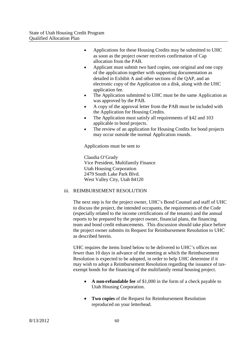- Applications for these Housing Credits may be submitted to UHC as soon as the project owner receives confirmation of Cap allocation from the PAB.
- Applicant must submit two hard copies, one original and one copy of the application together with supporting documentation as detailed in Exhibit A and other sections of the QAP, and an electronic copy of the Application on a disk, along with the UHC application fee.
- The Application submitted to UHC must be the same Application as was approved by the PAB.
- A copy of the approval letter from the PAB must be included with the Application for Housing Credits.
- The Application must satisfy all requirements of §42 and 103 applicable to bond projects.
- The review of an application for Housing Credits for bond projects may occur outside the normal Application rounds.

Applications must be sent to

Claudia O'Grady Vice President, Multifamily Finance Utah Housing Corporation 2479 South Lake Park Blvd. West Valley City, Utah 84120

#### iii. REIMBURSEMENT RESOLUTION

The next step is for the project owner, UHC's Bond Counsel and staff of UHC to discuss the project, the intended occupants, the requirements of the Code (especially related to the income certifications of the tenants) and the annual reports to be prepared by the project owner, financial plans, the financing team and bond credit enhancements. This discussion should take place before the project owner submits its Request for Reimbursement Resolution to UHC as described herein.

UHC requires the items listed below to be delivered to UHC's offices not fewer than 10 days in advance of the meeting at which the Reimbursement Resolution is expected to be adopted, in order to help UHC determine if it may wish to adopt a Reimbursement Resolution regarding the issuance of taxexempt bonds for the financing of the multifamily rental housing project.

- **A non-refundable fee** of \$1,000 in the form of a check payable to Utah Housing Corporation.
- **Two copies** of the Request for Reimbursement Resolution reproduced on your letterhead.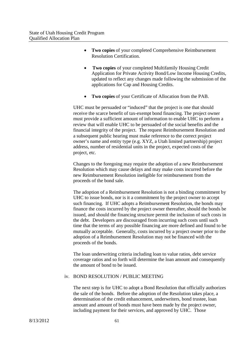- **Two copies** of your completed Comprehensive Reimbursement Resolution Certification.
- **Two copies** of your completed Multifamily Housing Credit Application for Private Activity Bond/Low Income Housing Credits, updated to reflect any changes made following the submission of the applications for Cap and Housing Credits.
- **Two copies** of your Certificate of Allocation from the PAB.

UHC must be persuaded or "induced" that the project is one that should receive the scarce benefit of tax-exempt bond financing. The project owner must provide a sufficient amount of information to enable UHC to perform a review that will enable UHC to be persuaded of the social benefits and the financial integrity of the project. The request Reimbursement Resolution and a subsequent public hearing must make reference to the correct project owner's name and entity type (e.g. XYZ, a Utah limited partnership) project address, number of residential units in the project, expected costs of the project, etc.

Changes to the foregoing may require the adoption of a new Reimbursement Resolution which may cause delays and may make costs incurred before the new Reimbursement Resolution ineligible for reimbursement from the proceeds of the bond sale.

The adoption of a Reimbursement Resolution is not a binding commitment by UHC to issue bonds, nor is it a commitment by the project owner to accept such financing. If UHC adopts a Reimbursement Resolution, the bonds may finance the costs incurred by the project owner thereafter, should the bonds be issued, and should the financing structure permit the inclusion of such costs in the debt. Developers are discouraged from incurring such costs until such time that the terms of any possible financing are more defined and found to be mutually acceptable. Generally, costs incurred by a project owner prior to the adoption of a Reimbursement Resolution may not be financed with the proceeds of the bonds.

The loan underwriting criteria including loan to value ratios, debt service coverage ratios and so forth will determine the loan amount and consequently the amount of bond to be issued.

#### iv. BOND RESOLUTION / PUBLIC MEETING

The next step is for UHC to adopt a Bond Resolution that officially authorizes the sale of the bonds. Before the adoption of the Resolution takes place, a determination of the credit enhancement, underwriters, bond trustee, loan amount and amount of bonds must have been made by the project owner, including payment for their services, and approved by UHC. Those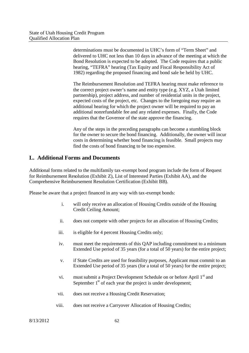determinations must be documented in UHC's form of "Term Sheet" and delivered to UHC not less than 10 days in advance of the meeting at which the Bond Resolution is expected to be adopted. The Code requires that a public hearing, "TEFRA" hearing (Tax Equity and Fiscal Responsibility Act of 1982) regarding the proposed financing and bond sale be held by UHC.

The Reimbursement Resolution and TEFRA hearing must make reference to the correct project owner's name and entity type (e.g. XYZ, a Utah limited partnership), project address, and number of residential units in the project, expected costs of the project, etc. Changes to the foregoing may require an additional hearing for which the project owner will be required to pay an additional nonrefundable fee and any related expenses. Finally, the Code requires that the Governor of the state approve the financing.

Any of the steps in the preceding paragraphs can become a stumbling block for the owner to secure the bond financing. Additionally, the owner will incur costs in determining whether bond financing is feasible. Small projects may find the costs of bond financing to be too expensive.

#### **L. Additional Forms and Documents**

Additional forms related to the multifamily tax-exempt bond program include the form of Request for Reimbursement Resolution (Exhibit Z), List of Interested Parties (Exhibit AA), and the Comprehensive Reimbursement Resolution Certification (Exhibit BB).

Please be aware that a project financed in any way with tax-exempt bonds:

- i. will only receive an allocation of Housing Credits outside of the Housing Credit Ceiling Amount;
- ii. does not compete with other projects for an allocation of Housing Credits;
- iii. is eligible for 4 percent Housing Credits only;
- iv. must meet the requirements of this QAP including commitment to a minimum Extended Use period of 35 years (for a total of 50 years) for the entire project;
- v. if State Credits are used for feasibility purposes, Applicant must commit to an Extended Use period of 35 years (for a total of 50 years) for the entire project;
- vi. must submit a Project Development Schedule on or before April 1<sup>st</sup> and September  $1<sup>st</sup>$  of each year the project is under development;
- vii. does not receive a Housing Credit Reservation;
- viii. does not receive a Carryover Allocation of Housing Credits;

8/13/2012 62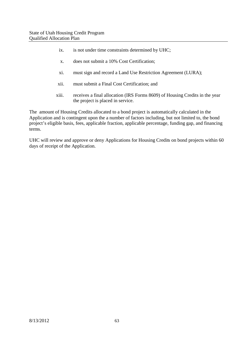- ix. is not under time constraints determined by UHC;
- x. does not submit a 10% Cost Certification;
- xi. must sign and record a Land Use Restriction Agreement (LURA);
- xii. must submit a Final Cost Certification; and
- xiii. receives a final allocation (IRS Forms 8609) of Housing Credits in the year the project is placed in service.

The amount of Housing Credits allocated to a bond project is automatically calculated in the Application and is contingent upon the a number of factors including, but not limited to, the bond project's eligible basis, fees, applicable fraction, applicable percentage, funding gap, and financing terms.

UHC will review and approve or deny Applications for Housing Credits on bond projects within 60 days of receipt of the Application.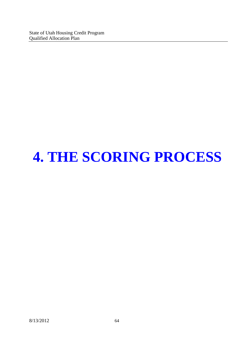# **4. THE SCORING PROCESS**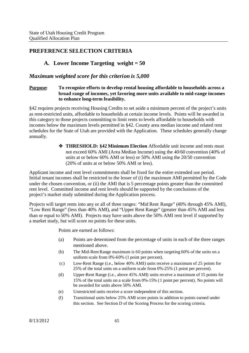#### **PREFERENCE SELECTION CRITERIA**

#### **A. Lower Income Targeting weight = 50**

#### *Maximum weighted score for this criterion is 5,000*

#### **Purpose: To recognize efforts to develop rental housing affordable to households across a broad range of incomes, yet favoring more units available to mid-range incomes to enhance long-term feasibility.**

§42 requires projects receiving Housing Credits to set aside a minimum percent of the project's units as rent-restricted units, affordable to households at certain income levels. Points will be awarded in this category to those projects committing to limit rents to levels affordable to households with incomes below the maximum levels permitted in §42. County area median income and related rent schedules for the State of Utah are provided with the Application. These schedules generally change annually.

> **THRESHOLD: §42 Minimum Election** Affordable unit income and rents must not exceed 60% AMI (Area Median Income) using the 40/60 convention (40% of units at or below 60% AMI or less) or 50% AMI using the 20/50 convention (20% of units at or below 50% AMI or less).

Applicant income and rent level commitments shall be fixed for the entire extended use period. Initial tenant incomes shall be restricted to the lesser of (i) the maximum AMI permitted by the Code under the chosen convention, or (ii) the AMI that is 5 percentage points greater than the committed rent level. Committed income and rent levels should be supported by the conclusions of the project's market study submitted during the Application process.

Projects will target rents into any or all of three ranges: "Mid Rent Range" (40% through 45% AMI), "Low Rent Range" (less than 40% AMI), and "Upper Rent Range" (greater than 45% AMI and less than or equal to 50% AMI). Projects may have units above the 50% AMI rent level if supported by a market study, but will score no points for these units.

Points are earned as follows:

- (a) Points are determined from the percentage of units in each of the three ranges mentioned above.
- (b) The Mid-Rent Range maximum is 60 points when targeting 60% of the units on a uniform scale from 0%-60% (1 point per percent).
- (c) Low-Rent Range (i.e., below 40% AMI) units receive a maximum of 25 points for 25% of the total units on a uniform scale from 0%-25% (1 point per percent).
- (d) Upper-Rent Range (i.e., above 45% AMI) units receive a maximum of 15 points for 15% of the total units on a scale from 0%-15% (1 point per percent). No points will be awarded for units above 50% AMI.
- (e) Unrestricted units receive a score independent of this section.
- (f) Transitional units below 25% AMI score points in addition to points earned under this section. See Section D of the Scoring Process for the scoring criteria.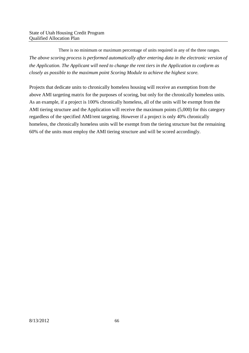There is no minimum or maximum percentage of units required in any of the three ranges. *The above scoring process is performed automatically after entering data in the electronic version of the Application. The Applicant will need to change the rent tiers in the Application to conform as closely as possible to the maximum point Scoring Module to achieve the highest score.*

Projects that dedicate units to chronically homeless housing will receive an exemption from the above AMI targeting matrix for the purposes of scoring, but only for the chronically homeless units. As an example, if a project is 100% chronically homeless, all of the units will be exempt from the AMI tiering structure and the Application will receive the maximum points (5,000) for this category regardless of the specified AMI/rent targeting. However if a project is only 40% chronically homeless, the chronically homeless units will be exempt from the tiering structure but the remaining 60% of the units must employ the AMI tiering structure and will be scored accordingly.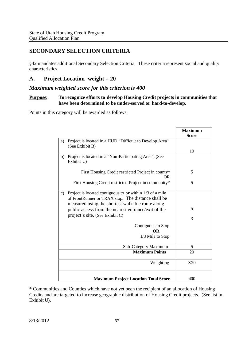## **SECONDARY SELECTION CRITERIA**

§42 mandates additional Secondary Selection Criteria. These criteria represent social and quality characteristics.

## **A. Project Location weight = 20**

#### *Maximum weighted score for this criterion is 400*

#### **Purpose: To recognize efforts to develop Housing Credit projects in communities that have been determined to be under-served or hard-to-develop.**

Points in this category will be awarded as follows:

|               |                                                                                                                                                                      | <b>Maximum</b><br><b>Score</b> |
|---------------|----------------------------------------------------------------------------------------------------------------------------------------------------------------------|--------------------------------|
| a)            | Project is located in a HUD "Difficult to Develop Area"<br>(See Exhibit B)                                                                                           |                                |
|               |                                                                                                                                                                      | 10                             |
| b)            | Project is located in a "Non-Participating Area", (See<br>Exhibit U)                                                                                                 |                                |
|               | First Housing Credit restricted Project in county*<br>OR.                                                                                                            | 5                              |
|               | First Housing Credit restricted Project in community*                                                                                                                | 5                              |
| $\mathbf{c})$ | Project is located contiguous to $or$ within 1/3 of a mile<br>of FrontRunner or TRAX stop. The distance shall be<br>measured using the shortest walkable route along |                                |
|               | public access from the nearest entrance/exit of the<br>project's site. (See Exhibit C)                                                                               | 5                              |
|               |                                                                                                                                                                      | 3                              |
|               | Contiguous to Stop<br><b>OR</b><br>1/3 Mile to Stop                                                                                                                  |                                |
|               | Sub-Category Maximum                                                                                                                                                 | 5                              |
|               | <b>Maximum Points</b>                                                                                                                                                | 20                             |
|               | Weighting                                                                                                                                                            | X20                            |
|               | <b>Maximum Project Location Total Score</b>                                                                                                                          | 400                            |

\* Communities and Counties which have not yet been the recipient of an allocation of Housing Credits and are targeted to increase geographic distribution of Housing Credit projects. (See list in Exhibit U).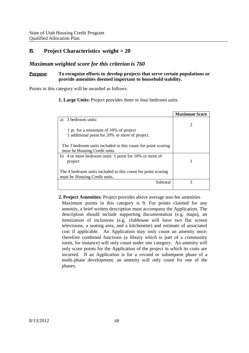# **B. Project Characteristics weight = 20**

## *Maximum weighted score for this criterion is 760*

## **Purpose: To recognize efforts to develop projects that serve certain populations or provide amenities deemed important to household stability.**

Points in this category will be awarded as follows:

## **1. Large Units:** Project provides three or four bedroom units

|                                                              | <b>Maximum Score</b> |
|--------------------------------------------------------------|----------------------|
| 3 bedroom units:<br>a)                                       |                      |
|                                                              |                      |
| 1 pt. for a minimum of 10% of project                        |                      |
| 1 additional point for 20% or more of project.               |                      |
|                                                              |                      |
| The 3 bedroom units included in this count for point scoring |                      |
| must be Housing Credit units.                                |                      |
| b) 4 or more bedroom units: 1 point for 10% or more of       |                      |
| project                                                      |                      |
|                                                              |                      |
| The 4 bedroom units included in this count for point scoring |                      |
| must be Housing Credit units.                                |                      |
| Subtotal                                                     | 3                    |
|                                                              |                      |

## **2. Project Amenities**: Project provides above average non-fee amenities

Maximum points in this category is 9. For points claimed for any amenity, a brief written description must accompany the Application. The description should include supporting documentation (e.g. maps), an itemization of inclusions (e.g. clubhouse will have two flat screen televisions, a seating area, and a kitchenette) and estimate of associated cost if applicable. An Application may only count an amenity once; therefore combined functions (a library which is part of a community room, for instance) will only count under one category. An amenity will only score points for the Application of the project in which its costs are incurred. If an Application is for a second or subsequent phase of a multi-phase development, an amenity will only count for one of the phases.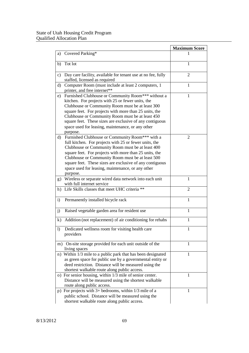|              |                                                                                                                                                                                                                                                                                                                                                                                                          | <b>Maximum Score</b> |
|--------------|----------------------------------------------------------------------------------------------------------------------------------------------------------------------------------------------------------------------------------------------------------------------------------------------------------------------------------------------------------------------------------------------------------|----------------------|
| a)           | Covered Parking*                                                                                                                                                                                                                                                                                                                                                                                         |                      |
| b)           | Tot lot                                                                                                                                                                                                                                                                                                                                                                                                  | 1                    |
| c)           | Day care facility, available for tenant use at no fee, fully<br>staffed, licensed as required                                                                                                                                                                                                                                                                                                            | $\overline{2}$       |
| $\mathbf{d}$ | Computer Room (must include at least 2 computers, 1<br>printer, and free internet**                                                                                                                                                                                                                                                                                                                      | 1                    |
| e)           | Furnished Clubhouse or Community Room*** without a<br>kitchen. For projects with 25 or fewer units, the<br>Clubhouse or Community Room must be at least 300<br>square feet. For projects with more than 25 units, the<br>Clubhouse or Community Room must be at least 450<br>square feet. These sizes are exclusive of any contiguous<br>space used for leasing, maintenance, or any other<br>purpose.   | 1                    |
| $\rm (d)$    | Furnished Clubhouse or Community Room*** with a<br>full kitchen. For projects with 25 or fewer units, the<br>Clubhouse or Community Room must be at least 400<br>square feet. For projects with more than 25 units, the<br>Clubhouse or Community Room must be at least 500<br>square feet. These sizes are exclusive of any contiguous<br>space used for leasing, maintenance, or any other<br>purpose. | $\overline{2}$       |
| g)           | Wireless or separate wired data network into each unit<br>with full internet service                                                                                                                                                                                                                                                                                                                     | 1                    |
| h)           | Life Skills classes that meet UHC criteria **                                                                                                                                                                                                                                                                                                                                                            | 2                    |
| $\mathbf{i}$ | Permanently installed bicycle rack                                                                                                                                                                                                                                                                                                                                                                       | $\mathbf{1}$         |
| j)           | Raised vegetable garden area for resident use                                                                                                                                                                                                                                                                                                                                                            | 1                    |
| $\mathbf{k}$ | Addition (not replacement) of air conditioning for rehabs                                                                                                                                                                                                                                                                                                                                                | $\mathbf{1}$         |
| $\mathbf{I}$ | Dedicated wellness room for visiting health care<br>providers                                                                                                                                                                                                                                                                                                                                            | 1                    |
| m)           | On-site storage provided for each unit outside of the<br>living spaces                                                                                                                                                                                                                                                                                                                                   | 1                    |
|              | n) Within 1/3 mile to a public park that has been designated<br>as green space for public use by a governmental entity or<br>deed restriction. Distance will be measured using the<br>shortest walkable route along public access.                                                                                                                                                                       | 1                    |
|              | o) For senior housing, within 1/3 mile of senior center.<br>Distance will be measured using the shortest walkable<br>route along public access.                                                                                                                                                                                                                                                          | 1                    |
|              | p) For projects with $3+$ bedrooms, within $1/3$ mile of a<br>public school. Distance will be measured using the<br>shortest walkable route along public access.                                                                                                                                                                                                                                         | 1                    |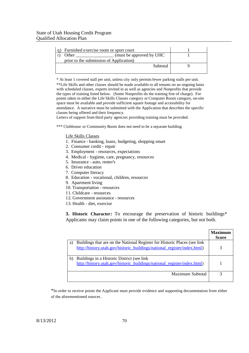| Furnished exercise room or sport court  |  |
|-----------------------------------------|--|
| (must be approved by UHC)<br>Other      |  |
| prior to the submission of Application) |  |
| Subtotal                                |  |
|                                         |  |

\* At least 1 covered stall per unit, unless city only permitsfewer parking stalls per unit. \*\*Life Skills and other classes should be made available to all tenants on an ongoing basis with scheduled classes, experts invited in as well as agencies and Nonprofits that provide the types of training listed below. (Some Nonprofits do the training free of charge). For points taken in either the Life Skills Classes category or Computer Room category, on-site space must be available and provide sufficient square footage and accessibility for attendance. A narrative must be submitted with the Application that describes the specific classes being offered and their frequency.

Letters of support from third party agencies providing training must be provided.

\*\*\* Clubhouse or Community Room does not need to be a separate building.

#### Life Skills Classes

- 1. Finance banking, loans, budgeting, shopping smart
- 2. Consumer credit repair
- 3. Employment resources, expectations
- 4. Medical hygiene, care, pregnancy, resources
- 5. Insurance auto, renter's
- 6. Driver education
- 7. Computer literacy
- 8. Education vocational, children, resources
- 9. Apartment living
- 10. Transportation resources
- 11. Childcare resources
- 12. Government assistance resources
- 13. Health diet, exercise

**3. Historic Character:** To encourage the preservation of historic buildings\* Applicants may claim points in one of the following categories, but not both.

|    |                                                                                                                                                       | <b>Maximum</b> |
|----|-------------------------------------------------------------------------------------------------------------------------------------------------------|----------------|
|    |                                                                                                                                                       | Score          |
| a) | Buildings that are on the National Register for Historic Places (see link<br>http://history.utah.gov/historic_buildings/national_register/index.html) |                |
|    |                                                                                                                                                       |                |
| b) | Buildings in a Historic District (see link)<br>http://history.utah.gov/historic buildings/national register/index.html)                               |                |
|    |                                                                                                                                                       |                |
|    | Maximum Subtotal                                                                                                                                      |                |

\*In order to receive points the Applicant must provide evidence and supporting documentation from either of the aforementioned sources.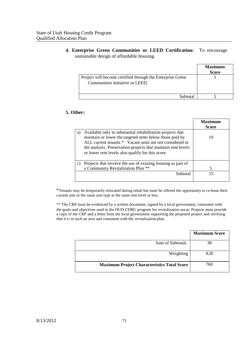**4. Enterprise Green Communities or LEED Certification:** To encourage sustainable design of affordable housing.

|                                                                                               | <b>Maximum</b><br><b>Score</b> |
|-----------------------------------------------------------------------------------------------|--------------------------------|
| Project will become certified through the Enterprise Green<br>Communities Initiative or LEED. |                                |
| Suhtotal                                                                                      |                                |

## **5. Other:**

|    |                                                                                                                                                                                                                                                                                                          | <b>Maximum</b><br><b>Score</b> |
|----|----------------------------------------------------------------------------------------------------------------------------------------------------------------------------------------------------------------------------------------------------------------------------------------------------------|--------------------------------|
| a) | Available only to substantial rehabilitation projects that<br>maintain or lower the targeted rents below those paid by<br>ALL current tenants.* Vacant units are not considered in<br>the analysis. Preservation projects that maintain rent levels<br>or lower rent levels also qualify for this score. | 10                             |
| c) | Projects that involve the use of existing housing as part of<br>a Community Revitalization Plan **                                                                                                                                                                                                       | 5                              |
|    | Subtotal                                                                                                                                                                                                                                                                                                 | 15                             |

\*Tenants may be temporarily relocated during rehab but must be offered the opportunity to re-lease their current unit or the same unit type at the same rent level or less.

\*\* The CRP must be evidenced by a written document, signed by a local government, consistent with the goals and objectives used in the HUD CDBG program for revitalization areas. Projects must provide a copy of the CRP and a letter from the local government supporting the proposed project and verifying that it is in such an area and consistent with the revitalization plan.

|                                                    | <b>Maximum Score</b> |
|----------------------------------------------------|----------------------|
| Sum of Subtotals                                   | 38                   |
| Weighting                                          | X20                  |
| <b>Maximum Project Characteristics Total Score</b> | 760                  |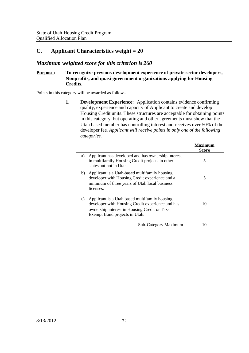# **C. Applicant Characteristics weight = 20**

# *Maximum weighted score for this criterion is 260*

## **Purpose: To recognize previous development experience of private sector developers, Nonprofits, and quasi-government organizations applying for Housing Credits.**

Points in this category will be awarded as follows:

**1. Development Experience:** Application contains evidence confirming quality, experience and capacity of Applicant to create and develop Housing Credit units. These structures are acceptable for obtaining points in this category, but operating and other agreements must show that the Utah based member has controlling interest and receives over 50% of the developer fee*. Applicant will receive points in only one of the following categories.*

|                                                                                                                                                                                          | Maximum<br><b>Score</b> |
|------------------------------------------------------------------------------------------------------------------------------------------------------------------------------------------|-------------------------|
| Applicant has developed and has ownership interest<br>a)<br>in multifamily Housing Credit projects in other<br>states but not in Utah.                                                   | 5                       |
| Applicant is a Utah-based multifamily housing<br>b)<br>developer with Housing Credit experience and a<br>minimum of three years of Utah local business<br>licenses.                      | 5                       |
| Applicant is a Utah based multifamily housing<br>c)<br>developer with Housing Credit experience and has<br>ownership interest in Housing Credit or Tax-<br>Exempt Bond projects in Utah. | 10                      |
| Sub-Category Maximum                                                                                                                                                                     | 10                      |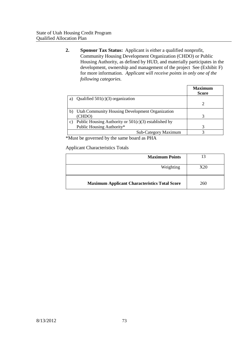**2. Sponsor Tax Status:** Applicant is either a qualified nonprofit, Community Housing Development Organization (CHDO) or Public Housing Authority, as defined by HUD, and materially participates in the development, ownership and management of the project See (Exhibit F) for more information. *Applicant will receive points in only one of the following categories.*

|    |                                                        | Maximum<br><b>Score</b> |
|----|--------------------------------------------------------|-------------------------|
| a) | Qualified $501(c)(3)$ organization                     |                         |
|    |                                                        |                         |
| b) | Utah Community Housing Development Organization        |                         |
|    | (CHDO)                                                 |                         |
| C) | Public Housing Authority or $501(c)(3)$ established by |                         |
|    | Public Housing Authority*                              |                         |
|    | Sub-Category Maximum                                   |                         |

\*Must be governed by the same board as PHA

Applicant Characteristics Totals

| <b>Maximum Points</b>                                | 13  |
|------------------------------------------------------|-----|
| Weighting                                            | X20 |
| <b>Maximum Applicant Characteristics Total Score</b> | 260 |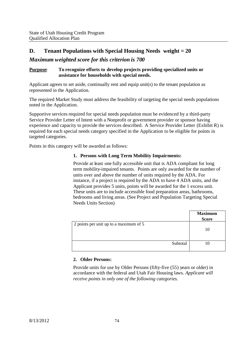# **D. Tenant Populations with Special Housing Needs weight = 20**

# *Maximum weighted score for this criterion is 700*

## **Purpose: To recognize efforts to develop projects providing specialized units or assistance for households with special needs.**

Applicant agrees to set aside, continually rent and equip unit(s) to the tenant population as represented in the Application.

The required Market Study must address the feasibility of targeting the special needs populations noted in the Application.

Supportive services required for special needs population must be evidenced by a third-party Service Provider Letter of Intent with a Nonprofit or government provider or sponsor having experience and capacity to provide the services described. A Service Provider Letter (Exhibit R) is required for each special needs category specified in the Application to be eligible for points in targeted categories.

Points in this category will be awarded as follows:

## **1. Persons with Long Term Mobility Impairments:**

Provide at least one fully accessible unit that is ADA compliant for long term mobility-impaired tenants. Points are only awarded for the number of units over and above the number of units required by the ADA. For instance, if a project is required by the ADA to have 4 ADA units, and the Applicant provides 5 units, points will be awarded for the 1 excess unit. These units are to include accessible food preparation areas, bathrooms, bedrooms and living areas. (See Project and Population Targeting Special Needs Units Section)

|                                        | <b>Maximum</b><br><b>Score</b> |
|----------------------------------------|--------------------------------|
| 2 points per unit up to a maximum of 5 | 10                             |
| Subtotal                               |                                |

## **2. Older Persons:**

Provide units for use by Older Persons (fifty-five (55) years or older) in accordance with the federal and Utah Fair Housing laws. *Applicant will receive points in only one of the following categories.*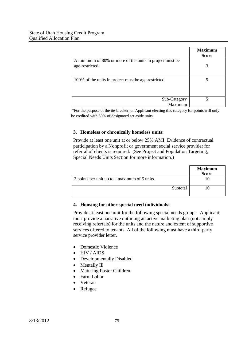|                                                                             | <b>Maximum</b><br><b>Score</b> |
|-----------------------------------------------------------------------------|--------------------------------|
| A minimum of 80% or more of the units in project must be<br>age-restricted. | 3                              |
| 100% of the units in project must be age-restricted.                        | 5                              |
| Sub-Category<br>Maximum                                                     |                                |

\*For the purpose of the tie-breaker, an Applicant electing this category for points will only be credited with 80% of designated set aside units.

## **3. Homeless or chronically homeless units:**

Provide at least one unit at or below 25% AMI. Evidence of contractual participation by a Nonprofit or government social service provider for referral of clients is required. (See Project and Population Targeting, Special Needs Units Section for more information.)

|                                               | <b>Maximum</b><br><b>Score</b> |
|-----------------------------------------------|--------------------------------|
| 2 points per unit up to a maximum of 5 units. |                                |
| Subtotal                                      |                                |

## **4. Housing for other special need individuals:**

Provide at least one unit for the following special needs groups. Applicant must provide a narrative outlining an active marketing plan (not simply receiving referrals) for the units and the nature and extent of supportive services offered to tenants. All of the following must have a third-party service provider letter.

- Domestic Violence
- HIV / AIDS
- Developmentally Disabled
- Mentally Ill
- Maturing Foster Children
- Farm Labor
- Veteran
- Refugee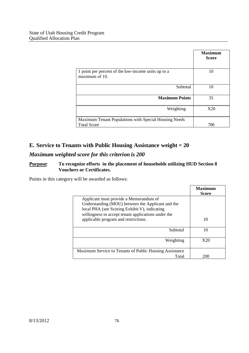|                                                                             | <b>Maximum</b><br><b>Score</b> |
|-----------------------------------------------------------------------------|--------------------------------|
| 1 point per percent of the low-income units up to a<br>maximum of 10.       | 10                             |
| Subtotal                                                                    | 10                             |
| <b>Maximum Points</b>                                                       | 35                             |
| Weighting                                                                   | X20                            |
| Maximum Tenant Populations with Special Housing Needs<br><b>Total Score</b> | 700                            |

# **E. Service to Tenants with Public Housing Assistance weight = 20**

# *Maximum weighted score for this criterion is 200*

# **Purpose: To recognize efforts in the placement of households utilizing HUD Section 8 Vouchers or Certificates.**

Points in this category will be awarded as follows:

|                                                                                                                                                                                                     | <b>Maximum</b><br><b>Score</b> |
|-----------------------------------------------------------------------------------------------------------------------------------------------------------------------------------------------------|--------------------------------|
| Applicant must provide a Memorandum of<br>Understanding (MOU) between the Applicant and the<br>local PHA (see Scoring Exhibit V), indicating<br>willingness to accept tenant applications under the |                                |
| applicable program and restrictions.                                                                                                                                                                | 10                             |
| Subtotal                                                                                                                                                                                            | 10                             |
| Weighting                                                                                                                                                                                           | X20                            |
| Maximum Service to Tenants of Public Housing Assistance                                                                                                                                             |                                |
| Total                                                                                                                                                                                               | 200                            |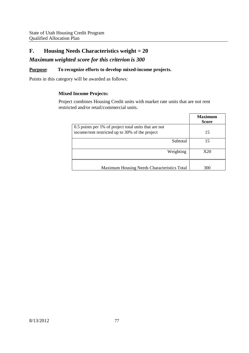# **F. Housing Needs Characteristics weight = 20**

# *Maximum weighted score for this criterion is 300*

## **Purpose: To recognize efforts to develop mixed-income projects.**

Points in this category will be awarded as follows:

## **Mixed Income Projects:**

Project combines Housing Credit units with market rate units that are not rent restricted and/or retail/commercial units.

|                                                                                                          | <b>Maximum</b><br><b>Score</b> |
|----------------------------------------------------------------------------------------------------------|--------------------------------|
| 0.5 points per 1% of project total units that are not<br>income/rent restricted up to 30% of the project | 15                             |
| Subtotal                                                                                                 | 15                             |
| Weighting                                                                                                | X20                            |
| Maximum Housing Needs Characteristics Total                                                              | 300                            |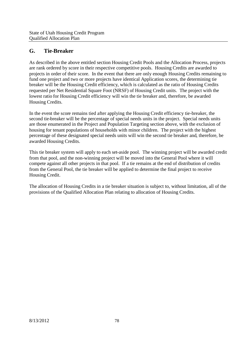# **G. Tie-Breaker**

As described in the above entitled section Housing Credit Pools and the Allocation Process, projects are rank ordered by score in their respective competitive pools. Housing Credits are awarded to projects in order of their score. In the event that there are only enough Housing Credits remaining to fund one project and two or more projects have identical Application scores, the determining tie breaker will be the Housing Credit efficiency, which is calculated as the ratio of Housing Credits requested per Net Residential Square Foot (NRSF) of Housing Credit units. The project with the lowest ratio for Housing Credit efficiency will win the tie breaker and, therefore, be awarded Housing Credits.

In the event the score remains tied after applying the Housing Credit efficiency tie-breaker, the second tie-breaker will be the percentage of special needs units in the project. Special needs units are those enumerated in the Project and Population Targeting section above, with the exclusion of housing for tenant populations of households with minor children. The project with the highest percentage of these designated special needs units will win the second tie breaker and, therefore, be awarded Housing Credits.

This tie breaker system will apply to each set-aside pool. The winning project will be awarded credit from that pool, and the non-winning project will be moved into the General Pool where it will compete against all other projects in that pool. If a tie remains at the end of distribution of credits from the General Pool, the tie breaker will be applied to determine the final project to receive Housing Credit.

The allocation of Housing Credits in a tie breaker situation is subject to, without limitation, all of the provisions of the Qualified Allocation Plan relating to allocation of Housing Credits.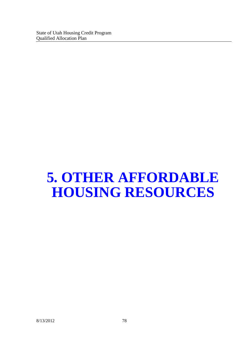# **5. OTHER AFFORDABLE HOUSING RESOURCES**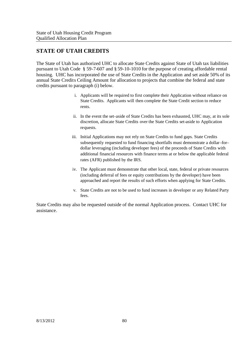# **STATE OF UTAH CREDITS**

The State of Utah has authorized UHC to allocate State Credits against State of Utah tax liabilities pursuant to Utah Code § 59-7-607 and § 59-10-1010 for the purpose of creating affordable rental housing. UHC has incorporated the use of State Credits in the Application and set aside 50% of its annual State Credits Ceiling Amount for allocation to projects that combine the federal and state credits pursuant to paragraph (i) below.

- i. Applicants will be required to first complete their Application without reliance on State Credits. Applicants will then complete the State Credit section to reduce rents.
- ii. In the event the set-aside of State Credits has been exhausted, UHC may, at its sole discretion, allocate State Credits over the State Credits set-aside to Application requests.
- iii. Initial Applications may not rely on State Credits to fund gaps. State Credits subsequently requested to fund financing shortfalls must demonstrate a dollar–for– dollar leveraging (including developer fees) of the proceeds of State Credits with additional financial resources with finance terms at or below the applicable federal rates (AFR) published by the IRS.
- iv. The Applicant must demonstrate that other local, state, federal or private resources (including deferral of fees or equity contributions by the developer) have been approached and report the results of such efforts when applying for State Credits.
- v. State Credits are not to be used to fund increases in developer or any Related Party fees.

State Credits may also be requested outside of the normal Application process. Contact UHC for assistance.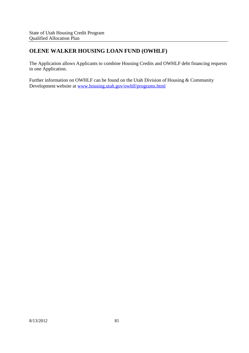# **OLENE WALKER HOUSING LOAN FUND (OWHLF)**

The Application allows Applicants to combine Housing Credits and OWHLF debt financing requests in one Application.

Further information on OWHLF can be found on the Utah Division of Housing & Community Development website at www.housing.utah.gov/owhlf/programs.html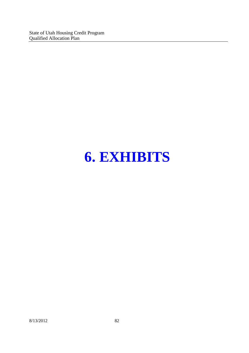State of Utah Housing Credit Program Qualified Allocation Plan

# **6. EXHIBITS**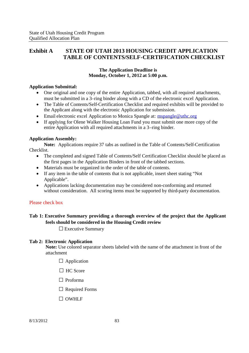# **Exhibit A STATE OF UTAH 2013 HOUSING CREDIT APPLICATION TABLE OF CONTENTS/SELF-CERTIFICATION CHECKLIST**

## **The Application Deadline is Monday, October 1, 2012 at 5:00 p.m.**

## **Application Submittal:**

- One original and one copy of the entire Application, tabbed, with all required attachments, must be submitted in a 3–ring binder along with a CD of the electronic excel Application.
- The Table of Contents/Self-Certification Checklist and required exhibits will be provided to the Applicant along with the electronic Application for submission.
- Email electronic excel Application to Monica Spangle at: mspangle@uthc.org
- If applying for Olene Walker Housing Loan Fund you must submit one more copy of the entire Application with all required attachments in a 3–ring binder.

## **Application Assembly:**

**Note:** Applications require 37 tabs as outlined in the Table of Contents/Self-Certification Checklist.

- The completed and signed Table of Contents/Self Certification Checklist should be placed as the first pages in the Application Binders in front of the tabbed sections.
- Materials must be organized in the order of the table of contents.
- If any item in the table of contents that is not applicable, insert sheet stating "Not Applicable".
- Applications lacking documentation may be considered non-conforming and returned without consideration. All scoring items must be supported by third-party documentation.

## Please check box

# **Tab 1: Executive Summary providing a thorough overview of the project that the Applicant feels should be considered in the Housing Credit review**

 $\square$  Executive Summary

## **Tab 2: Electronic Application**

**Note:** Use colored separator sheets labeled with the name of the attachment in front of the attachment

- $\Box$  Application
- $\Box$  HC Score
- □ Proforma
- $\Box$  Required Forms
- □ OWHLF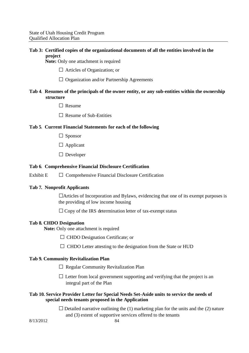## **Tab 3: Certified copies of the organizational documents of all the entities involved in the project**

**Note:** Only one attachment is required

- □ Articles of Organization; or
- □ Organization and/or Partnership Agreements

## **Tab 4**. **Resumes of the principals of the owner entity, or any sub-entities within the ownership structure**

- □Resume
- $\Box$  Resume of Sub-Entities

## **Tab 5**. **Current Financial Statements for each of the following**

- $\Box$  Sponsor
- □ Applicant
- □ Developer

#### **Tab 6**. **Comprehensive Financial Disclosure Certification**

Exhibit  $E \Box$  Comprehensive Financial Disclosure Certification

#### **Tab 7. Nonprofit Applicants**

□Articles of Incorporation and Bylaws, evidencing that one of its exempt purposes is the providing of low income housing

 $\Box$  Copy of the IRS determination letter of tax-exempt status

#### **Tab 8. CHDO Designation**

**Note:** Only one attachment is required

- □ CHDO Designation Certificate; or
- $\Box$  CHDO Letter attesting to the designation from the State or HUD

#### **Tab 9. Community Revitalization Plan**

- $\Box$  Regular Community Revitalization Plan
- $\square$  Letter from local government supporting and verifying that the project is an integral part of the Plan

## **Tab 10. Service Provider Letter for Special Needs Set-Aside units to service the needs of special needs tenants proposed in the Application**

 $\square$  Detailed narrative outlining the (1) marketing plan for the units and the (2) nature and (3) extent of supportive services offered to the tenants

8/13/2012 84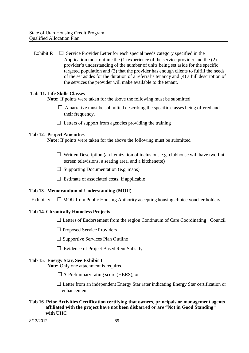Exhibit R  $\square$  Service Provider Letter for each special needs category specified in the Application must outline the (1) experience of the service provider and the (2) provider's understanding of the number of units being set aside for the specific targeted population and (3) that the provider has enough clients to fulfill the needs of the set asides for the duration of a referral's tenancy and (4) a full description of the services the provider will make available to the tenant.

## **Tab 11. Life Skills Classes**

**Note:** If points were taken for the above the following must be submitted

- $\Box$  A narrative must be submitted describing the specific classes being offered and their frequency.
- $\Box$  Letters of support from agencies providing the training

## **Tab 12. Project Amenities**

**Note:** If points were taken for the above the following must be submitted

- $\square$  Written Description (an itemization of inclusions e.g. clubhouse will have two flat screen televisions, a seating area, and a kitchenette)
- $\Box$  Supporting Documentation (e.g. maps)
- $\square$  Estimate of associated costs, if applicable

## **Tab 13. Memorandum of Understanding (MOU)**

Exhibit V  $\Box$  MOU from Public Housing Authority accepting housing choice voucher holders

## **Tab 14. Chronically Homeless Projects**

 $\square$  Letters of Endorsement from the region Continuum of Care Coordinating Council

- □ Proposed Service Providers
- $\square$  Supportive Services Plan Outline
- □ Evidence of Project Based Rent Subsidy

## **Tab 15. Energy Star, See Exhibit T**

**Note:** Only one attachment is required

- $\square$  A Preliminary rating score (HERS); or
- $\square$  Letter from an independent Energy Star rater indicating Energy Star certification or enhancement
- **Tab 16. Prior Activities Certification certifying that owners, principals or management agents affiliated with the project have not been disbarred or are "Not in Good Standing" with UHC**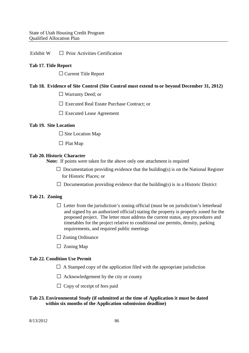Exhibit  $W \Box$  Prior Activities Certification

## **Tab 17. Title Report**

□ Current Title Report

#### **Tab 18. Evidence of Site Control (Site Control must extend to or beyond December 31, 2012)**

- □ Warranty Deed; or
- □ Executed Real Estate Purchase Contract; or
- □ Executed Lease Agreement

#### **Tab 19. Site Location**

 $\square$  Site Location Map

 $\Box$  Plat Map

#### **Tab 20. Historic Character**

**Note:** If points were taken for the above only one attachment is required

- $\square$  Documentation providing evidence that the building(s) is on the National Register for Historic Places; or
- $\square$  Documentation providing evidence that the building(s) is in a Historic District

#### **Tab 21. Zoning**

- $\Box$  Letter from the jurisdiction's zoning official (must be on jurisdiction's letterhead and signed by an authorized official) stating the property is properly zoned for the proposed project. The letter must address the current status, any procedures and timetables for the project relative to conditional use permits, density, parking requirements, and required public meetings
- $\square$  Zoning Ordinance
- $\Box$  Zoning Map

#### **Tab 22. Condition Use Permit**

- $\Box$  A Stamped copy of the application filed with the appropriate jurisdiction
- $\Box$  Acknowledgement by the city or county
- $\Box$  Copy of receipt of fees paid

#### **Tab 23. Environmental Study (if submitted at the time of Application it must be dated within six months of the Application submission deadline)**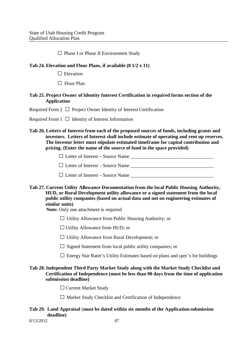□ Phase I or Phase II Environment Study

## **Tab 24. Elevation and Floor Plans, if available (8 1/2 x 11)**

 $\Box$  Elevation

□ Floor Plan

## Tab 25. Project Owner of Identity Interest Certification in required forms section of the **Application**

Required Form 2  $\Box$  Project Owner Identity of Interest Certification

Required Form  $1 \square$  Identity of Interest Information

**Tab 26. Letters of Interest from each of the proposed sources of funds, including grants and investors. Letters of Interest shall include estimate of operating and rent up reserves. The Investor letter must stipulate estimated timeframe for capital contribution and pricing. (Enter the name of the source of fund in the space provided)**

□Letter of Interest – Source Name \_\_\_\_\_\_\_\_\_\_\_\_\_\_\_\_\_\_\_\_\_\_\_\_\_\_\_\_\_\_\_\_\_\_

 $\Box$  Letter of Interest – Source Name

 $\Box$  Letter of Interest – Source Name  $\Box$ 

**Tab 27. Current Utility Allowance Documentation from the local Public Housing Authority, HUD, or Rural Development utility allowance or a signed statement from the local public utility companies (based on actual data and not on engineering estimates of similar units)**

**Note:** Only one attachment is required

 $\Box$  Utility Allowance from Public Housing Authority; or

 $\Box$  Utility Allowance from HUD; or

□ Utility Allowance from Rural Development; or

 $\square$  Signed Statement from local public utility companies; or

 $\square$  Energy Star Rater's Utility Estimates based on plans and spec's for buildings

## **Tab 28. Independent Third Party Market Study along with the Market Study Checklist and Certification of Independence (must be less than 90 days from the time of application submission deadline)**

□ Current Market Study

 $\Box$  Market Study Checklist and Certification of Independence

## **Tab 29. Land Appraisal** (**must be dated within six months of the Application submission deadline)**

8/13/2012 87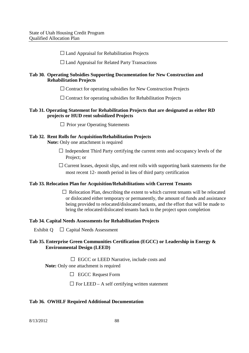$\Box$  Land Appraisal for Rehabilitation Projects

 $\Box$  Land Appraisal for Related Party Transactions

## **Tab 30. Operating Subsidies Supporting Documentation for New Construction and Rehabilitation Projects**

 $\square$  Contract for operating subsidies for New Construction Projects

 $\square$  Contract for operating subsidies for Rehabilitation Projects

## **Tab 31. Operating Statement for Rehabilitation Projects that are designated as either RD projects or HUD rent subsidized Projects**

 $\Box$  Prior year Operating Statements

# **Tab 32. Rent Rolls for Acquisition/Rehabilitation Projects**

**Note:** Only one attachment is required

- $\Box$  Independent Third Party certifying the current rents and occupancy levels of the Project: or
- $\Box$  Current leases, deposit slips, and rent rolls with supporting bank statements for the most recent 12- month period in lieu of third party certification

## **Tab 33. Relocation Plan for Acquisition/Rehabilitations with Current Tenants**

 $\Box$  Relocation Plan, describing the extent to which current tenants will be relocated or dislocated either temporary or permanently, the amount of funds and assistance being provided to relocated/dislocated tenants, and the effort that will be made to bring the relocated/dislocated tenants back to the project upon completion

## **Tab 34. Capital Needs Assessments for Rehabilitation Projects**

Exhibit  $Q \square$  Capital Needs Assessment

## **Tab 35. Enterprise Green Communities Certification (EGCC) or Leadership in Energy & Environmental Design (LEED)**

 $\Box$  EGCC or LEED Narrative, include costs and

**Note:** Only one attachment is required

□ EGCC Request Form

 $\square$  For LEED – A self certifying written statement

## **Tab 36. OWHLF Required Additional Documentation**

8/13/2012 88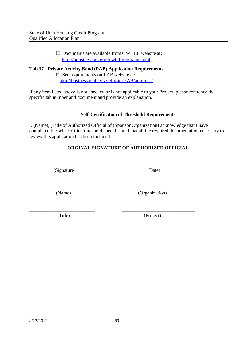□ Documents are available from OWHLF website at: http://housing.utah.gov/owhlf/programs.html

**Tab 37. Private Activity Bond (PAB) Application Requirements**

□ See requirements on PAB website at: http://business.utah.gov/relocate/PAB/app-fees/

If any item listed above is not checked or is not applicable to your Project, please reference the specific tab number and document and provide an explanation.

## **Self-Certification of Threshold Requirements**

I, (Name), (Title of Authorized Official of (Sponsor Organization) acknowledge that I have completed the self-certified threshold checklist and that all the required documentation necessary to review this application has been included.

# **ORGINAL SIGNATURE OF AUTHORIZED OFFICIAL**

\_\_\_\_\_\_\_\_\_\_\_\_\_\_\_\_\_\_\_\_\_\_\_\_\_\_\_ \_\_\_\_\_\_\_\_\_\_\_\_\_\_\_\_\_\_\_\_\_\_\_\_\_\_\_\_\_

\_\_\_\_\_\_\_\_\_\_\_\_\_\_\_\_\_\_\_\_\_\_\_\_\_\_\_ \_\_\_\_\_\_\_\_\_\_\_\_\_\_\_\_\_\_\_\_\_\_\_\_\_\_\_\_\_\_

\_\_\_\_\_\_\_\_\_\_\_\_\_\_\_\_\_\_\_\_\_\_\_\_\_\_\_ \_\_\_\_\_\_\_\_\_\_\_\_\_\_\_\_\_\_\_\_\_\_\_\_\_\_\_\_\_\_ (Signature) (Date)

(Name) (Organization)

(Title) (Project)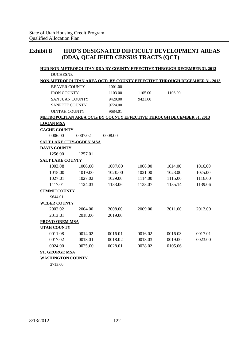# **Exhibit B HUD'S DESIGNATED DIFFICULT DEVELOPMENT AREAS (DDA), QUALIFIED CENSUS TRACTS (QCT)**

|                                 |         | <b>HUD NON-METROPOLITAN DDA BY COUNTY EFFECTIVE THROUGH DECEMBER 31, 2012</b>   |         |         |         |
|---------------------------------|---------|---------------------------------------------------------------------------------|---------|---------|---------|
| <b>DUCHESNE</b>                 |         |                                                                                 |         |         |         |
|                                 |         | <b>NON-METROPOLITAN AREA OCTs BY COUNTY EFFECTIVE THROUGH DECEMBER 31, 2013</b> |         |         |         |
| <b>BEAVER COUNTY</b>            |         | 1001.00                                                                         |         |         |         |
| <b>IRON COUNTY</b>              |         | 1103.00                                                                         | 1105.00 | 1106.00 |         |
| <b>SAN JUAN COUNTY</b>          |         | 9420.00                                                                         | 9421.00 |         |         |
| <b>SANPETE COUNTY</b>           |         | 9724.00                                                                         |         |         |         |
| <b>UINTAH COUNTY</b>            |         | 9684.01                                                                         |         |         |         |
|                                 |         | <b>METROPOLITAN AREA QCTs BY COUNTY EFFECTIVE THROUGH DECEMBER 31, 2013</b>     |         |         |         |
| <b>LOGAN MSA</b>                |         |                                                                                 |         |         |         |
| <b>CACHE COUNTY</b>             |         |                                                                                 |         |         |         |
| 0006.00                         | 0007.02 | 0008.00                                                                         |         |         |         |
| <b>SALT LAKE CITY-OGDEN MSA</b> |         |                                                                                 |         |         |         |
| <b>DAVIS COUNTY</b>             |         |                                                                                 |         |         |         |
| 1256.00                         | 1257.01 |                                                                                 |         |         |         |
| <b>SALT LAKE COUNTY</b>         |         |                                                                                 |         |         |         |
| 1003.08                         | 1006.00 | 1007.00                                                                         | 1008.00 | 1014.00 | 1016.00 |
| 1018.00                         | 1019.00 | 1020.00                                                                         | 1021.00 | 1023.00 | 1025.00 |
| 1027.01                         | 1027.02 | 1029.00                                                                         | 1114.00 | 1115.00 | 1116.00 |
| 1117.01                         | 1124.03 | 1133.06                                                                         | 1133.07 | 1135.14 | 1139.06 |
| <b>SUMMITCOUNTY</b>             |         |                                                                                 |         |         |         |
| 9644.01                         |         |                                                                                 |         |         |         |
| <b>WEBER COUNTY</b>             |         |                                                                                 |         |         |         |
| 2002.02                         | 2004.00 | 2008.00                                                                         | 2009.00 | 2011.00 | 2012.00 |
| 2013.01                         | 2018.00 | 2019.00                                                                         |         |         |         |
| <b>PROVO-OREM MSA</b>           |         |                                                                                 |         |         |         |
| <b>UTAH COUNTY</b>              |         |                                                                                 |         |         |         |
| 0011.08                         | 0014.02 | 0016.01                                                                         | 0016.02 | 0016.03 | 0017.01 |
| 0017.02                         | 0018.01 | 0018.02                                                                         | 0018.03 | 0019.00 | 0023.00 |
| 0024.00                         | 0025.00 | 0028.01                                                                         | 0028.02 | 0105.06 |         |
| <b>ST. GEORGE MSA</b>           |         |                                                                                 |         |         |         |
| <b>WASHINGTON COUNTY</b>        |         |                                                                                 |         |         |         |

2713.00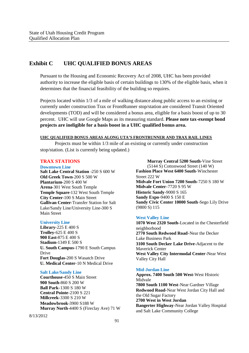# **Exhibit C UHC QUALIFIED BONUS AREAS**

Pursuant to the Housing and Economic Recovery Act of 2008, UHC has been provided authority to increase the eligible basis of certain buildings to 130% of the eligible basis, when it determines that the financial feasibility of the building so requires.

Projects located within 1/3 of a mile of walking distance along public access to an existing or currently under construction Trax or FrontRunner stop/station are considered Transit Oriented developments (TOD) and will be considered a bonus area, eligible for a basis boost of up to 30 percent. UHC will use Google Maps as its measuring standard. **Please note tax-exempt bond projects are ineligible for a basis boost in a UHC qualified bonus area.**

#### **UHC QUALIFIED BONUS AREAS ALONG UTA'S FRONTRUNNER AND TRAX RAIL LINES**

Projects must be within 1/3 mile of an existing or currently under construction stop/station. (List is currently being updated.)

#### **TRAX STATIONS**

#### **Downtown Line**

**Salt Lake Central Station** -250 S 600 W **Old Greek Town**-200 S 500 W **Plantarium**-200 S 400 W **Arena**-301 West South Temple **Temple Square**-132 West South Temple **City Center**-100 S Main Street **Gallivan Center**-Transfer Station for Salt Lake/Sandy Line/University Line-300 S Main Street

#### **University Line**

**Library**-225 E 400 S **Trolley**-625 E 400 S **900 East**-875 E 400 S **Stadium**-1349 E 500 S **U. South Campus**-1790 E South Campus Drive **Fort Douglas**-200 S Wasatch Drive **U. Medical Center**-10 N Medical Drive

#### **Salt Lake/Sandy Line**

**Courthouse**-450 S Main Street **900 South**-860 S 200 W **Ball Park**-1300 S 180 W **Central Pointe**-2100 S 221 **Millcreek**-3300 S 210 W **Meadowbrook**-3900 S188 W **Murray North**-4400 S (Fireclay Ave) 71 W

(5144 S) Cottonwood Street (140 W) **Fashion Place West 6400 South**-Winchester Street 222 W **Midvale Fort Union 7200 South**-7250 S 180 W **Midvale Center**-7720 S 95 W **Historic Sandy**-9000 S 165 **Sandy Expo**-9400 S 150 E **Sandy Civic Center 10000 South**-Sego Lily Drive (9800 S) 115

**Murray Central 5200 South**-Vine Street

#### **West Valley Line**

**1070 West 2320 South-**Located in the Chesterfield neighborhood **2770 South Redwood Road-**Near the Decker Lake Business Park **3100 South Decker Lake Drive-**Adjacent to the Maverick Center **West Valley City Intermodal Center-**Near West Valley City Hall

#### **Mid-Jordan Line**

**Approx. 7400 South 500 West-**West Historic Midvale **7800 South 1100 West**-Near Gardner Village **Redwood Road-**Near West Jordan City Hall and the Old Sugar Factory **2700 West in West Jordan Bangerter Highway-**Near Jordan Valley Hospital and Salt Lake Community College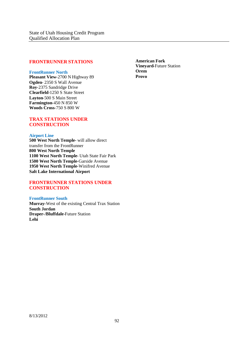#### **FRONTRUNNER STATIONS**

#### **FrontRunner North**

**Pleasant View**-2700 N Highway 89 **Ogden**- 2350 S Wall Avenue **Roy**-2375 Sandridge Drive **Clearfield**-1250 S State Street **Layton**-500 S Main Street **Farmington**-450 N 850 W **Woods Cross**-750 S 800 W

**TRAX STATIONS UNDER CONSTRUCTION**

#### **Airport Line**

**500 West North Temple-** will allow direct transfer from the FrontRunner **800 West North Temple 1100 West North Temple**- Utah State Fair Park **1500 West North Temple**-Garside Avenue **1950 West North Temple**-Winifred Avenue **Salt Lake International Airport**

#### **FRONTRUNNER STATIONS UNDER CONSTRUCTION**

#### **FrontRunner South**

**Murray-**West of the existing Central Trax Station **South Jordan Draper-/Bluffdale**-Future Station **Lehi**

**American Fork Vineyard-**Future Station **Orem Provo**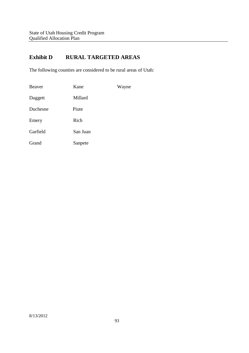# **Exhibit D RURAL TARGETED AREAS**

The following counties are considered to be rural areas of Utah:

| Beaver   | Kane     | Wayne |
|----------|----------|-------|
| Daggett  | Millard  |       |
| Duchesne | Piute    |       |
| Emery    | Rich     |       |
| Garfield | San Juan |       |
| Grand    | Sanpete  |       |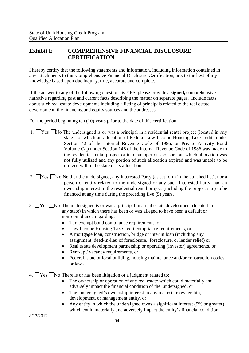# **Exhibit E COMPREHENSIVE FINANCIAL DISCLOSURE CERTIFICATION**

I hereby certify that the following statements and information, including information contained in any attachments to this Comprehensive Financial Disclosure Certification, are, to the best of my knowledge based upon due inquiry, true, accurate and complete.

If the answer to any of the following questions is YES, please provide a **signed,** comprehensive narrative regarding past and current facts describing the matter on separate pages. Include facts about such real estate developments including a listing of principals related to the real estate development, the financing and equity sources and the addresses.

For the period beginning ten (10) years prior to the date of this certification:

- 1.  $\Box$  Yes  $\Box$  No The undersigned is or was a principal in a residential rental project (located in any state) for which an allocation of Federal Low Income Housing Tax Credits under Section 42 of the Internal Revenue Code of 1986, or Private Activity Bond Volume Cap under Section 146 of the Internal Revenue Code of 1986 was made to the residential rental project or its developer or sponsor, but which allocation was not fully utilized and any portion of such allocation expired and was unable to be utilized within the state of its allocation.
- 2.  $\Box$  Yes  $\Box$  No Neither the undersigned, any Interested Party (as set forth in the attached list), nor a person or entity related to the undersigned or any such Interested Party, had an ownership interest in the residential rental project (including the project site) to be financed at any time during the preceding five (5) years.
- 3.  $\Box$  Yes  $\Box$  No The undersigned is or was a principal in a real estate development (located in any state) in which there has been or was alleged to have been a default or non-compliance regarding:
	- Tax-exempt bond compliance requirements, or
	- Low Income Housing Tax Credit compliance requirements, or
	- A mortgage loan, construction, bridge or interim loan (including any assignment, deed-in-lieu of foreclosure, foreclosure, or lender relief) or
	- Real estate development partnership or operating (investor) agreements, or
	- Rent-up / vacancy requirements, or
	- Federal, state or local building, housing maintenance and/or construction codes or laws.

4.  $\Box$  Yes  $\Box$  No There is or has been litigation or a judgment related to:

- The ownership or operation of any real estate which could materially and adversely impact the financial condition of the undersigned, or
- The undersigned's ownership interest in any real estate ownership, development, or management entity, or
- Any entity in which the undersigned owns a significant interest (5% or greater) which could materially and adversely impact the entity's financial condition.

8/13/2012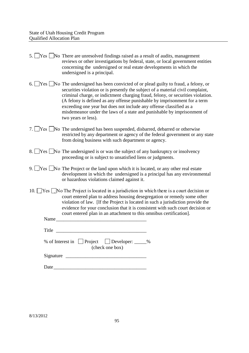- 5. Yes No There are unresolved findings raised as a result of audits, management reviews or other investigations by federal, state, or local government entities concerning the undersigned or real estate developments in which the undersigned is a principal.
- 6. Yes No The undersigned has been convicted of or plead guilty to fraud, a felony, or securities violation or is presently the subject of a material civil complaint, criminal charge, or indictment charging fraud, felony, or securities violation. (A felony is defined as any offense punishable by imprisonment for a term exceeding one year but does not include any offense classified as a misdemeanor under the laws of a state and punishable by imprisonment of two years or less).
- 7.  $\Box$  Yes  $\Box$  No The undersigned has been suspended, disbarred, debarred or otherwise restricted by any department or agency of the federal government or any state from doing business with such department or agency.
- 8.  $\triangleright$  Yes  $\triangleright$  No The undersigned is or was the subject of any bankruptcy or insolvency proceeding or is subject to unsatisfied liens or judgments.
- 9.  $\sqrt{9}$   $\sqrt{9}$  No The Project or the land upon which it is located, or any other real estate development in which the undersigned is a principal has any environmental or hazardous violations claimed against it.
- 10.  $\Box$  Yes  $\Box$  No The Project is located in a jurisdiction in which there is a court decision or court entered plan to address housing desegregation or remedy some other violation of law. [If the Project is located in such a jurisdiction provide the evidence for your conclusion that it is consistent with such court decision or court entered plan in an attachment to this omnibus certification].

Name

Title  $\Box$ 

% of Interest in  $\Box$  Project  $\Box$  Developer:  $\Box$ % (check one box)

Signature \_\_\_\_\_\_\_\_\_\_\_\_\_\_\_\_\_\_\_\_\_\_\_\_\_\_\_\_\_\_\_\_\_

Date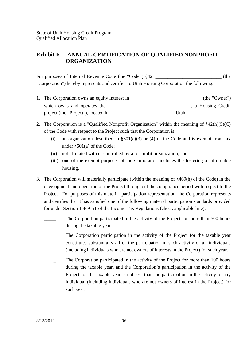# **Exhibit F ANNUAL CERTIFICATION OF QUALIFIED NONPROFIT ORGANIZATION**

For purposes of Internal Revenue Code (the "Code") §42,  $\qquad \qquad$  (the "Corporation") hereby represents and certifies to Utah Housing Corporation the following:

- 1. The Corporation owns an equity interest in  $(the "Owner")$ which owns and operates the extension of the set of the set of the set of the set of the set of the set of the set of the set of the set of the set of the set of the set of the set of the set of the set of the set of the s project (the "Project"), located in \_\_\_\_\_\_\_\_\_\_\_\_\_\_\_\_\_\_\_\_\_\_\_\_\_\_\_\_\_\_\_\_\_\_. Utah.
- 2. The Corporation is a "Qualified Nonprofit Organization" within the meaning of §42(h)(5)(C) of the Code with respect to the Project such that the Corporation is:
	- (i) an organization described in  $\S501(c)(3)$  or (4) of the Code and is exempt from tax under §501(a) of the Code;
	- (ii) not affiliated with or controlled by a for-profit organization; and
	- (iii) one of the exempt purposes of the Corporation includes the fostering of affordable housing.
- 3. The Corporation will materially participate (within the meaning of §469(h) of the Code) in the development and operation of the Project throughout the compliance period with respect to the Project. For purposes of this material participation representation, the Corporation represents and certifies that it has satisfied one of the following material participation standards provided for under Section 1.469-5T of the Income Tax Regulations (check applicable line):
	- The Corporation participated in the activity of the Project for more than 500 hours during the taxable year.
	- The Corporation participation in the activity of the Project for the taxable year constitutes substantially all of the participation in such activity of all individuals (including individuals who are not owners of interests in the Project) for such year.
	- The Corporation participated in the activity of the Project for more than 100 hours during the taxable year, and the Corporation's participation in the activity of the Project for the taxable year is not less than the participation in the activity of any individual (including individuals who are not owners of interest in the Project) for such year.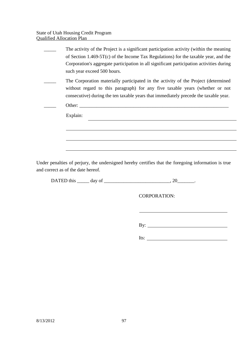| The activity of the Project is a significant participation activity (within the meaning                                                                                                                                                                    |
|------------------------------------------------------------------------------------------------------------------------------------------------------------------------------------------------------------------------------------------------------------|
| of Section 1.469-5T(c) of the Income Tax Regulations) for the taxable year, and the                                                                                                                                                                        |
| Corporation's aggregate participation in all significant participation activities during                                                                                                                                                                   |
| such year exceed 500 hours.                                                                                                                                                                                                                                |
| The Corporation materially participated in the activity of the Project (determined<br>without regard to this paragraph) for any five taxable years (whether or not<br>consecutive) during the ten taxable years that immediately precede the taxable year. |
| Other: the contract of the contract of the contract of the contract of the contract of the contract of the contract of the contract of the contract of the contract of the contract of the contract of the contract of the con                             |
| Explain:                                                                                                                                                                                                                                                   |
|                                                                                                                                                                                                                                                            |
|                                                                                                                                                                                                                                                            |
|                                                                                                                                                                                                                                                            |
|                                                                                                                                                                                                                                                            |

Under penalties of perjury, the undersigned hereby certifies that the foregoing information is true and correct as of the date hereof.

DATED this \_\_\_\_\_\_ day of \_\_\_\_\_\_\_\_\_\_\_\_\_\_\_\_\_\_\_\_\_\_\_\_\_\_\_\_, 20\_\_\_\_\_\_\_\_.

CORPORATION:

By:

Its:  $\qquad \qquad$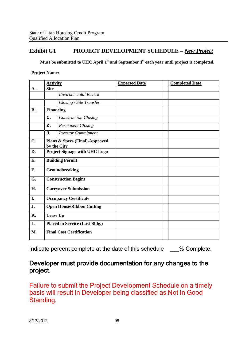# **Exhibit G1 PROJECT DEVELOPMENT SCHEDULE –** *New Project*

**Must be submitted to UHC April 1st and September 1st each year until project is completed.**

**Project Name:**

| <b>Activity</b>                       |                             | <b>Expected Date</b>                                                                                                                | <b>Completed Date</b> |
|---------------------------------------|-----------------------------|-------------------------------------------------------------------------------------------------------------------------------------|-----------------------|
| <b>Site</b>                           |                             |                                                                                                                                     |                       |
|                                       | <b>Environmental Review</b> |                                                                                                                                     |                       |
|                                       | Closing / Site Transfer     |                                                                                                                                     |                       |
|                                       |                             |                                                                                                                                     |                       |
| 1.                                    | <b>Construction Closing</b> |                                                                                                                                     |                       |
| 2.                                    | <b>Permanent Closing</b>    |                                                                                                                                     |                       |
| 3.                                    | <b>Investor Commitment</b>  |                                                                                                                                     |                       |
|                                       |                             |                                                                                                                                     |                       |
| <b>Project Signage with UHC Logo</b>  |                             |                                                                                                                                     |                       |
| <b>Building Permit</b>                |                             |                                                                                                                                     |                       |
| Groundbreaking                        |                             |                                                                                                                                     |                       |
| <b>Construction Begins</b>            |                             |                                                                                                                                     |                       |
|                                       |                             |                                                                                                                                     |                       |
| <b>Occupancy Certificate</b>          |                             |                                                                                                                                     |                       |
| <b>Open House/Ribbon Cutting</b>      |                             |                                                                                                                                     |                       |
| Lease Up                              |                             |                                                                                                                                     |                       |
| <b>Placed in Service (Last Bldg.)</b> |                             |                                                                                                                                     |                       |
|                                       |                             |                                                                                                                                     |                       |
|                                       |                             | <b>Financing</b><br>Plans & Specs (Final)-Approved<br>by the City<br><b>Carryover Submission</b><br><b>Final Cost Certification</b> |                       |

Indicate percent complete at the date of this schedule \_\_\_% Complete.

# Developer must provide documentation for any changes to the project.

Failure to submit the Project Development Schedule on a timely basis will result in Developer being classified as Not in Good Standing.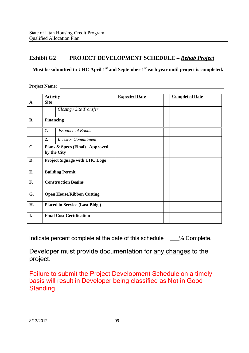# **Exhibit G2 PROJECT DEVELOPMENT SCHEDULE –** *Rehab Project*

**Must be submitted to UHC April 1st and September 1st each year until project is completed.**

**Project Name:**

|           | <b>Activity</b>                                |                            | <b>Expected Date</b> | <b>Completed Date</b> |
|-----------|------------------------------------------------|----------------------------|----------------------|-----------------------|
| A.        | <b>Site</b>                                    |                            |                      |                       |
|           |                                                | Closing / Site Transfer    |                      |                       |
| <b>B.</b> | <b>Financing</b>                               |                            |                      |                       |
|           | 1.                                             | <b>Issuance of Bonds</b>   |                      |                       |
|           | $\overline{2}$ .                               | <b>Investor Commitment</b> |                      |                       |
| C.        | Plans & Specs (Final) -Approved<br>by the City |                            |                      |                       |
| D.        | Project Signage with UHC Logo                  |                            |                      |                       |
| E.        | <b>Building Permit</b>                         |                            |                      |                       |
| F.        | <b>Construction Begins</b>                     |                            |                      |                       |
| G.        | <b>Open House/Ribbon Cutting</b>               |                            |                      |                       |
| H.        | <b>Placed in Service (Last Bldg.)</b>          |                            |                      |                       |
| I.        | <b>Final Cost Certification</b>                |                            |                      |                       |

Indicate percent complete at the date of this schedule \_\_\_% Complete.

Developer must provide documentation for any changes to the project.

Failure to submit the Project Development Schedule on a timely basis will result in Developer being classified as Not in Good **Standing**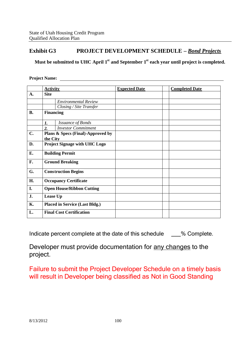# **Exhibit G3 PROJECT DEVELOPMENT SCHEDULE –** *Bond Projects*

**Must be submitted to UHC April 1st and September 1st each year until project is completed.**

#### **Project Name:**

|                | <b>Activity</b>                       |                                      | <b>Expected Date</b> | <b>Completed Date</b> |
|----------------|---------------------------------------|--------------------------------------|----------------------|-----------------------|
| $\mathbf{A}$ . | <b>Site</b>                           |                                      |                      |                       |
|                |                                       | <b>Environmental Review</b>          |                      |                       |
|                |                                       | Closing / Site Transfer              |                      |                       |
| <b>B.</b>      | <b>Financing</b>                      |                                      |                      |                       |
|                | 1.                                    | <b>Issuance of Bonds</b>             |                      |                       |
|                | $\overline{2}$ .                      | <b>Investor Commitment</b>           |                      |                       |
| $C_{\bullet}$  | the City                              | Plans & Specs (Final)-Approved by    |                      |                       |
| D.             |                                       | <b>Project Signage with UHC Logo</b> |                      |                       |
| E.             | <b>Building Permit</b>                |                                      |                      |                       |
| F.             | <b>Ground Breaking</b>                |                                      |                      |                       |
| G.             |                                       | <b>Construction Begins</b>           |                      |                       |
| H.             |                                       | <b>Occupancy Certificate</b>         |                      |                       |
| I.             |                                       | <b>Open House/Ribbon Cutting</b>     |                      |                       |
| J.             | Lease Up                              |                                      |                      |                       |
| <b>K.</b>      | <b>Placed in Service (Last Bldg.)</b> |                                      |                      |                       |
| L.             |                                       | <b>Final Cost Certification</b>      |                      |                       |

Indicate percent complete at the date of this schedule \_\_\_% Complete.

Developer must provide documentation for any changes to the project.

Failure to submit the Project Developer Schedule on a timely basis will result in Developer being classified as Not in Good Standing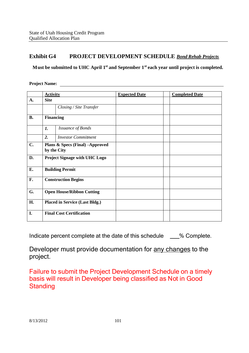# **Exhibit G4 PROJECT DEVELOPMENT SCHEDULE** *Bond Rehab Projects*

**Must be submitted to UHC April 1st and September 1st each year until project is completed.**

**Project Name:**

|           | <b>Activity</b>                                |                            | <b>Expected Date</b> | <b>Completed Date</b> |
|-----------|------------------------------------------------|----------------------------|----------------------|-----------------------|
| A.        | <b>Site</b>                                    |                            |                      |                       |
|           |                                                | Closing / Site Transfer    |                      |                       |
| <b>B.</b> | <b>Financing</b>                               |                            |                      |                       |
|           | 1.                                             | <b>Issuance of Bonds</b>   |                      |                       |
|           | 2.                                             | <b>Investor Commitment</b> |                      |                       |
| C.        | Plans & Specs (Final) -Approved<br>by the City |                            |                      |                       |
| D.        | <b>Project Signage with UHC Logo</b>           |                            |                      |                       |
| E.        | <b>Building Permit</b>                         |                            |                      |                       |
| F.        | <b>Construction Begins</b>                     |                            |                      |                       |
| G.        | <b>Open House/Ribbon Cutting</b>               |                            |                      |                       |
| H.        | <b>Placed in Service (Last Bldg.)</b>          |                            |                      |                       |
| I.        | <b>Final Cost Certification</b>                |                            |                      |                       |

Indicate percent complete at the date of this schedule  $\%$  Complete.

Developer must provide documentation for any changes to the project.

Failure to submit the Project Development Schedule on a timely basis will result in Developer being classified as Not in Good **Standing**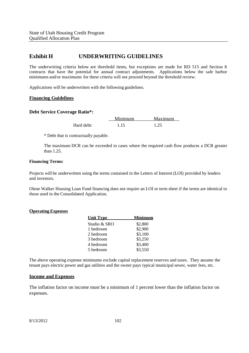# **Exhibit H UNDERWRITING GUIDELINES**

The underwriting criteria below are threshold items, but exceptions are made for RD 515 and Section 8 contracts that have the potential for annual contract adjustments. Applications below the safe harbor minimums and/or maximums for these criteria will not proceed beyond the threshold review.

Applications will be underwritten with the following guidelines.

#### **Financing Guidelines**

#### **Debt Service Coverage Ratio\*:**

Minimum Maximum Hard debt: 1.15 1.25

\* Debt that is contractually payable.

The maximum DCR can be exceeded in cases where the required cash flow produces a DCR greater than  $1.25$ .

#### **Financing Terms:**

Projects will be underwritten using the terms contained in the Letters of Interest (LOI) provided by lenders and investors.

Olene Walker Housing Loan Fund financing does not require an LOI or term sheet if the terms are identical to those used in the Consolidated Application.

#### **Operating Expenses**

| <b>Unit Type</b> | Minimum |
|------------------|---------|
| Studio & SRO     | \$2,800 |
| 1 bedroom        | \$2,900 |
| 2 bedroom        | \$3,100 |
| 3 bedroom        | \$3,250 |
| 4 bedroom        | \$3,400 |
| 5 bedroom        | \$3,550 |

The above operating expense minimums exclude capital replacement reserves and taxes. They assume the tenant pays electric power and gas utilities and the owner pays typical municipal sewer, water fees, etc.

#### **Income and Expenses**

The inflation factor on income must be a minimum of 1 percent lower than the inflation factor on expenses.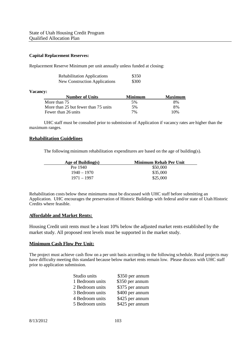#### **Capital Replacement Reserves:**

Replacement Reserve Minimum per unit annually unless funded at closing:

| <b>Rehabilitation Applications</b>   | \$350 |
|--------------------------------------|-------|
| <b>New Construction Applications</b> | \$300 |

#### **Vacancy:**

| <b>Number of Units</b>               | <b>Minimum</b> | <b>Maximum</b> |
|--------------------------------------|----------------|----------------|
| More than 75                         | 5%             | 8%             |
| More than 25 but fewer than 75 units | 5%             | 8%             |
| Fewer than 26 units                  | 7%             | 10%            |

UHC staff must be consulted prior to submission of Application if vacancy rates are higher than the maximum ranges.

#### **Rehabilitation Guidelines**

The following minimum rehabilitation expenditures are based on the age of building(s).

| Age of Building $(s)$ | Minimum Rehab Per Unit |
|-----------------------|------------------------|
| Pre 1940              | \$50,000               |
| $1940 - 1970$         | \$35,000               |
| 1971 – 1997           | \$25,000               |

Rehabilitation costs below these minimums must be discussed with UHC staff before submitting an Application. UHC encourages the preservation of Historic Buildings with federal and/or state of Utah Historic Credits where feasible.

#### **Affordable and Market Rents:**

Housing Credit unit rents must be a least 10% below the adjusted market rents established by the market study. All proposed rent levels must be supported in the market study.

#### **Minimum Cash Flow Per Unit:**

The project must achieve cash flow on a per unit basis according to the following schedule. Rural projects may have difficulty meeting this standard because below market rents remain low. Please discuss with UHC staff prior to application submission.

| Studio units    | \$350 per annum |
|-----------------|-----------------|
| 1 Bedroom units | \$350 per annum |
| 2 Bedroom units | \$375 per annum |
| 3 Bedroom units | \$400 per annum |
| 4 Bedroom units | \$425 per annum |
| 5 Bedroom units | \$425 per annum |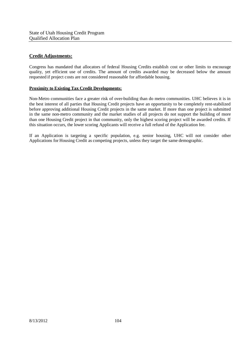### **Credit Adjustments:**

Congress has mandated that allocators of federal Housing Credits establish cost or other limits to encourage quality, yet efficient use of credits. The amount of credits awarded may be decreased below the amount requested if project costs are not considered reasonable for affordable housing.

#### **Proximity to Existing Tax Credit Developments:**

Non-Metro communities face a greater risk of over-building than do metro communities. UHC believes it is in the best interest of all parties that Housing Credit projects have an opportunity to be completely rent-stabilized before approving additional Housing Credit projects in the same market. If more than one project is submitted in the same non-metro community and the market studies of all projects do not support the building of more than one Housing Credit project in that community, only the highest scoring project will be awarded credits. If this situation occurs, the lower scoring Applicants will receive a full refund of the Application fee.

If an Application is targeting a specific population, e.g. senior housing, UHC will not consider other Applications for Housing Credit as competing projects, unless they target the same demographic.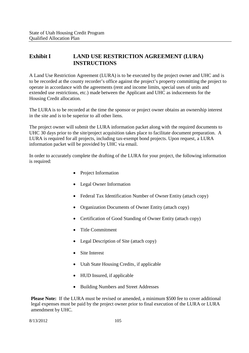# **Exhibit I LAND USE RESTRICTION AGREEMENT (LURA) INSTRUCTIONS**

A Land Use Restriction Agreement (LURA) is to be executed by the project owner and UHC and is to be recorded at the county recorder's office against the project's property committing the project to operate in accordance with the agreements (rent and income limits, special uses of units and extended use restrictions, etc.) made between the Applicant and UHC as inducements for the Housing Credit allocation.

The LURA is to be recorded at the time the sponsor or project owner obtains an ownership interest in the site and is to be superior to all other liens.

The project owner will submit the LURA information packet along with the required documents to UHC 30 days prior to the site/project acquisition takes place to facilitate document preparation. A LURA is required for all projects, including tax-exempt bond projects. Upon request, a LURA information packet will be provided by UHC via email.

In order to accurately complete the drafting of the LURA for your project, the following information is required:

- Project Information
- Legal Owner Information
- Federal Tax Identification Number of Owner Entity (attach copy)
- Organization Documents of Owner Entity (attach copy)
- Certification of Good Standing of Owner Entity (attach copy)
- Title Commitment
- Legal Description of Site (attach copy)
- Site Interest
- Utah State Housing Credits, if applicable
- HUD Insured, if applicable
- Building Numbers and Street Addresses

**Please Note:** If the LURA must be revised or amended, a minimum \$500 fee to cover additional legal expenses must be paid by the project owner prior to final execution of the LURA or LURA amendment by UHC.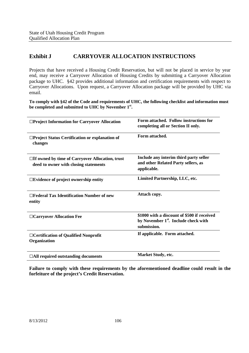# **Exhibit J CARRYOVER ALLOCATION INSTRUCTIONS**

Projects that have received a Housing Credit Reservation, but will not be placed in service by year end, may receive a Carryover Allocation of Housing Credits by submitting a Carryover Allocation package to UHC. §42 provides additional information and certification requirements with respect to Carryover Allocations. Upon request, a Carryover Allocation package will be provided by UHC via email.

**To comply with §42 of the Code and requirements of UHC, the following checklist and information must be completed and submitted to UHC by November 1st .**

| □Project Information for Carryover Allocation                                                   | Form attached. Follow instructions for<br>completing all or Section II only.                                   |
|-------------------------------------------------------------------------------------------------|----------------------------------------------------------------------------------------------------------------|
| □Project Status Certification or explanation of<br>changes                                      | Form attached.                                                                                                 |
| $\Box$ If owned by time of Carryover Allocation, trust<br>deed to owner with closing statements | Include any interim third party seller<br>and other Related Party sellers, as<br>applicable.                   |
| $\square$ Evidence of project ownership entity                                                  | Limited Partnership, LLC, etc.                                                                                 |
| $\Box$ Federal Tax Identification Number of new<br>entity                                       | Attach copy.                                                                                                   |
| □ Carryover Allocation Fee                                                                      | \$1000 with a discount of \$500 if received<br>by November 1 <sup>st</sup> . Include check with<br>submission. |
| □ Certification of Qualified Nonprofit<br>Organization                                          | If applicable. Form attached.                                                                                  |
| $\Box$ All required outstanding documents                                                       | <b>Market Study, etc.</b>                                                                                      |

**Failure to comply with these requirements by the aforementioned deadline could result in the forfeiture of the project's Credit Reservation.**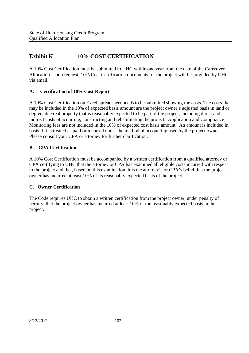# **Exhibit K 10% COST CERTIFICATION**

A 10% Cost Certification must be submitted to UHC within one year from the date of the Carryover Allocation. Upon request, 10% Cost Certification documents for the project will be provided by UHC via email.

### **A. Certification of 10% Cost Report**

A 10% Cost Certification on Excel spreadsheet needs to be submitted showing the costs. The costs that may be included in the 10% of expected basis amount are the project owner's adjusted basis in land or depreciable real property that is reasonably expected to be part of the project, including direct and indirect costs of acquiring, constructing and rehabilitating the project. Application and Compliance Monitoring fees are not included in the 10% of expected cost basis amount. An amount is included in basis if it is treated as paid or incurred under the method of accounting used by the project owner. Please consult your CPA or attorney for further clarification.

### **B. CPA Certification**

A 10% Cost Certification must be accompanied by a written certification from a qualified attorney or CPA certifying to UHC that the attorney or CPA has examined all eligible costs incurred with respect to the project and that, based on this examination, it is the attorney's or CPA's belief that the project owner has incurred at least 10% of its reasonably expected basis of the project.

### **C. Owner Certification**

The Code requires UHC to obtain a written certification from the project owner, under penalty of perjury, that the project owner has incurred at least 10% of the reasonably expected basis in the project.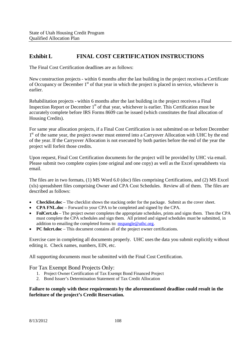# **Exhibit L FINAL COST CERTIFICATION INSTRUCTIONS**

The Final Cost Certification deadlines are as follows:

New construction projects - within 6 months after the last building in the project receives a Certificate of Occupancy or December  $1<sup>st</sup>$  of that year in which the project is placed in service, whichever is earlier.

Rehabilitation projects - within 6 months after the last building in the project receives a Final Inspection Report or December  $1<sup>st</sup>$  of that year, whichever is earlier. This Certification must be accurately complete before IRS Forms 8609 can be issued (which constitutes the final allocation of Housing Credits).

For same year allocation projects, if a Final Cost Certification is not submitted on or before December 1<sup>st</sup> of the same year, the project owner must entered into a Carryover Allocation with UHC by the end of the year. If the Carryover Allocation is not executed by both parties before the end of the year the project will forfeit those credits.

Upon request, Final Cost Certification documents for the project will be provided by UHC via email. Please submit two complete copies (one original and one copy) as well as the Excel spreadsheets via email.

The files are in two formats, (1) MS Word 6.0 (doc) files comprising Certifications, and (2) MS Excel (xls) spreadsheet files comprising Owner and CPA Cost Schedules. Review all of them. The files are described as follows:

- **Checklist.doc** The checklist shows the stacking order for the package. Submit as the cover sheet.
- **CPA FNL.doc** Forward to your CPA to be completed and signed by the CPA.
- **FnlCert.xls** The project owner completes the appropriate schedules, prints and signs them. Then the CPA must complete the CPA schedules and sign them. All printed and signed schedules must be submitted, in addition to emailing the completed forms to: mspangle@uthc.org.
- **PC fnlcrt.doc** This document contains all of the project owner certifications.

Exercise care in completing all documents properly. UHC usesthe data you submit explicitly without editing it. Check names, numbers, EIN, etc.

All supporting documents must be submitted with the Final Cost Certification.

### For Tax Exempt Bond Projects Only:

- 1. Project Owner Certification of Tax Exempt Bond Financed Project
- 2. Bond Issuer's Determination Statement of Tax Credit Allocation

### **Failure to comply with these requirements by the aforementioned deadline could result in the forfeiture of the project's Credit Reservation.**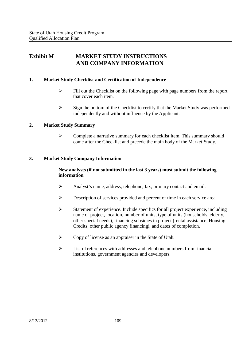# **Exhibit M MARKET STUDY INSTRUCTIONS AND COMPANY INFORMATION**

### **1. Market Study Checklist and Certification of Independence**

- $\triangleright$  Fill out the Checklist on the following page with page numbers from the report that cover each item.
- $\triangleright$  Sign the bottom of the Checklist to certify that the Market Study was performed independently and without influence by the Applicant.

### **2. Market Study Summary**

 $\triangleright$  Complete a narrative summary for each checklist item. This summary should come after the Checklist and precede the main body of the Market Study.

### **3. Market Study Company Information**

### **New analysts (if not submitted in the last 3 years) must submit the following information**.

- Analyst's name, address, telephone, fax, primary contact and email.
- Description of services provided and percent of time in each service area.
- $\triangleright$  Statement of experience. Include specifics for all project experience, including name of project, location, number of units, type of units (households, elderly, other special needs), financing subsidies in project (rental assistance, Housing Credits, other public agency financing), and dates of completion.
- Copy of license as an appraiser in the State of Utah.
- $\triangleright$  List of references with addresses and telephone numbers from financial institutions, government agencies and developers.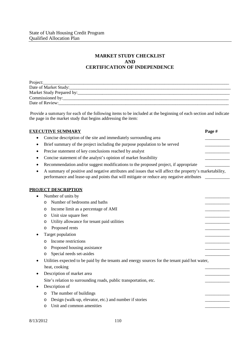### **MARKET STUDY CHECKLIST AND CERTIFICATION OF INDEPENDENCE**

| Project:                  |
|---------------------------|
| Date of Market Study:     |
| Market Study Prepared by: |
| Commissioned by:          |
| Date of Review:           |

Provide a summary for each of the following items to be included at the beginning of each section and indicate the page in the market study that begins addressing the item:

| <b>EXECUTIVE SUMMARY</b>                                                                                                                                                                                 | Page # |
|----------------------------------------------------------------------------------------------------------------------------------------------------------------------------------------------------------|--------|
| Concise description of the site and immediately surrounding area<br>٠                                                                                                                                    |        |
| Brief summary of the project including the purpose population to be served<br>$\bullet$                                                                                                                  |        |
| Precise statement of key conclusions reached by analyst<br>٠                                                                                                                                             |        |
| Concise statement of the analyst's opinion of market feasibility                                                                                                                                         |        |
| Recommendation and/or suggest modifications to the proposed project, if appropriate<br>$\bullet$                                                                                                         |        |
| A summary of positive and negative attributes and issues that will affect the property's marketability,<br>٠<br>performance and lease-up and points that will mitigate or reduce any negative attributes |        |
| <b>PROJECT DESCRIPTION</b>                                                                                                                                                                               |        |
| Number of units by<br>$\bullet$                                                                                                                                                                          |        |
| Number of bedrooms and baths<br>$\circ$                                                                                                                                                                  |        |
| Income limit as a percentage of AMI<br>O                                                                                                                                                                 |        |
| Unit size square feet<br>$\circ$                                                                                                                                                                         |        |
| Utility allowance for tenant paid utilities<br>O                                                                                                                                                         |        |
| Proposed rents<br>O                                                                                                                                                                                      |        |
| Target population                                                                                                                                                                                        |        |
| Income restrictions<br>O                                                                                                                                                                                 |        |
| Proposed housing assistance<br>O                                                                                                                                                                         |        |
| Special needs set-asides<br>O                                                                                                                                                                            |        |
| Utilities expected to be paid by the tenants and energy sources for the tenant paid hot water,<br>٠<br>heat, cooking                                                                                     |        |
| Description of market area<br>$\bullet$                                                                                                                                                                  |        |
| Site's relation to surrounding roads, public transportation, etc.                                                                                                                                        |        |
| Description of                                                                                                                                                                                           |        |
| The number of buildings<br>O                                                                                                                                                                             |        |
| Design (walk-up, elevator, etc.) and number if stories<br>O                                                                                                                                              |        |
| Unit and common amenities<br>O                                                                                                                                                                           |        |
|                                                                                                                                                                                                          |        |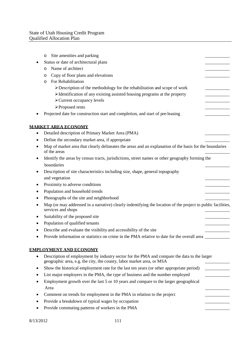|           | Site amenities and parking<br>O                                                                                                                                      |  |
|-----------|----------------------------------------------------------------------------------------------------------------------------------------------------------------------|--|
|           | Status or date of architectural plans                                                                                                                                |  |
|           | Name of architect<br>O                                                                                                                                               |  |
|           | Copy of floor plans and elevations<br>O                                                                                                                              |  |
|           | For Rehabilitation<br>$\circ$                                                                                                                                        |  |
|           | >Description of the methodology for the rehabilitation and scope of work                                                                                             |  |
|           | $\triangleright$ Identification of any existing assisted housing programs at the property                                                                            |  |
|           | > Current occupancy levels                                                                                                                                           |  |
|           | ▶ Proposed rents                                                                                                                                                     |  |
|           | Projected date for construction start and completion, and start of pre-leasing                                                                                       |  |
|           | <u>MARKET AREA ECONOMY</u>                                                                                                                                           |  |
|           | Detailed description of Primary Market Area (PMA)                                                                                                                    |  |
|           | Define the secondary market area, if appropriate                                                                                                                     |  |
|           | Map of market area that clearly delineates the areas and an explanation of the basis for the boundaries<br>of the areas                                              |  |
|           | Identify the areas by census tracts, jurisdictions, street names or other geography forming the                                                                      |  |
|           | boundaries                                                                                                                                                           |  |
|           | Description of site characteristics including size, shape, general topography                                                                                        |  |
|           | and vegetation                                                                                                                                                       |  |
| ٠         | Proximity to adverse conditions                                                                                                                                      |  |
|           | Population and household trends                                                                                                                                      |  |
|           | Photographs of the site and neighborhood                                                                                                                             |  |
|           | Map (or may addressed in a narrative) clearly indentifying the location of the project to public facilities,<br>services and shops                                   |  |
|           | Suitability of the proposed site                                                                                                                                     |  |
|           | Population of qualified tenants                                                                                                                                      |  |
|           | Describe and evaluate the visibility and accessibility of the site                                                                                                   |  |
|           | Provide information or statistics on crime in the PMA relative to date for the overall area                                                                          |  |
|           | <b>EMPLOYMENT AND ECONOMY</b>                                                                                                                                        |  |
| $\bullet$ | Description of employment by industry sector for the PMA and compare the data to the larger<br>geographic area, e.g. the city, the county, labor market area, or MSA |  |
|           | Show the historical employment rate for the last ten years (or other appropriate period)                                                                             |  |
|           | List major employers in the PMA, the type of business and the number employed                                                                                        |  |
|           | Employment growth over the last 5 or 10 years and compare to the larger geographical                                                                                 |  |
|           | Area                                                                                                                                                                 |  |
|           | Comment on trends for employment in the PMA in relation to the project                                                                                               |  |
|           | Provide a breakdown of typical wages by occupation                                                                                                                   |  |
|           | Provide commuting patterns of workers in the PMA                                                                                                                     |  |
|           |                                                                                                                                                                      |  |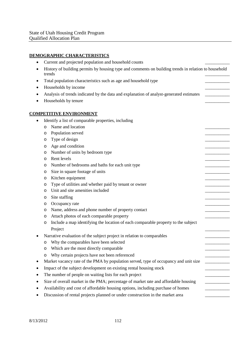# **DEMOGRAPHIC CHARACTERISTICS**

| Current and projected population and household counts                                                          |  |
|----------------------------------------------------------------------------------------------------------------|--|
| History of building permits by housing type and comments on building trends in relation to household<br>trends |  |
| Total population characteristics such as age and household type                                                |  |
| Households by income                                                                                           |  |
| Analysis of trends indicated by the data and explanation of analyst-generated estimates                        |  |
| Households by tenure                                                                                           |  |
|                                                                                                                |  |
| <b>COMPETITIVE ENVIRONMENT</b>                                                                                 |  |
| Identify a list of comparable properties, including<br>$\bullet$                                               |  |
| Name and location<br>$\circ$                                                                                   |  |
| Population served<br>O                                                                                         |  |
| Type of design<br>O                                                                                            |  |
| Age and condition<br>$\circ$                                                                                   |  |
| Number of units by bedroom type<br>O                                                                           |  |
| Rent levels<br>O                                                                                               |  |
| Number of bedrooms and baths for each unit type<br>O                                                           |  |
| Size in square footage of units<br>O                                                                           |  |
| Kitchen equipment<br>O                                                                                         |  |
| Type of utilities and whether paid by tenant or owner<br>O                                                     |  |
| Unit and site amenities included<br>O                                                                          |  |
| Site staffing<br>O                                                                                             |  |
| Occupancy rate<br>O                                                                                            |  |
| Name, address and phone number of property contact<br>O                                                        |  |
| Attach photos of each comparable property<br>O                                                                 |  |
| Include a map identifying the location of each comparable property to the subject<br>O                         |  |
| Project                                                                                                        |  |
| Narrative evaluation of the subject project in relation to comparables                                         |  |
| Why the comparables have been selected<br>O                                                                    |  |
| Which are the most directly comparable                                                                         |  |
| Why certain projects have not been referenced<br>O                                                             |  |
| Market vacancy rate of the PMA by population served, type of occupancy and unit size                           |  |
| Impact of the subject development on existing rental housing stock                                             |  |
| The number of people on waiting lists for each project                                                         |  |
| Size of overall market in the PMA; percentage of market rate and affordable housing                            |  |
| Availability and cost of affordable housing options, including purchase of homes                               |  |
| Discussion of rental projects planned or under construction in the market area                                 |  |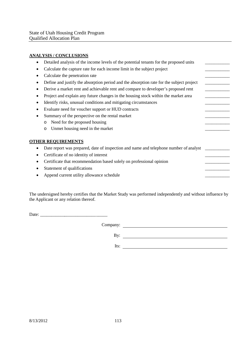### **ANALYSIS / CONCLUSIONS**

| $20 - 0.00$                                                                              |  |
|------------------------------------------------------------------------------------------|--|
| Detailed analysis of the income levels of the potential tenants for the proposed units   |  |
| Calculate the capture rate for each income limit in the subject project                  |  |
| Calculate the penetration rate                                                           |  |
| Define and justify the absorption period and the absorption rate for the subject project |  |
| Derive a market rent and achievable rent and compare to developer's proposed rent        |  |
| Project and explain any future changes in the housing stock within the market area       |  |
| Identify risks, unusual conditions and mitigating circumstances                          |  |
| Evaluate need for voucher support or HUD contracts                                       |  |
| Summary of the perspective on the rental market                                          |  |
| Need for the proposed housing<br>$\circ$                                                 |  |
| Unmet housing need in the market<br>$\circ$                                              |  |
| <b>OTHER REQUIREMENTS</b>                                                                |  |
| Date report was prepared, date of inspection and name and telephone number of analyst    |  |
| Certificate of no identity of interest                                                   |  |
| Certificate that recommendation based solely on professional opinion                     |  |
| Statement of qualifications                                                              |  |
| Append current utility allowance schedule                                                |  |
|                                                                                          |  |

The undersigned hereby certifies that the Market Study was performed independently and without influence by the Applicant or any relation thereof.

Date:  $\frac{1}{2}$ 

Company:

By:

Its: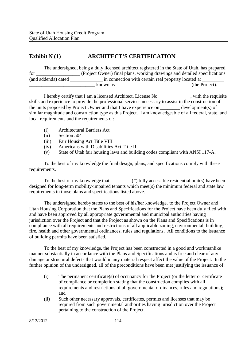# **Exhibit N (1) ARCHITECT'S CERTIFICATION**

|                     |          | The undersigned, being a duly licensed architect registered in the State of Utah, has prepared |
|---------------------|----------|------------------------------------------------------------------------------------------------|
| for                 |          | (Project Owner) final plans, working drawings and detailed specifications                      |
| (and addenda) dated |          | in connection with certain real property located at                                            |
|                     | known as | (the Project).                                                                                 |

I hereby certify that I am a licensed Architect, License No. \_\_\_\_\_\_\_\_\_\_\_, with the requisite skills and experience to provide the professional services necessary to assist in the construction of the units proposed by Project Owner and that I have experience on \_\_\_\_\_\_\_\_ development(s) of similar magnitude and construction type as this Project. I am knowledgeable of all federal, state, and local requirements and the requirements of:

- (i) Architectural Barriers Act
- (ii) Section 504
- (iii) Fair Housing Act Title VIII
- (iv) Americans with Disabilities Act Title II
- (v) State of Utah fair housing laws and building codes compliant with ANSI 117-A.

To the best of my knowledge the final design, plans, and specifications comply with these requirements.

To the best of my knowledge that  $\frac{(\#)}{(\#)}$  fully accessible residential unit(s) have been designed for long-term mobility-impaired tenants which meet(s) the minimum federal and state law requirements in those plans and specifications listed above.

The undersigned hereby states to the best of his/her knowledge, to the Project Owner and Utah Housing Corporation that the Plans and Specifications for the Project have been duly filed with and have been approved by all appropriate governmental and municipal authorities having jurisdiction over the Project and that the Project as shown on the Plans and Specifications is in compliance with all requirements and restrictions of all applicable zoning, environmental, building, fire, health and other governmental ordinances, rules and regulations. All conditions to the issuance of building permits have been satisfied.

To the best of my knowledge, the Project has been constructed in a good and workmanlike manner substantially in accordance with the Plans and Specifications and is free and clear of any damage or structural defects that would in any material respect affect the value of the Project. In the further opinion of the undersigned, all of the preconditions have been met justifying the issuance of:

- (i) The permanent certificate(s) of occupancy for the Project (or the letter or certificate of compliance or completion stating that the construction complies with all requirements and restrictions of all governmental ordinances, rules and regulations); and
- (ii) Such other necessary approvals, certificates, permits and licenses that may be required from such governmental authorities having jurisdiction over the Project pertaining to the construction of the Project.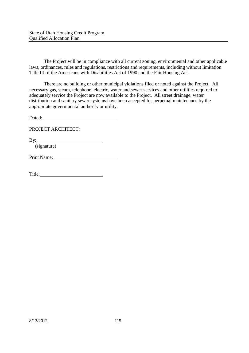The Project will be in compliance with all current zoning, environmental and other applicable laws, ordinances, rules and regulations, restrictions and requirements, including without limitation Title III of the Americans with Disabilities Act of 1990 and the Fair Housing Act.

There are no building or other municipal violations filed or noted against the Project. All necessary gas, steam, telephone, electric, water and sewer services and other utilities required to adequately service the Project are now available to the Project. All street drainage, water distribution and sanitary sewer systems have been accepted for perpetual maintenance by the appropriate governmental authority or utility.

Dated:

PROJECT ARCHITECT:

By:

(signature)

Print Name: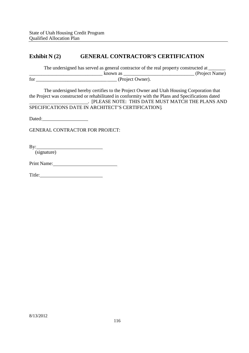# **Exhibit N (2) GENERAL CONTRACTOR'S CERTIFICATION**

The undersigned has served as general contractor of the real property constructed at \_\_\_\_\_\_\_\_\_\_\_\_\_\_\_\_\_\_\_\_\_\_\_\_\_\_\_\_\_\_ known as \_\_\_\_\_\_\_\_\_\_\_\_\_\_\_\_\_\_\_\_\_\_\_\_\_\_\_\_\_ (Project Name) for \_\_\_\_\_\_\_\_\_\_\_\_\_\_\_\_\_\_\_\_\_\_\_\_\_\_\_\_\_\_\_\_\_ (Project Owner).

The undersigned hereby certifies to the Project Owner and Utah Housing Corporation that the Project was constructed or rehabilitated in conformity with the Plans and Specifications dated . [PLEASE NOTE: THIS DATE MUST MATCH THE PLANS AND SPECIFICATIONS DATE IN ARCHITECT'S CERTIFICATION].

Dated: **Dated:** 

GENERAL CONTRACTOR FOR PROJECT:

By:

(signature)

Print Name:

Title: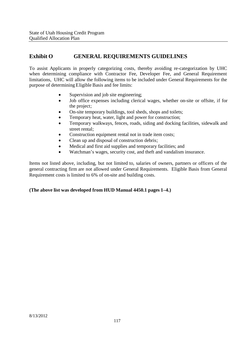# **Exhibit O GENERAL REQUIREMENTS GUIDELINES**

To assist Applicants in properly categorizing costs, thereby avoiding re-categorization by UHC when determining compliance with Contractor Fee, Developer Fee, and General Requirement limitations, UHC will allow the following items to be included under General Requirements for the purpose of determining Eligible Basis and fee limits:

- Supervision and job site engineering;
- Job office expenses including clerical wages, whether on-site or offsite, if for the project;
- On-site temporary buildings, tool sheds, shops and toilets;
- Temporary heat, water, light and power for construction;
- Temporary walkways, fences, roads, siding and docking facilities, sidewalk and street rental;
- Construction equipment rental not in trade item costs;
- Clean up and disposal of construction debris;
- Medical and first aid supplies and temporary facilities; and
- Watchman's wages, security cost, and theft and vandalism insurance.

Items not listed above, including, but not limited to, salaries of owners, partners or officers of the general contracting firm are not allowed under General Requirements. Eligible Basis from General Requirement costs is limited to 6% of on-site and building costs.

### **(The above list was developed from HUD Manual 4450.1 pages 1–4.)**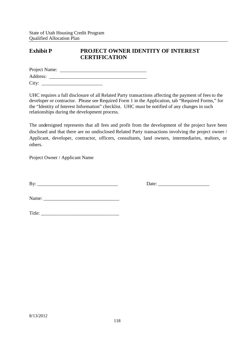# **Exhibit P PROJECT OWNER IDENTITY OF INTEREST CERTIFICATION**

| Project Name: |  |  |  |
|---------------|--|--|--|
| Address:      |  |  |  |
| City:         |  |  |  |

UHC requires a full disclosure of all Related Party transactions affecting the payment of feesto the developer or contractor. Please see Required Form 1 in the Application, tab "Required Forms," for the "Identity of Interest Information" checklist. UHC must be notified of any changes in such relationships during the development process.

The undersigned represents that all fees and profit from the development of the project have been disclosed and that there are no undisclosed Related Party transactions involving the project owner / Applicant, developer, contractor, officers, consultants, land owners, intermediaries, realtors, or others.

Project Owner / Applicant Name

By: \_\_\_\_\_\_\_\_\_\_\_\_\_\_\_\_\_\_\_\_\_\_\_\_\_\_\_\_\_\_\_\_\_ Date: \_\_\_\_\_\_\_\_\_\_\_\_\_\_\_\_\_\_\_\_\_

Name: \_\_\_\_\_\_\_\_\_\_\_\_\_\_\_\_\_\_\_\_\_\_\_\_\_\_\_\_\_\_\_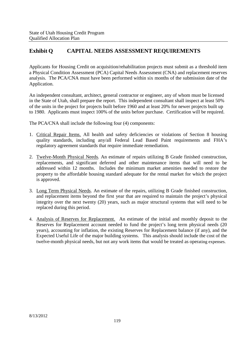# **Exhibit Q CAPITAL NEEDS ASSESSMENT REQUIREMENTS**

Applicants for Housing Credit on acquisition/rehabilitation projects must submit as a threshold item a Physical Condition Assessment (PCA) Capital Needs Assessment (CNA) and replacement reserves analysis. The PCA/CNA must have been performed within six months of the submission date of the Application.

An independent consultant, architect, general contractor or engineer, any of whom must be licensed in the State of Utah, shall prepare the report. This independent consultant shall inspect at least 50% of the units in the project for projects built before 1960 and at least 20% for newer projects built up to 1980. Applicants must inspect 100% of the units before purchase. Certification will be required.

The PCA/CNA shall include the following four (4) components:

- 1. Critical Repair Items. All health and safety deficiencies or violations of Section 8 housing quality standards, including any/all Federal Lead Based Paint requirements and FHA's regulatory agreement standards that require immediate remediation.
- 2. Twelve-Month Physical Needs. An estimate of repairs utilizing B Grade finished construction, replacements, and significant deferred and other maintenance items that will need to be addressed within 12 months. Includes the minimum market amenities needed to restore the property to the affordable housing standard adequate for the rental market for which the project is approved.
- 3. Long Term Physical Needs. An estimate of the repairs, utilizing B Grade finished construction, and replacement items beyond the first year that are required to maintain the project's physical integrity over the next twenty (20) years, such as major structural systems that will need to be replaced during this period.
- 4. Analysis of Reserves for Replacement. An estimate of the initial and monthly deposit to the Reserves for Replacement account needed to fund the project's long term physical needs (20 years), accounting for inflation, the existing Reserves for Replacement balance (if any), and the Expected Useful Life of the major building systems. This analysis should include the cost of the twelve-month physical needs, but not any work items that would be treated as operating expenses.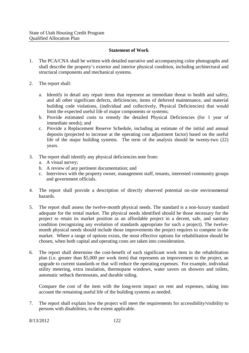### **Statement of Work**

- 1. The PCA/CNA shall be written with detailed narrative and accompanying color photographs and shall describe the property's exterior and interior physical condition, including architectural and structural components and mechanical systems.
- 2. The report shall:
	- a. Identify in detail any repair items that represent an immediate threat to health and safety, and all other significant defects, deficiencies, items of deferred maintenance, and material building code violations, (individual and collectively, Physical Deficiencies) that would limit the expected useful life of major components or systems;
	- b. Provide estimated costs to remedy the detailed Physical Deficiencies (for 1 year of immediate needs); and
	- c. Provide a Replacement Reserve Schedule, including an estimate of the initial and annual deposits (projected to increase at the operating cost adjustment factor) based on the useful life of the major building systems. The term of the analysis should be twenty-two (22) years.
- 3. The report shall identify any physical deficiencies note from:
	- a. A visual survey;
	- b. A review of any pertinent documentation; and
	- c. Interviews with the property owner, management staff, tenants, interested community groups and government officials.
- 4. The report shall provide a description of directly observed potential on-site environmental hazards.
- 5. The report shall assess the twelve-month physical needs. The standard is a non-luxury standard adequate for the rental market. The physical needs identified should be those necessary for the project to retain its market position as an affordable project in a decent, safe, and sanitary condition (recognizing any evolution of standards appropriate for such a project). The twelvemonth physical needs should include those improvements the project requires to compete in the market. Where a range of options exists, the most effective options for rehabilitation should be chosen, when both capital and operating costs are taken into consideration.
- 6. The report shall determine the cost-benefit of each significant work item in the rehabilitation plan (i.e. greater than \$5,000 per work item) that represents an improvement to the project, an upgrade to current standards or that will reduce the operating expenses. For example, individual utility metering, extra insulation, thermopane windows, water savers on showers and toilets, automatic setback thermostats, and durable siding.

Compare the cost of the item with the long-term impact on rent and expenses, taking into account the remaining useful life of the building systems as needed.

7. The report shall explain how the project will meet the requirements for accessibility/visibility to persons with disabilities, to the extent applicable.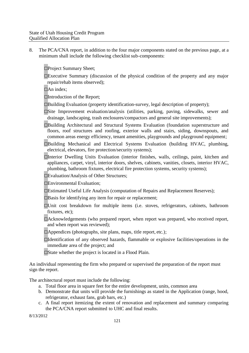8. The PCA/CNA report, in addition to the four major components stated on the previous page, at a minimum shall include the following checklist sub-components:

□Project Summary Sheet;

 $\square$ Executive Summary (discussion of the physical condition of the property and any major repair/rehab items observed);

 $\Box$ An index;

□Introduction of the Report;

 $\square$ Building Evaluation (property identification-survey, legal description of property);

□Site Improvement evaluation/analysis (utilities, parking, paving, sidewalks, sewer and drainage, landscaping, trash enclosures/compactors and general site improvements);

□Building Architectural and Structural Systems Evaluation (foundation superstructure and floors, roof structures and roofing, exterior walls and stairs, siding, downspouts, and common areas energy efficiency, tenant amenities, playgrounds and playground equipment;

□Building Mechanical and Electrical Systems Evaluation (building HVAC, plumbing, electrical, elevators, fire protection/security systems);

□Interior Dwelling Units Evaluation (interior finishes, walls, ceilings, paint, kitchen and appliances, carpet, vinyl, interior doors, shelves, cabinets, vanities, closets, interior HVAC, plumbing, bathroom fixtures, electrical fire protection systems, security systems);

□Evaluation/Analysis of Other Structures;

□Environmental Evaluation;

□Estimated Useful Life Analysis (computation of Repairs and Replacement Reserves);

 $\square$ Basis for identifying any item for repair or replacement;

□Unit cost breakdown for multiple items (i.e. stoves, refrigerators, cabinets, bathroom fixtures, etc);

 $\Box$ Acknowledgements (who prepared report, when report was prepared, who received report, and when report was reviewed);

□Appendices (photographs, site plans, maps, title report, etc.);

□Identification of any observed hazards, flammable or explosive facilities/operations in the immediate area of the project; and

□State whether the project is located in a Flood Plain.

An individual representing the firm who prepared or supervised the preparation of the report must sign the report.

The architectural report must include the following:

- a. Total floor area in square feet for the entire development, units, common area
- b. Demonstrate that units will provide the furnishings as stated in the Application (range, hood, refrigerator, exhaust fans, grab bars, etc.)
- c. A final report itemizing the extent of renovation and replacement and summary comparing the PCA/CNA report submitted to UHC and final results.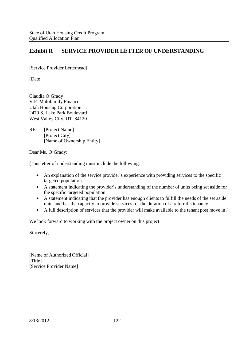# **Exhibit R SERVICE PROVIDER LETTER OF UNDERSTANDING**

[Service Provider Letterhead]

[Date]

Claudia O'Grady V.P. Multifamily Finance Utah Housing Corporation 2479 S. Lake Park Boulevard West Valley City, UT 84120

RE: [Project Name] [Project City] [Name of Ownership Entity]

Dear Ms. O'Grady:

[This letter of understanding must include the following:

- An explanation of the service provider's experience with providing services to the specific targeted population.
- A statement indicating the provider's understanding of the number of units being set aside for the specific targeted population.
- A statement indicating that the provider has enough clients to fulfill the needs of the set aside units and has the capacity to provide services for the duration of a referral's tenancy.
- A full description of services that the provider will make available to the tenant post move in.]

We look forward to working with the project owner on this project.

Sincerely,

[Name of Authorized Official] [Title] [Service Provider Name]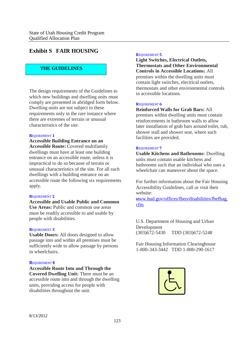# **Exhibit S FAIR HOUSING**

### **THE GUIDELINES**

The design requirements of the Guidelines to which new buildings and dwelling units must comply are presented in abridged form below. Dwelling units are not subject to these requirements only in the rare instance where there are extremes of terrain or unusual characteristics of the site.

#### **R**EQUIREMENT **1**

**Accessible Building Entrance on an Accessible Route:** Covered multifamily dwellings must have at least one building entrance on an accessible route, unless it is impractical to do so because of terrain or unusual characteristics of the site. For all such dwellings with a building entrance on an accessible route the following six requirements apply.

#### **R**EQUIREMENT **2**

**Accessible and Usable Public and Common Use Areas:** Public and common use areas must be readily accessible to and usable by people with disabilities.

#### **R**EQUIREMENT **3**

**Usable Doors:** All doors designed to allow passage into and within all premises must be sufficiently wide to allow passage by persons in wheelchairs.

#### **R**EQUIREMENT**4**

**Accessible Route Into and Through the Covered Dwelling Unit:** There must be an accessible route into and through the dwelling units, providing access for people with disabilities throughout the unit.

#### **R**EQUIREMENT **5**

**Light Switches, Electrical Outlets, Thermostats and Other Environmental Controls in Accessible Locations:** All premises within the dwelling units must contain light switches, electrical outlets, thermostats and other environmental controls in accessible locations.

#### **R**EQUIREMENT **6**

**Reinforced Walls for Grab Bars:** All premises within dwelling units must contain reinforcements in bathroom walls to allow later installation of grab bars around toilet, tub, shower stall and shower seat, where such facilities are provided.

#### **R**EQUIREMENT **7**

**Usable Kitchens and Bathrooms:** Dwelling units must contain usable kitchens and bathrooms such that an individual who uses a wheelchair can maneuver about the space.

For further information about the Fair Housing Accessibility Guidelines, call or visit their website:

www.hud.gov/offices/fheo/disabilities/fhefhag. cfm

U.S. Department of Housing and Urban Development (303)672-5430 TDD (303)672-5248

Fair Housing Information Clearinghouse 1-800-343-3442 TDD 1-800-290-1617

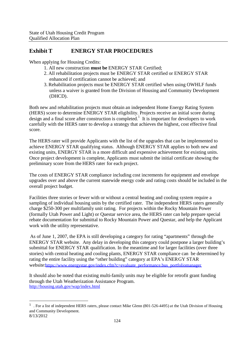# **Exhibit T ENERGY STAR PROCEDURES**

When applying for Housing Credits:

- 1. All new construction **must be** ENERGY STAR Certified;
- 2. All rehabilitation projects must be ENERGY STAR certified or ENERGY STAR enhanced if certification cannot be achieved; and
- 3. Rehabilitation projects must be ENERGY STAR certified when using OWHLF funds unless a waiver is granted from the Division of Housing and Community Development (DHCD).

Both new and rehabilitation projects must obtain an independent Home Energy Rating System (HERS) score to determine ENERGY STAR eligibility. Projects receive an initial score during design and a final score after construction is completed.<sup>1</sup> It is important for developers to work carefully with the HERS rater to develop a strategy that achieves the highest, cost effective final score.

The HERS rater will provide Applicants with the list of the upgrades that can be implemented to achieve ENERGY STAR qualifying status. Although ENERGY STAR applies to both new and existing units, ENERGY STAR is a more difficult and expensive achievement for existing units. Once project development is complete, Applicants must submit the initial certificate showing the preliminary score from the HERS rater for each project.

The costs of ENERGY STAR compliance including cost increments for equipment and envelope upgrades over and above the current statewide energy code and rating costs should be included in the overall project budget.

Facilities three stories or fewer with or without a central heating and cooling system require a sampling of individual housing units by the certified rater. The independent HERS raters generally charge \$250-300 per multifamily unit rating. For projects within the Rocky Mountain Power (formally Utah Power and Light) or Questar service area, the HERS rater can help prepare special rebate documentation for submittal to Rocky Mountain Power and Questar, and help the Applicant work with the utility representative.

As of June 1, 2007, the EPA is still developing a category for rating "apartments" through the ENERGY STAR website. Any delay in developing this category could postpone a larger building's submittal for ENERGY STAR qualification. In the meantime and for larger facilities (over three stories) with central heating and cooling plants, ENERGY STAR compliance can be determined by rating the entire facility using the "other building" category at EPA's ENERGY STAR website:https://www.energystar.gov/index.cfm?c=evaluate\_performance.bus\_portfoliomanager

It should also be noted that existing multi-family units may be eligible for retrofit grant funding through the Utah Weatherization Assistance Program. http://housing.utah.gov/wap/index.html

<sup>&</sup>lt;sup>1</sup>. For a list of independent HERS raters, please contact Mike Glenn (801-526-4495) at the Utah Division of Housing and Community Development.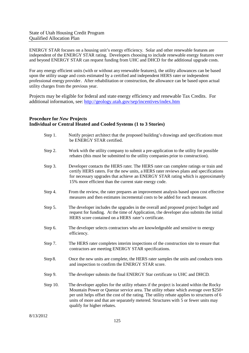ENERGY STAR focuses on a housing unit's energy efficiency. Solar and other renewable features are independent of the ENERGY STAR rating. Developers choosing to include renewable energy features over and beyond ENERGY STAR can request funding from UHC and DHCD for the additional upgrade costs.

For any energy efficient units (with or without any renewable features), the utility allowances can be based upon the utility usage and costs estimated by a certified and independent HERS rater or independent professional energy provider. After rehabilitation or construction, the allowance can be based upon actual utility charges from the previous year.

Projects may be eligible for federal and state energy efficiency and renewable Tax Credits. For additional information, see: http://geology.utah.gov/sep/incentives/index.htm

### **Procedure for** *New* **Projects Individual or Central Heated and Cooled Systems (1 to 3 Stories)**

| Step 1.  | Notify project architect that the proposed building's drawings and specifications must<br>be ENERGY STAR certified.                                                                                                                                                                                                                                                                                   |
|----------|-------------------------------------------------------------------------------------------------------------------------------------------------------------------------------------------------------------------------------------------------------------------------------------------------------------------------------------------------------------------------------------------------------|
| Step 2.  | Work with the utility company to submit a pre-application to the utility for possible<br>rebates (this must be submitted to the utility companies prior to construction).                                                                                                                                                                                                                             |
| Step 3.  | Developer contacts the HERS rater. The HERS rater can complete ratings or train and<br>certify HERS raters. For the new units, a HERS rater reviews plans and specifications<br>for necessary upgrades that achieve an ENERGY STAR rating which is approximately<br>15% more efficient than the current state energy code.                                                                            |
| Step 4.  | From the review, the rater prepares an improvement analysis based upon cost effective<br>measures and then estimates incremental costs to be added for each measure.                                                                                                                                                                                                                                  |
| Step 5.  | The developer includes the upgrades in the overall and proposed project budget and<br>request for funding. At the time of Application, the developer also submits the initial<br>HERS score contained on a HERS rater's certificate.                                                                                                                                                                  |
| Step 6.  | The developer selects contractors who are knowledgeable and sensitive to energy<br>efficiency.                                                                                                                                                                                                                                                                                                        |
| Step 7.  | The HERS rater completes interim inspections of the construction site to ensure that<br>contractors are meeting ENERGY STAR specifications.                                                                                                                                                                                                                                                           |
| Step 8.  | Once the new units are complete, the HERS rater samples the units and conducts tests<br>and inspection to confirm the ENERGY STAR score.                                                                                                                                                                                                                                                              |
| Step 9.  | The developer submits the final ENERGY Star certificate to UHC and DHCD.                                                                                                                                                                                                                                                                                                                              |
| Step 10. | The developer applies for the utility rebates if the project is located within the Rocky<br>Mountain Power or Questar service area. The utility rebate which average over \$250+<br>per unit helps offset the cost of the rating. The utility rebate applies to structures of 6<br>units of more and that are separately metered. Structures with 5 or fewer units may<br>qualify for higher rebates. |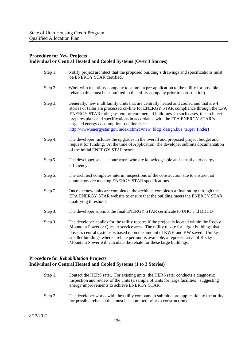### **Procedure for** *New* **Projects Individual or Central Heated and Cooled Systems (Over 3 Stories)**

| Step 1. | Notify project architect that the proposed building's drawings and specifications must<br>be ENERGY STAR certified.                                                                                                                                                                                                                                                                                                                                                    |
|---------|------------------------------------------------------------------------------------------------------------------------------------------------------------------------------------------------------------------------------------------------------------------------------------------------------------------------------------------------------------------------------------------------------------------------------------------------------------------------|
| Step 2. | Work with the utility company to submit a pre-application to the utility for possible<br>rebates (this must be submitted to the utility company prior to construction).                                                                                                                                                                                                                                                                                                |
| Step 3. | Generally, new multifamily units that are centrally heated and cooled and that are 4<br>stories or taller are processed on-line for ENERGY STAR compliance through the EPA<br>ENERGY STAR rating system for commercial buildings. In such cases, the architect<br>prepares plans and specifications in accordance with the EPA ENERGY STAR's<br>targeted energy consumption baseline (see:<br>http://www.energystar.gov/index.cfm?c=new_bldg_design.bus_target_finder) |
| Step 4. | The developer includes the upgrades in the overall and proposed project budget and<br>request for funding. At the time of Application, the developer submits documentation<br>of the initial ENERGY STAR score.                                                                                                                                                                                                                                                        |
| Step 5. | The developer selects contractors who are knowledgeable and sensitive to energy<br>efficiency.                                                                                                                                                                                                                                                                                                                                                                         |
| Step 6. | The architect completes interim inspections of the construction site to ensure that<br>contractors are meeting ENERGY STAR specifications.                                                                                                                                                                                                                                                                                                                             |
| Step 7. | Once the new units are completed, the architect completes a final rating through the<br>EPA ENERGY STAR website to ensure that the building meets the ENERGY STAR<br>qualifying threshold.                                                                                                                                                                                                                                                                             |
| Step 8. | The developer submits the final ENERGY STAR certificate to UHC and DHCD.                                                                                                                                                                                                                                                                                                                                                                                               |
| Step 9. | The developer applies for the utility rebates if the project is located within the Rocky<br>Mountain Power or Questar service area. The utility rebate for larger buildings that<br>possess central systems is based upon the amount of KWH and KW saved. Unlike<br>smaller buildings where a rebate per unit is available, a representative of Rocky<br>Mountain Power will calculate the rebate for these large buildings.                                           |
|         |                                                                                                                                                                                                                                                                                                                                                                                                                                                                        |

### **Procedure for** *Rehabilitation* **Projects Individual or Central Heated and Cooled Systems (1 to 3 Stories)**

- Step 1. Contact the HERS rater. For existing units, the HERS rater conducts a diagnostic inspection and review of the units (a sample of units for large facilities), suggesting energy improvements to achieve ENERGY STAR.
- Step 2. The developer works with the utility company to submit a pre-application to the utility for possible rebates (this must be submitted prior to construction).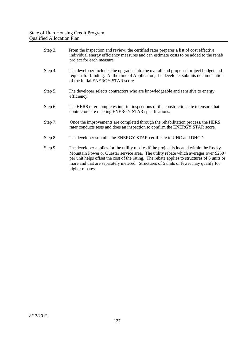| Step 3. | From the inspection and review, the certified rater prepares a list of cost effective<br>individual energy efficiency measures and can estimate costs to be added to the rehab<br>project for each measure.                                                                                                                                                                                  |
|---------|----------------------------------------------------------------------------------------------------------------------------------------------------------------------------------------------------------------------------------------------------------------------------------------------------------------------------------------------------------------------------------------------|
| Step 4. | The developer includes the upgrades into the overall and proposed project budget and<br>request for funding. At the time of Application, the developer submits documentation<br>of the initial ENERGY STAR score.                                                                                                                                                                            |
| Step 5. | The developer selects contractors who are knowledgeable and sensitive to energy<br>efficiency.                                                                                                                                                                                                                                                                                               |
| Step 6. | The HERS rater completes interim inspections of the construction site to ensure that<br>contractors are meeting ENERGY STAR specifications.                                                                                                                                                                                                                                                  |
| Step 7. | Once the improvements are completed through the rehabilitation process, the HERS<br>rater conducts tests and does an inspection to confirm the ENERGY STAR score.                                                                                                                                                                                                                            |
| Step 8. | The developer submits the ENERGY STAR certificate to UHC and DHCD.                                                                                                                                                                                                                                                                                                                           |
| Step 9. | The developer applies for the utility rebates if the project is located within the Rocky<br>Mountain Power or Questar service area. The utility rebate which averages over \$250+<br>per unit helps offset the cost of the rating. The rebate applies to structures of 6 units or<br>more and that are separately metered. Structures of 5 units or fewer may qualify for<br>higher rebates. |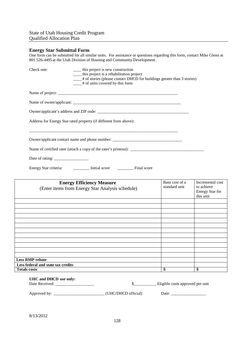### **Energy Star Submittal Form**

One form can be submitted for all similar units. For assistance or questions regarding this form, contact Mike Glenn at 801 526-4495 at the Utah Division of Housing and Community Development.

| Check one:                                                 | _____ this project is new construction<br>___ this project is a rehabilitation project<br>___# of stories (please contact DHCD for buildings greater than 3 stories)<br>$\frac{1}{1}$ # of units covered by this form |                                  |                                                                       |
|------------------------------------------------------------|-----------------------------------------------------------------------------------------------------------------------------------------------------------------------------------------------------------------------|----------------------------------|-----------------------------------------------------------------------|
|                                                            |                                                                                                                                                                                                                       |                                  |                                                                       |
|                                                            |                                                                                                                                                                                                                       |                                  |                                                                       |
|                                                            |                                                                                                                                                                                                                       |                                  |                                                                       |
|                                                            | Address for Energy Star rated property (if different from above):                                                                                                                                                     |                                  |                                                                       |
|                                                            | Owner/applicant contact name and phone number: _________________________________                                                                                                                                      |                                  |                                                                       |
|                                                            |                                                                                                                                                                                                                       |                                  |                                                                       |
|                                                            |                                                                                                                                                                                                                       |                                  |                                                                       |
|                                                            | Energy Star criteria: __________ Initial score _________ Final score                                                                                                                                                  |                                  |                                                                       |
|                                                            | <b>Energy Efficiency Measure</b><br>(Enter items from Energy Star Analysis schedule)                                                                                                                                  | Base cost of a<br>standard unit  | Incremental cost<br>to achieve<br><b>Energy Star for</b><br>this unit |
|                                                            |                                                                                                                                                                                                                       |                                  |                                                                       |
|                                                            |                                                                                                                                                                                                                       |                                  |                                                                       |
|                                                            |                                                                                                                                                                                                                       |                                  |                                                                       |
|                                                            |                                                                                                                                                                                                                       |                                  |                                                                       |
|                                                            |                                                                                                                                                                                                                       |                                  |                                                                       |
|                                                            |                                                                                                                                                                                                                       |                                  |                                                                       |
|                                                            |                                                                                                                                                                                                                       |                                  |                                                                       |
|                                                            |                                                                                                                                                                                                                       |                                  |                                                                       |
|                                                            |                                                                                                                                                                                                                       |                                  |                                                                       |
| <b>Less RMP rebate</b>                                     |                                                                                                                                                                                                                       |                                  |                                                                       |
| Less federal and state tax credits<br><b>Totals costs:</b> |                                                                                                                                                                                                                       | \$                               | \$                                                                    |
| UHC and DHCD use only:<br>Date Received: ____________      | s                                                                                                                                                                                                                     | Eligible costs approved per unit |                                                                       |

Approved by: \_\_\_\_\_\_\_\_\_\_\_\_\_\_\_\_\_\_\_\_\_\_\_\_\_ (UHC/DHCD official) Date: \_\_\_\_\_\_\_\_\_\_\_\_\_\_\_\_\_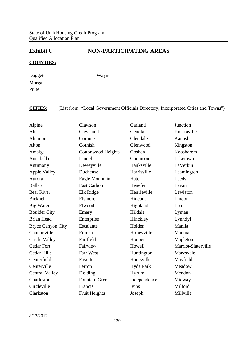# **Exhibit U NON-PARTICIPATING AREAS**

## **COUNTIES:**

Daggett Morgan Piute

Wayne

# **CITIES:** (List from: "Local Government Officials Directory, Incorporated Cities and Towns")

| Alpine                   | Clawson                   | Garland          | Junction            |
|--------------------------|---------------------------|------------------|---------------------|
| Alta                     | Cleveland                 | Genola           | Knarraville         |
| Altamont                 | Corinne                   | Glendale         | Kanosh              |
| Alton                    | Cornish                   | Glenwood         | Kingston            |
| Amalga                   | <b>Cottonwood Heights</b> | Goshen           | Koosharem           |
| Annabella                | Daniel                    | Gunnison         | Laketown            |
| Antimony                 | Deweyville                | Hanksville       | LaVerkin            |
| <b>Apple Valley</b>      | Duchense                  | Harrisville      | Leamington          |
| Aurora                   | Eagle Mountain            | Hatch            | Leeds               |
| <b>Ballard</b>           | <b>East Carbon</b>        | Henefer          | Levan               |
| <b>Bear River</b>        | Elk Ridge                 | Henrieville      | Lewiston            |
| Bicknell                 | Elsinore                  | Hideout          | Lindon              |
| <b>Big Water</b>         | Elwood                    | Highland         | Loa                 |
| <b>Boulder City</b>      | Emery                     | Hildale          | Lyman               |
| <b>Brian Head</b>        | Enterprise                | Hinckley         | Lynndyl             |
| <b>Bryce Canyon City</b> | Escalante                 | Holden           | Manila              |
| Cannonville              | Eureka                    | Honeyville       | Mantua              |
| <b>Castle Valley</b>     | Fairfield                 | Hooper           | Mapleton            |
| <b>Cedar Fort</b>        | Fairview                  | Howell           | Marriot-Slaterville |
| <b>Cedar Hills</b>       | Farr West                 | Huntington       | Marysvale           |
| Centerfield              | Fayette                   | Huntsville       | Mayfield            |
| Centerville              | Ferron                    | <b>Hyde Park</b> | Meadow              |
| <b>Central Valley</b>    | Fielding                  | Hyrum            | Mendon              |
| Charleston               | <b>Fountain Green</b>     | Independence     | Midway              |
| Circleville              | Francis                   | Ivins            | Milford             |
| Clarkston                | Fruit Heights             | Joseph           | Millville           |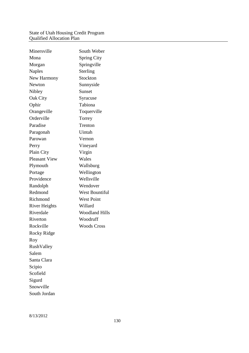### State of Utah Housing Credit Program Qualified Allocation Plan

| Minersville          | South Weber           |
|----------------------|-----------------------|
| Mona                 | <b>Spring City</b>    |
| Morgan               | Springville           |
| <b>Naples</b>        | Sterling              |
| New Harmony          | Stockton              |
| Newton               | Sunnyside             |
| Nibley               | Sunset                |
| Oak City             | Syracuse              |
| Ophir                | Tabiona               |
| Orangeville          | Toquerville           |
| Orderville           | Torrey                |
| Paradise             | Trenton               |
| Paragonah            | Uintah                |
| Parowan              | Vernon                |
| Perry                | Vineyard              |
| Plain City           | Virgin                |
| <b>Pleasant View</b> | Wales                 |
| Plymouth             | Wallsburg             |
| Portage              | Wellington            |
| Providence           | Wellsville            |
| Randolph             | Wendover              |
| Redmond              | <b>West Bountiful</b> |
| Richmond             | <b>West Point</b>     |
| <b>River Heights</b> | Willard               |
| Riverdale            | <b>Woodland Hills</b> |
| Riverton             | Woodruff              |
| Rockville            | <b>Woods Cross</b>    |
| Rocky Ridge          |                       |
| Roy                  |                       |
| RushValley           |                       |
| Salem                |                       |
| Santa Clara          |                       |
| Scipio               |                       |
| Scofield             |                       |
| Sigurd               |                       |
| Snowville            |                       |
| South Jordan         |                       |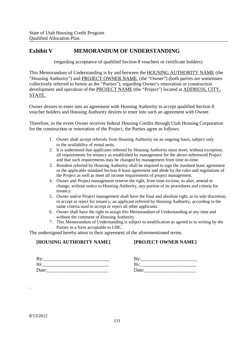# **Exhibit V MEMORANDUM OF UNDERSTANDING**

(regarding acceptance of qualified Section 8 vouchers or certificate holders)

This Memorandum of Understanding is by and between the HOUSING AUTHORITY NAME (the "Housing Authority") and PROJECT OWNER NAME, (the "Owner") (both parties are sometimes collectively referred to herein as the "Parties"), regarding Owner's renovation or construction development and operation of the PROJECT NAME (the "Project") located at ADDRESS, CITY, STATE.

Owner desires to enter into an agreement with Housing Authority to accept qualified Section 8 voucher holders and Housing Authority desires to enter into such an agreement with Owner.

Therefore, in the event Owner receives federal Housing Credits through Utah Housing Corporation for the construction or renovation of the Project, the Parties agree as follows:

- 1. Owner shall accept referrals from Housing Authority on an ongoing basis, subject only to the availability of rental units.
- 2. It is understood that applicants referred by Housing Authority must meet, without exception; all requirements for tenancy as established by management for the above-referenced Project and that such requirements may be changed by management from time-to-time.
- 3. Resident referred by Housing Authority shall be required to sign the standard lease agreement or the applicable standard Section 8 lease agreement and abide by the rules and regulations of the Project as well as meet all income requirements of project management.
- 4. Owner and Project management reserve the right, from time-to-time, to alter, amend or change, without notice to Housing Authority, any portion of its procedures and criteria for tenancy.
- 5. Owner and/or Project management shall have the final and absolute right, at its sole discretion, to accept or reject for tenancy, an applicant referred by Housing Authority, according to the same criteria used to accept or reject all other applicants.
- 6. Owner shall have the right to assign this Memorandum of Understanding at any time and without the comment of Housing Authority.
- 7. This Memorandum of Understanding is subject to modification as agreed to in writing by the Parties in a form acceptable to UHC.

The undersigned hereby attest to their agreement of the aforementioned terms.

### **[HOUSING AUTHORITY NAME]**

### **[PROJECT OWNER NAME]**

| $\mathbf{By:}$ |  |  |  |
|----------------|--|--|--|
| Its:           |  |  |  |
| Date:          |  |  |  |

| By:   |  |
|-------|--|
| Its:  |  |
| Date: |  |

.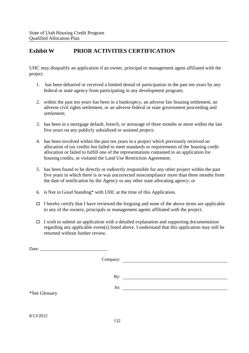# **Exhibit W PRIOR ACTIVITIES CERTIFICATION**

UHC may disqualify an application if an owner, principal or management agent affiliated with the project

- 1. has been debarred or received a limited denial of participation in the past ten years by any federal or state agency from participating in any development program;
- 2. within the past ten years has been in a bankruptcy, an adverse fair housing settlement, an adverse civil rights settlement, or an adverse federal or state government proceeding and settlement;
- 3. has been in a mortgage default, breech, or arrearage of three months or more within the last five years on any publicly subsidized or assisted project;
- 4. has been involved within the past ten years in a project which previously received an allocation of tax credits but failed to meet standards or requirements of the housing credit allocation or failed to fulfill one of the representations contained in an application for housing credits, or violated the Land Use Restriction Agreement;
- 5. has been found to be directly or indirectly responsible for any other project within the past five years in which there is or was uncorrected noncompliance more than three months from the date of notification by the Agency or any other state allocating agency; or
- 6. is Not in Good Standing\* with UHC at the time of this Application.
- $\Box$  I hereby certify that I have reviewed the forgoing and none of the above items are applicable to any of the owners, principals or management agents affiliated with the project.
- $\Box$  I wish to submit an application with a detailed explanation and supporting documentation regarding any applicable event(s) listed above. I understand that this application may still be returned without further review.

|               |      | By: $\qquad \qquad$ |
|---------------|------|---------------------|
|               | Its: |                     |
| *See Glossary |      |                     |
|               |      |                     |
|               |      |                     |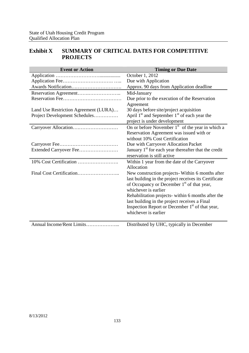# **Exhibit X SUMMARY OF CRITICAL DATES FOR COMPETITIVE PROJECTS**

| <b>Event or Action</b>                | <b>Timing or Due Date</b>                                   |
|---------------------------------------|-------------------------------------------------------------|
|                                       | October 1, 2012                                             |
|                                       | Due with Application                                        |
|                                       | Approx. 90 days from Application deadline                   |
|                                       | Mid-January                                                 |
|                                       | Due prior to the execution of the Reservation               |
|                                       | Agreement                                                   |
| Land Use Restriction Agreement (LURA) | 30 days before site/project acquisition                     |
| Project Development Schedules         | April $1st$ and September $1st$ of each year the            |
|                                       | project is under development                                |
|                                       | On or before November $1st$ of the year in which a          |
|                                       | Reservation Agreement was issued with or                    |
|                                       | without 10% Cost Certification                              |
|                                       | Due with Carryover Allocation Packet                        |
|                                       | January $1st$ for each year thereafter that the credit      |
|                                       | reservation is still active                                 |
|                                       | Within 1 year from the date of the Carryover                |
|                                       | Allocation                                                  |
|                                       | New construction projects-Within 6 months after             |
|                                       | last building in the project receives its Certificate       |
|                                       | of Occupancy or December 1 <sup>st</sup> of that year,      |
|                                       | whichever is earlier                                        |
|                                       | Rehabilitation projects-within 6 months after the           |
|                                       | last building in the project receives a Final               |
|                                       | Inspection Report or December 1 <sup>st</sup> of that year, |
|                                       | whichever is earlier                                        |
| Annual Income/Rent Limits             |                                                             |
|                                       | Distributed by UHC, typically in December                   |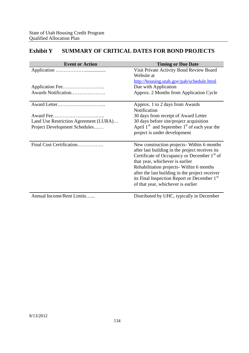# **Exhibit Y SUMMARY OF CRITICAL DATES FOR BOND PROJECTS**

| <b>Event or Action</b>                | <b>Timing or Due Date</b>                                                                                                                                                                                                                                                                                                                                                                   |
|---------------------------------------|---------------------------------------------------------------------------------------------------------------------------------------------------------------------------------------------------------------------------------------------------------------------------------------------------------------------------------------------------------------------------------------------|
|                                       | Visit Private Activity Bond Review Board<br>Website at                                                                                                                                                                                                                                                                                                                                      |
|                                       | http://housing.utah.gov/pab/schedule.html<br>Due with Application                                                                                                                                                                                                                                                                                                                           |
| Awards Notification                   | Approx. 2 Months from Application Cycle                                                                                                                                                                                                                                                                                                                                                     |
|                                       | Approx. 1 to 2 days from Awards<br>Notification                                                                                                                                                                                                                                                                                                                                             |
| Award Fee                             | 30 days from receipt of Award Letter                                                                                                                                                                                                                                                                                                                                                        |
| Land Use Restriction Agreement (LURA) | 30 days before site/project acquisition                                                                                                                                                                                                                                                                                                                                                     |
| Project Development Schedules         | April $1st$ and September $1st$ of each year the<br>project is under development                                                                                                                                                                                                                                                                                                            |
| Final Cost Certification              | New construction projects- Within 6 months<br>after last building in the project receives its<br>Certificate of Occupancy or December 1 <sup>st</sup> of<br>that year, whichever is earlier<br>Rehabilitation projects- Within 6 months<br>after the last building in the project receiver<br>its Final Inspection Report or December 1 <sup>st</sup><br>of that year, whichever is earlier |
| Annual Income/Rent Limits             | Distributed by UHC, typically in December                                                                                                                                                                                                                                                                                                                                                   |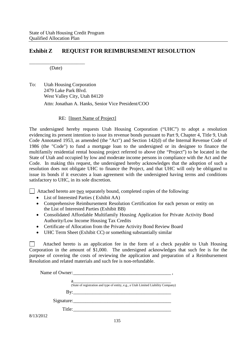# **Exhibit Z REQUEST FOR REIMBURSEMENT RESOLUTION**

\_\_\_\_\_\_\_\_\_\_\_\_\_\_\_\_\_\_\_ (Date)

To: Utah Housing Corporation 2479 Lake Park Blvd. West Valley City, Utah 84120 Attn: Jonathan A. Hanks, Senior Vice President/COO

### RE: [Insert Name of Project]

The undersigned hereby requests Utah Housing Corporation ("UHC") to adopt a resolution evidencing its present intention to issue its revenue bonds pursuant to Part 9, Chapter 4, Title 9, Utah Code Annotated 1953, as amended (the "Act") and Section 142(d) of the Internal Revenue Code of 1986 (the "Code") to fund a mortgage loan to the undersigned or its designee to finance the multifamily residential rental housing project referred to above (the "Project") to be located in the State of Utah and occupied by low and moderate income persons in compliance with the Act and the Code. In making this request, the undersigned hereby acknowledges that the adoption of such a resolution does not obligate UHC to finance the Project, and that UHC will only be obligated to issue its bonds if it executes a loan agreement with the undersigned having terms and conditions satisfactory to UHC, in its sole discretion.

 $\Box$  Attached hereto are two separately bound, completed copies of the following:

- List of Interested Parties ( Exhibit AA)
- Comprehensive Reimbursement Resolution Certification for each person or entity on the List of Interested Parties (Exhibit BB)
- Consolidated Affordable Multifamily Housing Application for Private Activity Bond Authority/Low Income Housing Tax Credits
- Certificate of Allocation from the Private Activity Bond Review Board
- UHC Term Sheet (Exhibit CC) or something substantially similar

Attached hereto is an application fee in the form of a check payable to Utah Housing  $\mathbf{1}$ Corporation in the amount of \$1,000. The undersigned acknowledges that such fee is for the purpose of covering the costs of reviewing the application and preparation of a Reimbursement Resolution and related materials and such fee is non-refundable.

|           | (State of registration and type of entity, e.g., a Utah Limited Liability Company) |
|-----------|------------------------------------------------------------------------------------|
|           |                                                                                    |
|           | Signature:                                                                         |
|           | Title:                                                                             |
| 8/13/2012 |                                                                                    |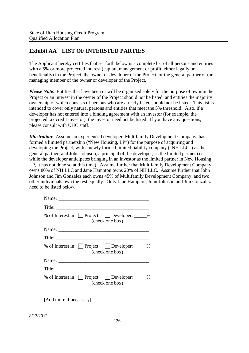# **Exhibit AA LIST OF INTERSTED PARTIES**

The Applicant hereby certifies that set forth below is a complete list of all persons and entities with a 5% or more projected interest (capital, management or profit, either legally or beneficially) in the Project, the owner or developer of the Project, or the general partner or the managing member of the owner or developer of the Project.

*Please Note*: Entities that have been or will be organized solely for the purpose of owning the Project or an interest in the owner of the Project should not be listed, and entities the majority ownership of which consists of persons who are already listed should not be listed. This list is intended to cover only natural persons and entities that meet the 5% threshold. Also, if a developer has not entered into a binding agreement with an investor (for example, the projected tax credit investor), the investor need not be listed. If you have any questions, please consult with UHC staff.

*Illustration*: Assume an experienced developer, Multifamily Development Company, has formed a limited partnership ("New Housing, LP") for the purpose of acquiring and developing the Project, with a newly formed limited liability company ("NH LLC") as the general partner, and John Johnson, a principal of the developer, as the limited partner (i.e. while the developer anticipates bringing in an investor as the limited partner in New Housing, LP, it has not done so at this time). Assume further that Multifamily Development Company owns 80% of NH LLC and Jane Hampton owns 20% of NH LLC. Assume further that John Johnson and Jim Gonzalez each owns 45% of Multifamily Development Company, and two other individuals own the rest equally. Only Jane Hampton, John Johnson and Jim Gonzalez need to be listed below.

|                 | % of Interest in $\Box$ Project $\Box$ Developer: $\Box$ %<br>(check one box) |  |
|-----------------|-------------------------------------------------------------------------------|--|
|                 |                                                                               |  |
| $\text{Title:}$ |                                                                               |  |
|                 | % of Interest in Project Developer: _____%<br>(check one box)                 |  |
|                 |                                                                               |  |
| $\text{Title:}$ |                                                                               |  |
|                 | % of Interest in Project Developer: _____%<br>(check one box)                 |  |

[Add more if necessary]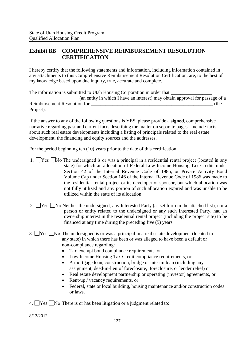# **Exhibit BB COMPREHENSIVE REIMBURSEMENT RESOLUTION CERTIFICATION**

I hereby certify that the following statements and information, including information contained in any attachments to this Comprehensive Reimbursement Resolution Certification, are, to the best of my knowledge based upon due inquiry, true, accurate and complete.

The information is submitted to Utah Housing Corporation in order that \_\_\_\_\_\_\_\_\_\_\_\_\_\_\_\_\_\_\_\_ (an entity in which I have an interest) may obtain approval for passage of a Reimbursement Resolution for  $($ the Project).

If the answer to any of the following questions is YES, please provide a **signed,** comprehensive narrative regarding past and current facts describing the matter on separate pages. Include facts about such real estate developments including a listing of principals related to the real estate development, the financing and equity sources and the addresses.

For the period beginning ten (10) years prior to the date of this certification:

- 1.  $\Box$  Yes  $\Box$  No The undersigned is or was a principal in a residential rental project (located in any state) for which an allocation of Federal Low Income Housing Tax Credits under Section 42 of the Internal Revenue Code of 1986, or Private Activity Bond Volume Cap under Section 146 of the Internal Revenue Code of 1986 was made to the residential rental project or its developer or sponsor, but which allocation was not fully utilized and any portion of such allocation expired and was unable to be utilized within the state of its allocation.
- 2.  $\Box$  Yes  $\Box$  No Neither the undersigned, any Interested Party (as set forth in the attached list), nor a person or entity related to the undersigned or any such Interested Party, had an ownership interest in the residential rental project (including the project site) to be financed at any time during the preceding five (5) years.
- 3. Yes No The undersigned is or was a principal in a real estate development (located in any state) in which there has been or was alleged to have been a default or non-compliance regarding:
	- Tax-exempt bond compliance requirements, or
	- Low Income Housing Tax Credit compliance requirements, or
	- A mortgage loan, construction, bridge or interim loan (including any assignment, deed-in-lieu of foreclosure, foreclosure, or lender relief) or
	- Real estate development partnership or operating (investor) agreements, or
	- Rent-up / vacancy requirements, or
	- Federal, state or local building, housing maintenance and/or construction codes or laws.
- 4.  $\Box$  Yes  $\Box$  No There is or has been litigation or a judgment related to: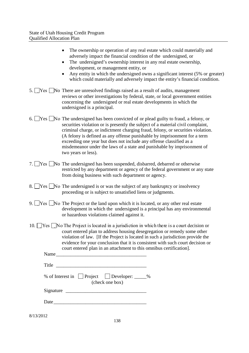| • The ownership or operation of any real estate which could materially and |
|----------------------------------------------------------------------------|
| adversely impact the financial condition of the undersigned, or            |
| • The undersigned's ownership interest in any real estate ownership,       |
| development, or management entity, or                                      |

- Any entity in which the undersigned owns a significant interest (5% or greater) which could materially and adversely impact the entity's financial condition.
- 5.  $\Box$  Yes  $\Box$  No There are unresolved findings raised as a result of audits, management reviews or other investigations by federal, state, or local government entities concerning the undersigned or real estate developments in which the undersigned is a principal.
- 6.  $\Box$  Yes  $\Box$  No The undersigned has been convicted of or plead guilty to fraud, a felony, or securities violation or is presently the subject of a material civil complaint, criminal charge, or indictment charging fraud, felony, or securities violation. (A felony is defined as any offense punishable by imprisonment for a term exceeding one year but does not include any offense classified as a misdemeanor under the laws of a state and punishable by imprisonment of two years or less).
- 7. Yes No The undersigned has been suspended, disbarred, debarred or otherwise restricted by any department or agency of the federal government or any state from doing business with such department or agency.
- 8. Yes No The undersigned is or was the subject of any bankruptcy or insolvency proceeding or is subject to unsatisfied liens or judgments.
- 9. Yes No The Project or the land upon which it is located, or any other real estate development in which the undersigned is a principal has any environmental or hazardous violations claimed against it.
- 10.  $\Box$  Yes  $\Box$  No The Project is located in a jurisdiction in which there is a court decision or court entered plan to address housing desegregation or remedy some other violation of law. [If the Project is located in such a jurisdiction provide the evidence for your conclusion that it is consistent with such court decision or court entered plan in an attachment to this omnibus certification].

| Name  |                          |  |  |
|-------|--------------------------|--|--|
| Title |                          |  |  |
|       | $\overline{\phantom{a}}$ |  |  |

| % of Interest in $\Box$ Project |  | $\Box$ Developer: | % |  |  |
|---------------------------------|--|-------------------|---|--|--|
| (check one box)                 |  |                   |   |  |  |

| Signature |  |
|-----------|--|
|           |  |

Date\_\_\_\_\_\_\_\_\_\_\_\_\_\_\_\_\_\_\_\_\_\_\_\_\_\_\_\_\_\_\_\_\_\_\_\_\_\_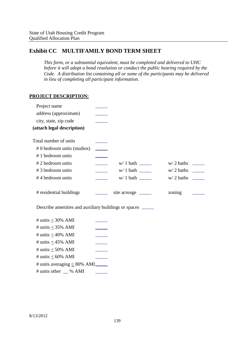# **Exhibit CC MULTIFAMILY BOND TERM SHEET**

*This form, or a substantial equivalent, must be completed and delivered to UHC before it will adopt a bond resolution or conduct the public hearing required by the Code. A distribution list containing all or some of the participants may be delivered in lieu of completing all participant information.*

### **PROJECT DESCRIPTION:**

| Project name                                                |                          |                       |        |  |
|-------------------------------------------------------------|--------------------------|-----------------------|--------|--|
| address (approximate)                                       |                          |                       |        |  |
| city, state, zip code                                       |                          |                       |        |  |
| (attach legal description)                                  |                          |                       |        |  |
| Total number of units                                       |                          |                       |        |  |
| # 0 bedroom units (studios)                                 |                          |                       |        |  |
| #1 bedroom units                                            |                          |                       |        |  |
| #2 bedroom units                                            | $\overline{\phantom{a}}$ |                       |        |  |
| #3 bedroom units                                            |                          |                       |        |  |
| #4 bedroom units                                            |                          |                       |        |  |
| # residential buildings                                     |                          | site acreage ________ | zoning |  |
| Describe amenities and auxiliary buildings or spaces ______ |                          |                       |        |  |
| # units $\leq$ 30% AMI                                      |                          |                       |        |  |
| # units $\leq$ 35% AMI                                      |                          |                       |        |  |
| # units $\leq 40\%$ AMI                                     |                          |                       |        |  |
| # units $\leq$ 45% AMI                                      |                          |                       |        |  |
| # units $\leq 50\%$ AMI                                     |                          |                       |        |  |
| # units $\leq 60\%$ AMI                                     |                          |                       |        |  |
| # units averaging $\leq 80\%$ AMI                           |                          |                       |        |  |
| # units other __ % AMI                                      |                          |                       |        |  |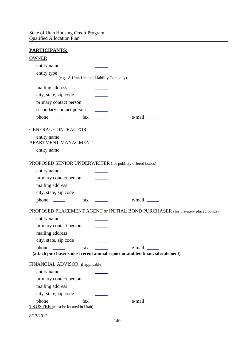#### **PARTICIPANTS:**

| <u>111110111111101</u>                                                               |                                                                                 |
|--------------------------------------------------------------------------------------|---------------------------------------------------------------------------------|
| <b>OWNER</b>                                                                         |                                                                                 |
| entity name                                                                          |                                                                                 |
| entity type                                                                          |                                                                                 |
| (e.g., A Utah Limited Liability Company)                                             |                                                                                 |
| mailing address                                                                      |                                                                                 |
| city, state, zip code                                                                |                                                                                 |
| primary contact person                                                               |                                                                                 |
| secondary contact person                                                             |                                                                                 |
|                                                                                      |                                                                                 |
| <b>GENERAL CONTRACTOR</b>                                                            |                                                                                 |
| entity name                                                                          |                                                                                 |
| <b>APARTMENT MANAGMENT</b>                                                           |                                                                                 |
| entity name                                                                          |                                                                                 |
| PROPOSED SENIOR UNDERWRITER (for publicly offered bonds)                             |                                                                                 |
| entity name                                                                          |                                                                                 |
| primary contact person                                                               |                                                                                 |
| mailing address                                                                      |                                                                                 |
| city, state, zip code                                                                |                                                                                 |
| phone <u>the fax</u>                                                                 |                                                                                 |
|                                                                                      | PROPOSED PLACEMENT AGENT or INITIAL BOND PURCHASER (for privately placed bonds) |
| entity name                                                                          |                                                                                 |
| primary contact person                                                               |                                                                                 |
| mailing address                                                                      |                                                                                 |
| city, state, zip code                                                                |                                                                                 |
| fax<br>phone<br><u> The Communication</u>                                            | e-mail                                                                          |
|                                                                                      | (attach purchaser's most recent annual report or audited financial statement)   |
| FINANCIAL ADVISOR (if applicable)                                                    |                                                                                 |
| entity name                                                                          |                                                                                 |
| primary contact person                                                               |                                                                                 |
| mailing address                                                                      |                                                                                 |
| city, state, zip code                                                                |                                                                                 |
| fax<br>phone<br>$\overline{\phantom{a}}$<br><b>TRUSTEE</b> (must be located in Utah) |                                                                                 |
| 8/13/2012                                                                            |                                                                                 |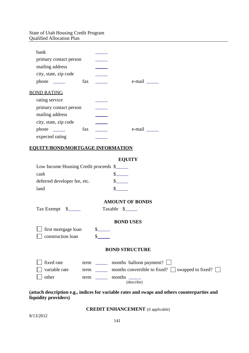| bank                                    |                                                                                                                                                                                                                                                |
|-----------------------------------------|------------------------------------------------------------------------------------------------------------------------------------------------------------------------------------------------------------------------------------------------|
| primary contact person                  |                                                                                                                                                                                                                                                |
| mailing address                         |                                                                                                                                                                                                                                                |
| city, state, zip code                   |                                                                                                                                                                                                                                                |
| fax                                     | $e$ -mail $\_\_\_\_\_\_\_\_\$                                                                                                                                                                                                                  |
| <b>BOND RATING</b>                      |                                                                                                                                                                                                                                                |
| rating service                          |                                                                                                                                                                                                                                                |
| primary contact person                  |                                                                                                                                                                                                                                                |
| mailing address                         |                                                                                                                                                                                                                                                |
| city, state, zip code                   |                                                                                                                                                                                                                                                |
| fax                                     | $e$ -mail $\_\_\_\_\_\_\_\$                                                                                                                                                                                                                    |
| expected rating                         |                                                                                                                                                                                                                                                |
| <u>EQUITY/BOND/MORTGAGE INFORMATION</u> |                                                                                                                                                                                                                                                |
|                                         |                                                                                                                                                                                                                                                |
|                                         | <b>EQUITY</b>                                                                                                                                                                                                                                  |
| Low Income Housing Credit proceeds \$   |                                                                                                                                                                                                                                                |
| cash                                    | $s$ <sub>_____</sub>                                                                                                                                                                                                                           |
| deferred developer fee, etc.            | s                                                                                                                                                                                                                                              |
| land                                    |                                                                                                                                                                                                                                                |
|                                         | <b>AMOUNT OF BONDS</b>                                                                                                                                                                                                                         |
| Tax Exempt \$                           | Taxable \$                                                                                                                                                                                                                                     |
|                                         |                                                                                                                                                                                                                                                |
|                                         | <b>BOND USES</b>                                                                                                                                                                                                                               |
| first mortgage loan                     | $\frac{\S_{\perp}}{\S_{\perp}}$                                                                                                                                                                                                                |
| construction loan                       | S                                                                                                                                                                                                                                              |
|                                         | <b>BOND STRUCTURE</b>                                                                                                                                                                                                                          |
| fixed rate<br>term                      | months balloon payment?<br><b>Contract Contract</b>                                                                                                                                                                                            |
| variable rate<br>term                   | months convertible to fixed? $\Box$ swapped to fixed? $\Box$                                                                                                                                                                                   |
| other<br>term                           | months<br><u>and the company of the company of the company of the company of the company of the company of the company of the company of the company of the company of the company of the company of the company of the company of the com</u> |
|                                         | (describe)                                                                                                                                                                                                                                     |

**(attach description e.g., indices for variable rates and swaps and others counterparties and liquidity providers)**

#### **CREDIT ENHANCEMENT** (if applicable)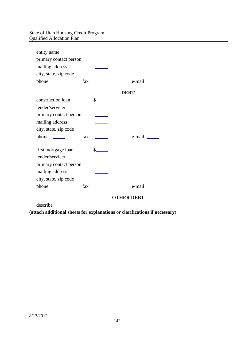| entity name            |     |                                                                                                                                                                                                                                                                                                                                                                              |                   |
|------------------------|-----|------------------------------------------------------------------------------------------------------------------------------------------------------------------------------------------------------------------------------------------------------------------------------------------------------------------------------------------------------------------------------|-------------------|
| primary contact person |     |                                                                                                                                                                                                                                                                                                                                                                              |                   |
| mailing address        |     |                                                                                                                                                                                                                                                                                                                                                                              |                   |
| city, state, zip code  |     |                                                                                                                                                                                                                                                                                                                                                                              |                   |
| $phone \_\_$           | fax |                                                                                                                                                                                                                                                                                                                                                                              | e-mail ______     |
|                        |     |                                                                                                                                                                                                                                                                                                                                                                              | <b>DEBT</b>       |
| construction loan      |     | $\frac{\S_{\frac{1}{2}}}{\S_{\frac{1}{2}}}{\S_{\frac{1}{2}}}{\S_{\frac{1}{2}}}{\S_{\frac{1}{2}}}{\S_{\frac{1}{2}}}{\S_{\frac{1}{2}}}{\S_{\frac{1}{2}}}{\S_{\frac{1}{2}}}{\S_{\frac{1}{2}}}{\S_{\frac{1}{2}}}{\S_{\frac{1}{2}}}{\S_{\frac{1}{2}}}{\S_{\frac{1}{2}}}{\S_{\frac{1}{2}}}{\S_{\frac{1}{2}}}{\S_{\frac{1}{2}}}{\S_{\frac{1}{2}}}{\S_{\frac{1}{2}}}{\S_{\frac{1}{2$ |                   |
| lender/servicer        |     |                                                                                                                                                                                                                                                                                                                                                                              |                   |
| primary contact person |     |                                                                                                                                                                                                                                                                                                                                                                              |                   |
| mailing address        |     |                                                                                                                                                                                                                                                                                                                                                                              |                   |
| city, state, zip code  |     |                                                                                                                                                                                                                                                                                                                                                                              |                   |
| $phone \_\_$           | fax |                                                                                                                                                                                                                                                                                                                                                                              | e-mail ______     |
| first mortgage loan    |     | $\frac{\S_{\frac{1}{2}}}{\S_{\frac{1}{2}}}{\S_{\frac{1}{2}}}{\S_{\frac{1}{2}}}{\S_{\frac{1}{2}}}{\S_{\frac{1}{2}}}{\S_{\frac{1}{2}}}{\S_{\frac{1}{2}}}{\S_{\frac{1}{2}}}{\S_{\frac{1}{2}}}{\S_{\frac{1}{2}}}{\S_{\frac{1}{2}}}{\S_{\frac{1}{2}}}{\S_{\frac{1}{2}}}{\S_{\frac{1}{2}}}{\S_{\frac{1}{2}}}{\S_{\frac{1}{2}}}{\S_{\frac{1}{2}}}{\S_{\frac{1}{2}}}{\S_{\frac{1}{2$ |                   |
| lender/servicer        |     |                                                                                                                                                                                                                                                                                                                                                                              |                   |
| primary contact person |     |                                                                                                                                                                                                                                                                                                                                                                              |                   |
| mailing address        |     |                                                                                                                                                                                                                                                                                                                                                                              |                   |
| city, state, zip code  |     |                                                                                                                                                                                                                                                                                                                                                                              |                   |
| $phone \_\_$           | fax |                                                                                                                                                                                                                                                                                                                                                                              | e-mail __         |
|                        |     |                                                                                                                                                                                                                                                                                                                                                                              | <b>OTHER DEBT</b> |

describe

**(attach additional sheets for explanations or clarifications if necessary)**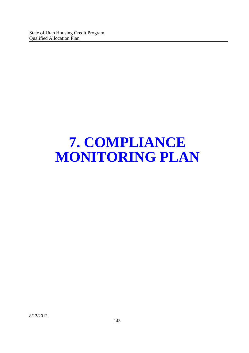## **7. COMPLIANCE MONITORING PLAN**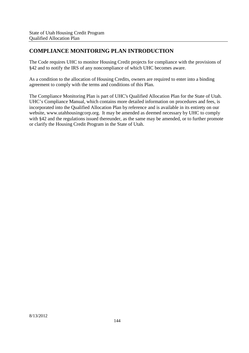## **COMPLIANCE MONITORING PLAN INTRODUCTION**

The Code requires UHC to monitor Housing Credit projects for compliance with the provisions of §42 and to notify the IRS of any noncompliance of which UHC becomes aware.

As a condition to the allocation of Housing Credits, owners are required to enter into a binding agreement to comply with the terms and conditions of this Plan.

The Compliance Monitoring Plan is part of UHC's Qualified Allocation Plan for the State of Utah. UHC's Compliance Manual, which contains more detailed information on procedures and fees, is incorporated into the Qualified Allocation Plan by reference and is available in its entirety on our website, www.utahhousingcorp.org. It may be amended as deemed necessary by UHC to comply with §42 and the regulations issued thereunder, as the same may be amended, or to further promote or clarify the Housing Credit Program in the State of Utah.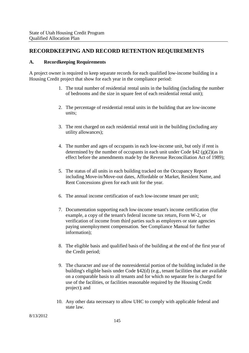#### **RECORDKEEPING AND RECORD RETENTION REQUIREMENTS**

#### **A. Recordkeeping Requirements**

A project owner is required to keep separate records for each qualified low-income building in a Housing Credit project that show for each year in the compliance period:

- 1. The total number of residential rental units in the building (including the number of bedrooms and the size in square feet of each residential rental unit);
- 2. The percentage of residential rental units in the building that are low-income units;
- 3. The rent charged on each residential rental unit in the building (including any utility allowances);
- 4. The number and ages of occupants in each low-income unit, but only if rent is determined by the number of occupants in each unit under Code  $\S 42$  (g)(2)(as in effect before the amendments made by the Revenue Reconciliation Act of 1989);
- 5. The status of all units in each building tracked on the Occupancy Report including Move-in/Move-out dates, Affordable or Market, Resident Name, and Rent Concessions given for each unit for the year.
- 6. The annual income certification of each low-income tenant per unit;
- 7. Documentation supporting each low-income tenant's income certification (for example, a copy of the tenant's federal income tax return, Form W-2, or verification of income from third parties such as employers or state agencies paying unemployment compensation. See Compliance Manual for further information);
- 8. The eligible basis and qualified basis of the building at the end of the first year of the Credit period;
- 9. The character and use of the nonresidential portion of the building included in the building's eligible basis under Code §42(d) (e.g., tenant facilities that are available on a comparable basis to all tenants and for which no separate fee is charged for use of the facilities, or facilities reasonable required by the Housing Credit project); and
- 10. Any other data necessary to allow UHC to comply with applicable federal and state law.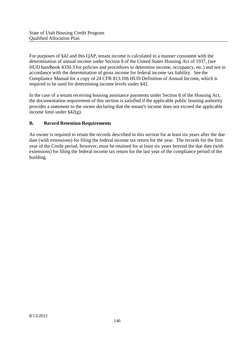For purposes of §42 and this QAP, tenant income is calculated in a manner consistent with the determination of annual income under Section 8 of the United States Housing Act of 1937, (see HUD handbook 4350.3 for policies and procedures to determine income, occupancy, etc.) and not in accordance with the determination of gross income for federal income tax liability. See the Compliance Manual for a copy of 24 CFR 813.106 HUD Definition of Annual Income, which is required to be used for determining income levels under §42.

In the case of a tenant receiving housing assistance payments under Section 8 of the Housing Act, the documentation requirement of this section is satisfied if the applicable public housing authority provides a statement to the owner declaring that the tenant's income does not exceed the applicable income limit under §42(g).

#### **B. Record Retention Requirements**

An owner is required to retain the records described in this section for at least six years after the due date (with extensions) for filing the federal income tax return for the year. The records for the first year of the Credit period, however, must be retained for at least six years beyond the due date (with extensions) for filing the federal income tax return for the last year of the compliance period of the building.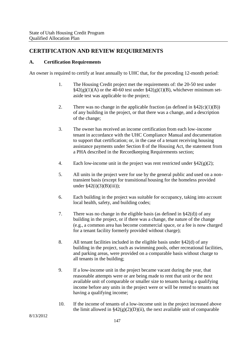### **CERTIFICATION AND REVIEW REQUIREMENTS**

#### **A. Certification Requirements**

An owner is required to certify at least annually to UHC that, for the preceding 12-month period:

- 1. The Housing Credit project met the requirements of: the 20-50 test under  $\S42(g)(1)(A)$  or the  $\overline{40-60}$  test under  $\S42(g)(1)(B)$ , whichever minimum setaside test was applicable to the project;
- 2. There was no change in the applicable fraction (as defined in  $\S42(c)(1)(B)$ ) of any building in the project, or that there was a change, and a description of the change;
- 3. The owner has received an income certification from each low-income tenant in accordance with the UHC Compliance Manual and documentation to support that certification; or, in the case of a tenant receiving housing assistance payments under Section 8 of the Housing Act, the statement from a PHA described in the Recordkeeping Requirements section;
- 4. Each low-income unit in the project was rent restricted under  $\S 42(g)(2)$ ;
- 5. All units in the project were for use by the general public and used on a nontransient basis (except for transitional housing for the homeless provided under  $$42(i)(3)(B)(iii)$ ;
- 6. Each building in the project was suitable for occupancy, taking into account local health, safety, and building codes;
- 7. There was no change in the eligible basis (as defined in §42(d)) of any building in the project, or if there was a change, the nature of the change (e.g., a common area has become commercial space, or a fee is now charged for a tenant facility formerly provided without charge);
- 8. All tenant facilities included in the eligible basis under §42(d) of any building in the project, such as swimming pools, other recreational facilities, and parking areas, were provided on a comparable basis without charge to all tenants in the building;
- 9. If a low-income unit in the project became vacant during the year, that reasonable attempts were or are being made to rent that unit or the next available unit of comparable or smaller size to tenants having a qualifying income before any units in the project were or will be rented to tenants not having a qualifying income;
- 10. If the income of tenants of a low-income unit in the project increased above the limit allowed in  $\S42(g)(2)(D)(ii)$ , the next available unit of comparable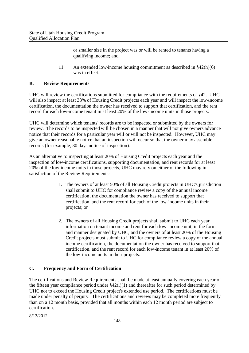or smaller size in the project was or will be rented to tenants having a qualifying income; and

11. An extended low-income housing commitment as described in §42(h)(6) was in effect.

#### **B. Review Requirements**

UHC will review the certifications submitted for compliance with the requirements of §42. UHC will also inspect at least 33% of Housing Credit projects each year and will inspect the low-income certification, the documentation the owner has received to support that certification, and the rent record for each low-income tenant in at least 20% of the low-income units in those projects.

UHC will determine which tenants' records are to be inspected or submitted by the owners for review. The records to be inspected will be chosen in a manner that will not give owners advance notice that their records for a particular year will or will not be inspected. However, UHC may give an owner reasonable notice that an inspection will occur so that the owner may assemble records (for example, 30 days notice of inspection).

As an alternative to inspecting at least 20% of Housing Credit projects each year and the inspection of low-income certifications, supporting documentation, and rent records for at least 20% of the low-income units in those projects, UHC may rely on either of the following in satisfaction of the Review Requirements:

- 1. The owners of at least 50% of all Housing Credit projects in UHC's jurisdiction shall submit to UHC for compliance review a copy of the annual income certification, the documentation the owner has received to support that certification, and the rent record for each of the low-income units in their projects; or
- 2. The owners of all Housing Credit projects shall submit to UHC each year information on tenant income and rent for each low-income unit, in the form and manner designated by UHC, and the owners of at least 20% of the Housing Credit projects must submit to UHC for compliance review a copy of the annual income certification, the documentation the owner has received to support that certification, and the rent record for each low-income tenant in at least 20% of the low-income units in their projects.

#### **C. Frequency and Form of Certification**

The certifications and Review Requirements shall be made at least annually covering each year of the fifteen year compliance period under §42(i)(1) and thereafter for such period determined by UHC not to exceed the Housing Credit project's extended use period. The certifications must be made under penalty of perjury. The certifications and reviews may be completed more frequently than on a 12 month basis, provided that all months within each 12 month period are subject to certification.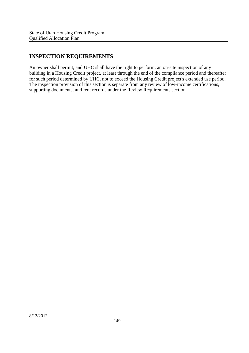## **INSPECTION REQUIREMENTS**

An owner shall permit, and UHC shall have the right to perform, an on-site inspection of any building in a Housing Credit project, at least through the end of the compliance period and thereafter for such period determined by UHC, not to exceed the Housing Credit project's extended use period. The inspection provision of this section is separate from any review of low-income certifications, supporting documents, and rent records under the Review Requirements section.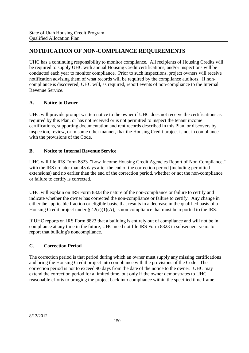## **NOTIFICATION OF NON-COMPLIANCE REQUIREMENTS**

UHC has a continuing responsibility to monitor compliance. All recipients of Housing Credits will be required to supply UHC with annual Housing Credit certifications, and/or inspections will be conducted each year to monitor compliance. Prior to such inspections, project owners will receive notification advising them of what records will be required by the compliance auditors. If noncompliance is discovered, UHC will, as required, report events of non-compliance to the Internal Revenue Service.

#### **A. Notice to Owner**

UHC will provide prompt written notice to the owner if UHC does not receive the certifications as required by this Plan, or has not received or is not permitted to inspect the tenant income certifications, supporting documentation and rent records described in this Plan, or discovers by inspection, review, or in some other manner, that the Housing Credit project is not in compliance with the provisions of the Code.

#### **B. Notice to Internal Revenue Service**

UHC will file IRS Form 8823, "Low-Income Housing Credit Agencies Report of Non-Compliance," with the IRS no later than 45 days after the end of the correction period (including permitted extensions) and no earlier than the end of the correction period, whether or not the non-compliance or failure to certify is corrected.

UHC will explain on IRS Form 8823 the nature of the non-compliance or failure to certify and indicate whether the owner has corrected the non-compliance or failure to certify. Any change in either the applicable fraction or eligible basis, that results in a decrease in the qualified basis of a Housing Credit project under §  $42(c)(1)(A)$ , is non-compliance that must be reported to the IRS.

If UHC reports on IRS Form 8823 that a building is entirely out of compliance and will not be in compliance at any time in the future, UHC need not file IRS Form 8823 in subsequent years to report that building's noncompliance.

#### **C. Correction Period**

The correction period is that period during which an owner must supply any missing certifications and bring the Housing Credit project into compliance with the provisions of the Code. The correction period is not to exceed 90 days from the date of the notice to the owner. UHC may extend the correction period for a limited time, but only if the owner demonstrates to UHC reasonable efforts to bringing the project back into compliance within the specified time frame.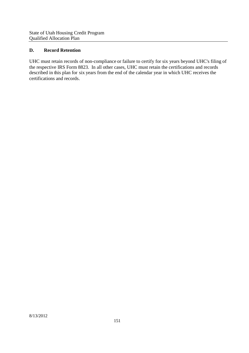#### **D. Record Retention**

UHC must retain records of non-compliance or failure to certify for six years beyond UHC's filing of the respective IRS Form 8823. In all other cases, UHC must retain the certifications and records described in this plan for six years from the end of the calendar year in which UHC receives the certifications and records.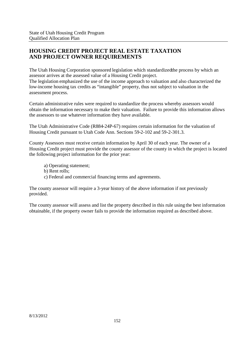### **HOUSING CREDIT PROJECT REAL ESTATE TAXATION AND PROJECT OWNER REQUIREMENTS**

The Utah Housing Corporation sponsored legislation which standardizedthe process by which an assessor arrives at the assessed value of a Housing Credit project.

The legislation emphasized the use of the income approach to valuation and also characterized the low-income housing tax credits as "intangible" property, thus not subject to valuation in the assessment process.

Certain administrative rules were required to standardize the process whereby assessors would obtain the information necessary to make their valuation. Failure to provide this information allows the assessors to use whatever information they have available.

The Utah Administrative Code (R884-24P-67) requires certain information for the valuation of Housing Credit pursuant to Utah Code Ann. Sections 59-2-102 and 59-2-301.3.

County Assessors must receive certain information by April 30 of each year. The owner of a Housing Credit project must provide the county assessor of the county in which the project is located the following project information for the prior year:

a) Operating statement;

- b) Rent rolls;
- c) Federal and commercial financing terms and agreements.

The county assessor will require a 3-year history of the above information if not previously provided.

The county assessor will assess and list the property described in this rule using the best information obtainable, if the property owner fails to provide the information required as described above.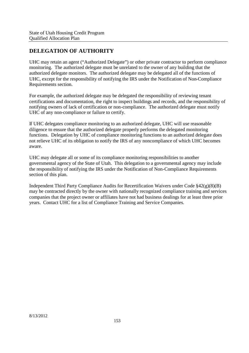## **DELEGATION OF AUTHORITY**

UHC may retain an agent ("Authorized Delegate") or other private contractor to perform compliance monitoring. The authorized delegate must be unrelated to the owner of any building that the authorized delegate monitors. The authorized delegate may be delegated all of the functions of UHC, except for the responsibility of notifying the IRS under the Notification of Non-Compliance Requirements section.

For example, the authorized delegate may be delegated the responsibility of reviewing tenant certifications and documentation, the right to inspect buildings and records, and the responsibility of notifying owners of lack of certification or non-compliance. The authorized delegate must notify UHC of any non-compliance or failure to certify.

If UHC delegates compliance monitoring to an authorized delegate, UHC will use reasonable diligence to ensure that the authorized delegate properly performs the delegated monitoring functions. Delegation by UHC of compliance monitoring functions to an authorized delegate does not relieve UHC of its obligation to notify the IRS of any noncompliance of which UHC becomes aware.

UHC may delegate all or some of its compliance monitoring responsibilities to another governmental agency of the State of Utah. This delegation to a governmental agency may include the responsibility of notifying the IRS under the Notification of Non-Compliance Requirements section of this plan.

Independent Third Party Compliance Audits for Recertification Waivers under Code §42(g)(8)(B) may be contracted directly by the owner with nationally recognized compliance training and services companies that the project owner or affiliates have not had business dealings for at least three prior years. Contact UHC for a list of Compliance Training and Service Companies.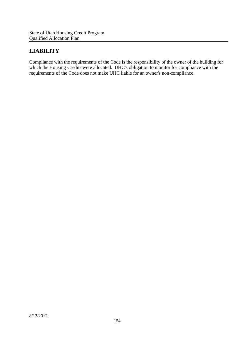## **LIABILITY**

Compliance with the requirements of the Code is the responsibility of the owner of the building for which the Housing Credits were allocated. UHC's obligation to monitor for compliance with the requirements of the Code does not make UHC liable for an owner's non-compliance.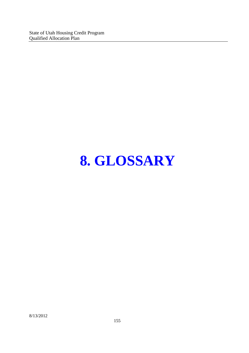# **8. GLOSSARY**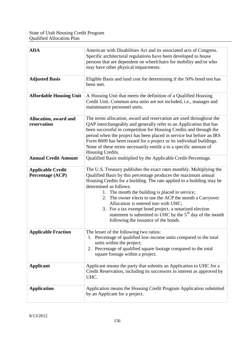| <b>ADA</b>                                   | American with Disabilities Act and its associated acts of Congress.<br>Specific architectural regulations have been developed to house<br>persons that are dependent on wheelchairs for mobility and/or who<br>may have other physical impairments.                                                                                                                                                                                                                                                                                                               |
|----------------------------------------------|-------------------------------------------------------------------------------------------------------------------------------------------------------------------------------------------------------------------------------------------------------------------------------------------------------------------------------------------------------------------------------------------------------------------------------------------------------------------------------------------------------------------------------------------------------------------|
| <b>Adjusted Basis</b>                        | Eligible Basis and land cost for determining if the 50% bond test has<br>been met.                                                                                                                                                                                                                                                                                                                                                                                                                                                                                |
| <b>Affordable Housing Unit</b>               | A Housing Unit that meets the definition of a Qualified Housing<br>Credit Unit. Common area units are not included, i.e., manager and<br>maintenance personnel units.                                                                                                                                                                                                                                                                                                                                                                                             |
| Allocation, award and<br>reservation         | The terms allocation, award and reservation are used throughout the<br>QAP interchangeably and generally refer to an Application that has<br>been successful in competition for Housing Credits and through the<br>period when the project has been placed in service but before an IRS<br>Form 8609 has been issued for a project or its individual buildings.<br>None of these terms necessarily entitle a to a specific amount of<br>Housing Credits.                                                                                                          |
| <b>Annual Credit Amount</b>                  | Qualified Basis multiplied by the Applicable Credit Percentage.                                                                                                                                                                                                                                                                                                                                                                                                                                                                                                   |
| <b>Applicable Credit</b><br>Percentage (ACP) | The U.S. Treasury publishes the exact rates monthly. Multiplying the<br>Qualified Basis by this percentage produces the maximum annual<br>Housing Credits for a building. The rate applied to a building may be<br>determined as follows:<br>1. The month the building is placed in service;<br>2. The owner elects to use the ACP the month a Carryover<br>Allocation is entered into with UHC;<br>3. For a tax exempt bond project, a notarized election<br>statement is submitted to UHC by the $5th$ day of the month<br>following the issuance of the bonds. |
| <b>Applicable Fraction</b>                   | The lesser of the following two ratios:<br>1. Percentage of qualified low-income units compared to the total<br>units within the project;<br>2. Percentage of qualified square footage compared to the total<br>square footage within a project.                                                                                                                                                                                                                                                                                                                  |
| <b>Applicant</b>                             | Applicant means the party that submits an Application to UHC for a<br>Credit Reservation, including its successors in interest as approved by<br>UHC.                                                                                                                                                                                                                                                                                                                                                                                                             |
| <b>Application</b>                           | Application means the Housing Credit Program Application submitted<br>by an Applicant for a project.                                                                                                                                                                                                                                                                                                                                                                                                                                                              |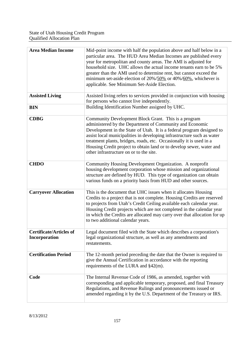| <b>Area Median Income</b>                       | Mid-point income with half the population above and half below in a<br>particular area. The HUD Area Median Incomes are published every<br>year for metropolitan and county areas. The AMI is adjusted for<br>household size. UHC allows the actual income tenants earn to be 5%<br>greater than the AMI used to determine rent, but cannot exceed the<br>minimum set-aside election of $20\%/50\%$ or $40\%/60\%$ , whichever is<br>applicable. See Minimum Set-Aside Election. |
|-------------------------------------------------|----------------------------------------------------------------------------------------------------------------------------------------------------------------------------------------------------------------------------------------------------------------------------------------------------------------------------------------------------------------------------------------------------------------------------------------------------------------------------------|
| <b>Assisted Living</b>                          | Assisted living refers to services provided in conjunction with housing<br>for persons who cannot live independently.                                                                                                                                                                                                                                                                                                                                                            |
| <b>BIN</b>                                      | Building Identification Number assigned by UHC.                                                                                                                                                                                                                                                                                                                                                                                                                                  |
| <b>CDBG</b>                                     | Community Development Block Grant. This is a program<br>administered by the Department of Community and Economic<br>Development in the State of Utah. It is a federal program designed to<br>assist local municipalities in developing infrastructure such as water<br>treatment plants, bridges, roads, etc. Occasionally it is used in a<br>Housing Credit project to obtain land or to develop sewer, water and<br>other infrastructure on or to the site.                    |
| <b>CHDO</b>                                     | Community Housing Development Organization. A nonprofit<br>housing development corporation whose mission and organizational<br>structure are defined by HUD. This type of organization can obtain<br>various funds on a priority basis from HUD and other sources.                                                                                                                                                                                                               |
| <b>Carryover Allocation</b>                     | This is the document that UHC issues when it allocates Housing<br>Credits to a project that is not complete. Housing Credits are reserved<br>to projects from Utah's Credit Ceiling available each calendar year.<br>Housing Credit projects which are not completed in the calendar year<br>in which the Credits are allocated may carry over that allocation for up<br>to two additional calendar years.                                                                       |
| <b>Certificate/Articles of</b><br>Incorporation | Legal document filed with the State which describes a corporation's<br>legal organizational structure, as well as any amendments and<br>restatements.                                                                                                                                                                                                                                                                                                                            |
| <b>Certification Period</b>                     | The 12-month period preceding the date that the Owner is required to<br>give the Annual Certification in accordance with the reporting<br>requirements of the LURA and $\S42(m)$ .                                                                                                                                                                                                                                                                                               |
| Code                                            | The Internal Revenue Code of 1986, as amended, together with<br>corresponding and applicable temporary, proposed, and final Treasury<br>Regulations, and Revenue Rulings and pronouncements issued or<br>amended regarding it by the U.S. Department of the Treasury or IRS.                                                                                                                                                                                                     |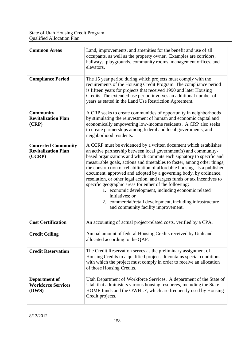| <b>Common Areas</b>                                                | Land, improvements, and amenities for the benefit and use of all<br>occupants, as well as the property owner. Examples are corridors,<br>hallways, playgrounds, community rooms, management offices, and<br>elevators.                                                                                                                                                                                                                                                                                                                                                                                                                                                                                                                                         |
|--------------------------------------------------------------------|----------------------------------------------------------------------------------------------------------------------------------------------------------------------------------------------------------------------------------------------------------------------------------------------------------------------------------------------------------------------------------------------------------------------------------------------------------------------------------------------------------------------------------------------------------------------------------------------------------------------------------------------------------------------------------------------------------------------------------------------------------------|
| <b>Compliance Period</b>                                           | The 15 year period during which projects must comply with the<br>requirements of the Housing Credit Program. The compliance period<br>is fifteen years for projects that received 1990 and later Housing<br>Credits. The extended use period involves an additional number of<br>years as stated in the Land Use Restriction Agreement.                                                                                                                                                                                                                                                                                                                                                                                                                        |
| <b>Community</b><br><b>Revitalization Plan</b><br>(CRP)            | A CRP seeks to create communities of opportunity in neighborhoods<br>by stimulating the reinvestment of human and economic capital and<br>economically empowering low-income residents. A CRP also seeks<br>to create partnerships among federal and local governments, and<br>neighborhood residents.                                                                                                                                                                                                                                                                                                                                                                                                                                                         |
| <b>Concerted Community</b><br><b>Revitalization Plan</b><br>(CCRP) | A CCRP must be evidenced by a written document which establishes<br>an active partnership between local government(s) and community-<br>based organizations and which commits each signatory to specific and<br>measurable goals, actions and timetables to foster, among other things,<br>the construction or rehabilitation of affordable housing. Is a published<br>document, approved and adopted by a governing body, by ordinance,<br>resolution, or other legal action, and targets funds or tax incentives to<br>specific geographic areas for either of the following:<br>1. economic development, including economic related<br>initiatives; or<br>2. commercial/retail development, including infrastructure<br>and community facility improvement. |
| <b>Cost Certification</b>                                          | An accounting of actual project-related costs, verified by a CPA.                                                                                                                                                                                                                                                                                                                                                                                                                                                                                                                                                                                                                                                                                              |
| <b>Credit Ceiling</b>                                              | Annual amount of federal Housing Credits received by Utah and<br>allocated according to the QAP.                                                                                                                                                                                                                                                                                                                                                                                                                                                                                                                                                                                                                                                               |
| <b>Credit Reservation</b>                                          | The Credit Reservation serves as the preliminary assignment of<br>Housing Credits to a qualified project. It contains special conditions<br>with which the project must comply in order to receive an allocation<br>of those Housing Credits.                                                                                                                                                                                                                                                                                                                                                                                                                                                                                                                  |
| Department of<br><b>Workforce Services</b><br>(DWS)                | Utah Department of Workforce Services. A department of the State of<br>Utah that administers various housing resources, including the State<br>HOME funds and the OWHLF, which are frequently used by Housing<br>Credit projects.                                                                                                                                                                                                                                                                                                                                                                                                                                                                                                                              |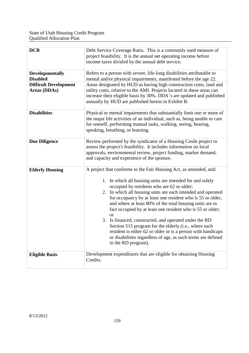| <b>DCR</b>                                                                                | Debt Service Coverage Ratio. This is a commonly used measure of<br>project feasibility. It is the annual net operating income before<br>income taxes divided by the annual debt service.                                                                                                                                                                                                                                                                                                                                                                                                                                                                                                                                    |
|-------------------------------------------------------------------------------------------|-----------------------------------------------------------------------------------------------------------------------------------------------------------------------------------------------------------------------------------------------------------------------------------------------------------------------------------------------------------------------------------------------------------------------------------------------------------------------------------------------------------------------------------------------------------------------------------------------------------------------------------------------------------------------------------------------------------------------------|
| <b>Developmentally</b><br><b>Disabled</b><br><b>Difficult Development</b><br>Areas (DDAs) | Refers to a person with severe, life-long disabilities attributable to<br>mental and/or physical impairments, manifested before the age 22.<br>Areas designated by HUD as having high construction costs, land and<br>utility costs, relative to the AMI. Projects located in these areas can<br>increase their eligible basis by 30%. DDA's are updated and published<br>annually by HUD are published herein in Exhibit B.                                                                                                                                                                                                                                                                                                |
| <b>Disabilities</b>                                                                       | Physical or mental impairments that substantially limit one or more of<br>the major life activities of an individual, such as, being unable to care<br>for oneself, performing manual tasks, walking, seeing, hearing,<br>speaking, breathing, or learning.                                                                                                                                                                                                                                                                                                                                                                                                                                                                 |
| <b>Due Diligence</b>                                                                      | Review performed by the syndicator of a Housing Credit project to<br>assess the project's feasibility. It includes information on local<br>approvals, environmental review, project funding, market demand,<br>and capacity and experience of the sponsor.                                                                                                                                                                                                                                                                                                                                                                                                                                                                  |
| <b>Elderly Housing</b>                                                                    | A project that conforms to the Fair Housing Act, as amended, and:<br>1. In which all housing units are intended for and solely<br>occupied by residents who are 62 or older;<br>2. In which all housing units are each intended and operated<br>for occupancy by at least one resident who is 55 or older,<br>and where at least 80% of the total housing units are in<br>fact occupied by at least one resident who is 55 or older;<br><b>or</b><br>3. Is financed, constructed, and operated under the RD<br>Section 515 program for the elderly (i.e., where each<br>resident is either 62 or older or is a person with handicaps<br>or disabilities regardless of age, as such terms are defined<br>in the RD program). |
| <b>Eligible Basis</b>                                                                     | Development expenditures that are eligible for obtaining Housing<br>Credits.                                                                                                                                                                                                                                                                                                                                                                                                                                                                                                                                                                                                                                                |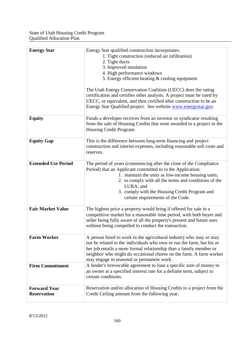| <b>Energy Star</b>                        | Energy Star qualified construction incorporates:<br>1. Tight construction (reduced air infiltration)<br>2. Tight ducts<br>3. Improved insulation<br>4. High performance windows<br>5. Energy efficient heating & cooling equipment                                                                                                                |
|-------------------------------------------|---------------------------------------------------------------------------------------------------------------------------------------------------------------------------------------------------------------------------------------------------------------------------------------------------------------------------------------------------|
|                                           | The Utah Energy Conservation Coalition (UECC) does the rating<br>certification and certifies other analysts. A project must be rated by<br>UECC, or equivalent, and then certified after construction to be an<br>Energy Star Qualified project. See website www.energystar.gov.                                                                  |
| <b>Equity</b>                             | Funds a developer receives from an investor or syndicator resulting<br>from the sale of Housing Credits that were awarded to a project in the<br>Housing Credit Program.                                                                                                                                                                          |
| <b>Equity Gap</b>                         | This is the difference between long-term financing and project<br>construction and interim expenses, including reasonable soft costs and<br>reserves.                                                                                                                                                                                             |
| <b>Extended Use Period</b>                | The period of years (commencing after the close of the Compliance<br>Period) that an Applicant committed to in the Application:<br>1. maintain the units as low-income housing units;<br>2. to comply with all the terms and conditions of the<br>LURA; and<br>3. comply with the Housing Credit Program and<br>certain requirements of the Code. |
| <b>Fair Market Value</b>                  | The highest price a property would bring if offered for sale in a<br>competitive market for a reasonable time period, with both buyer and<br>seller being fully aware of all the property's present and future uses<br>without being compelled to conduct the transaction.                                                                        |
| <b>Farm Worker</b>                        | A person hired to work in the agricultural industry who may or may<br>not be related to the individuals who own or run the farm, but his or<br>her job entails a more formal relationship than a family member or<br>neighbor who might do occasional chores on the farm. A farm worker<br>may engage in seasonal or permanent work.              |
| <b>Firm Commitment</b>                    | A lender's irrevocable agreement to loan a specific sum of money to<br>an owner at a specified interest rate for a definite term, subject to<br>certain conditions.                                                                                                                                                                               |
| <b>Forward Year</b><br><b>Reservation</b> | Reservation and/or allocation of Housing Credits to a project from the<br>Credit Ceiling amount from the following year.                                                                                                                                                                                                                          |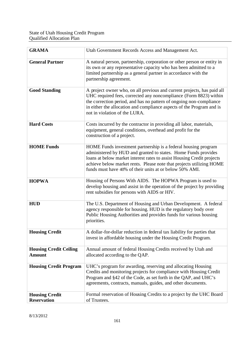| <b>GRAMA</b>                                   | Utah Government Records Access and Management Act.                                                                                                                                                                                                                                                                                            |
|------------------------------------------------|-----------------------------------------------------------------------------------------------------------------------------------------------------------------------------------------------------------------------------------------------------------------------------------------------------------------------------------------------|
| <b>General Partner</b>                         | A natural person, partnership, corporation or other person or entity in<br>its own or any representative capacity who has been admitted to a<br>limited partnership as a general partner in accordance with the<br>partnership agreement.                                                                                                     |
| <b>Good Standing</b>                           | A project owner who, on all previous and current projects, has paid all<br>UHC required fees, corrected any noncompliance (Form 8823) within<br>the correction period, and has no pattern of ongoing non-compliance<br>in either the allocation and compliance aspects of the Program and is<br>not in violation of the LURA.                 |
| <b>Hard Costs</b>                              | Costs incurred by the contractor in providing all labor, materials,<br>equipment, general conditions, overhead and profit for the<br>construction of a project.                                                                                                                                                                               |
| <b>HOME Funds</b>                              | HOME Funds investment partnership is a federal housing program<br>administered by HUD and granted to states. Home Funds provides<br>loans at below market interest rates to assist Housing Credit projects<br>achieve below market rents. Please note that projects utilizing HOME<br>funds must have 40% of their units at or below 50% AMI. |
| <b>HOPWA</b>                                   | Housing of Persons With AIDS. The HOPWA Program is used to<br>develop housing and assist in the operation of the project by providing<br>rent subsidies for persons with AIDS or HIV.                                                                                                                                                         |
| <b>HUD</b>                                     | The U.S. Department of Housing and Urban Development. A federal<br>agency responsible for housing. HUD is the regulatory body over<br>Public Housing Authorities and provides funds for various housing<br>priorities.                                                                                                                        |
| <b>Housing Credit</b>                          | A dollar-for-dollar reduction in federal tax liability for parties that<br>invest in affordable housing under the Housing Credit Program.                                                                                                                                                                                                     |
| <b>Housing Credit Ceiling</b><br><b>Amount</b> | Annual amount of federal Housing Credits received by Utah and<br>allocated according to the QAP.                                                                                                                                                                                                                                              |
| <b>Housing Credit Program</b>                  | UHC's program for awarding, reserving and allocating Housing<br>Credits and monitoring projects for compliance with Housing Credit<br>Program and §42 of the Code, as set forth in the QAP, and UHC's<br>agreements, contracts, manuals, guides, and other documents.                                                                         |
| <b>Housing Credit</b><br><b>Reservation</b>    | Formal reservation of Housing Credits to a project by the UHC Board<br>of Trustees.                                                                                                                                                                                                                                                           |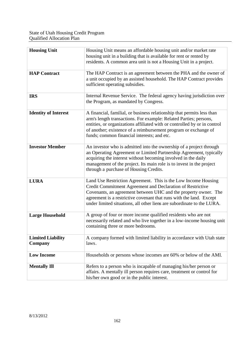| <b>Housing Unit</b>                 | Housing Unit means an affordable housing unit and/or market rate<br>housing unit in a building that is available for rent or rented by<br>residents. A common area unit is not a Housing Unit in a project.                                                                                                                                      |
|-------------------------------------|--------------------------------------------------------------------------------------------------------------------------------------------------------------------------------------------------------------------------------------------------------------------------------------------------------------------------------------------------|
| <b>HAP Contract</b>                 | The HAP Contract is an agreement between the PHA and the owner of<br>a unit occupied by an assisted household. The HAP Contract provides<br>sufficient operating subsidies.                                                                                                                                                                      |
| <b>IRS</b>                          | Internal Revenue Service. The federal agency having jurisdiction over<br>the Program, as mandated by Congress.                                                                                                                                                                                                                                   |
| <b>Identity of Interest</b>         | A financial, familial, or business relationship that permits less than<br>arm's length transactions. For example: Related Parties; persons,<br>entities, or organizations affiliated with or controlled by or in control<br>of another; existence of a reimbursement program or exchange of<br>funds; common financial interests; and etc.       |
| <b>Investor Member</b>              | An investor who is admitted into the ownership of a project through<br>an Operating Agreement or Limited Partnership Agreement, typically<br>acquiring the interest without becoming involved in the daily<br>management of the project. Its main role is to invest in the project<br>through a purchase of Housing Credits.                     |
| <b>LURA</b>                         | Land Use Restriction Agreement. This is the Low Income Housing<br>Credit Commitment Agreement and Declaration of Restrictive<br>Covenants, an agreement between UHC and the property owner. The<br>agreement is a restrictive covenant that runs with the land. Except<br>under limited situations, all other liens are subordinate to the LURA. |
| <b>Large Household</b>              | A group of four or more income qualified residents who are not<br>necessarily related and who live together in a low-income housing unit<br>containing three or more bedrooms.                                                                                                                                                                   |
| <b>Limited Liability</b><br>Company | A company formed with limited liability in accordance with Utah state<br>laws.                                                                                                                                                                                                                                                                   |
| <b>Low Income</b>                   | Households or persons whose incomes are 60% or below of the AMI.                                                                                                                                                                                                                                                                                 |
| <b>Mentally Ill</b>                 | Refers to a person who is incapable of managing his/her person or<br>affairs. A mentally ill person requires care, treatment or control for<br>his/her own good or in the public interest.                                                                                                                                                       |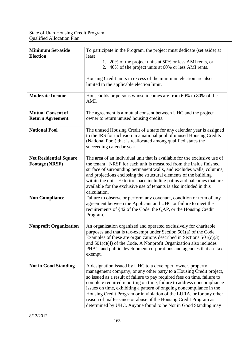| <b>Minimum Set-aside</b><br><b>Election</b>            | To participate in the Program, the project must dedicate (set aside) at<br>least<br>1. 20% of the project units at 50% or less AMI rents, or<br>2. 40% of the project units at 60% or less AMI rents.<br>Housing Credit units in excess of the minimum election are also<br>limited to the applicable election limit.                                                                                                                                                                                                                                                         |
|--------------------------------------------------------|-------------------------------------------------------------------------------------------------------------------------------------------------------------------------------------------------------------------------------------------------------------------------------------------------------------------------------------------------------------------------------------------------------------------------------------------------------------------------------------------------------------------------------------------------------------------------------|
| <b>Moderate Income</b>                                 | Households or persons whose incomes are from 60% to 80% of the<br>AMI.                                                                                                                                                                                                                                                                                                                                                                                                                                                                                                        |
| <b>Mutual Consent of</b><br><b>Return Agreement</b>    | The agreement is a mutual consent between UHC and the project<br>owner to return unused housing credits.                                                                                                                                                                                                                                                                                                                                                                                                                                                                      |
| <b>National Pool</b>                                   | The unused Housing Credit of a state for any calendar year is assigned<br>to the IRS for inclusion in a national pool of unused Housing Credits<br>(National Pool) that is reallocated among qualified states the<br>succeeding calendar year.                                                                                                                                                                                                                                                                                                                                |
| <b>Net Residential Square</b><br><b>Footage (NRSF)</b> | The area of an individual unit that is available for the exclusive use of<br>the tenant. NRSF for each unit is measured from the inside finished<br>surface of surrounding permanent walls, and excludes walls, columns,<br>and projections enclosing the structural elements of the building<br>within the unit. Exterior space including patios and balconies that are<br>available for the exclusive use of tenants is also included in this<br>calculation.                                                                                                               |
| <b>Non-Compliance</b>                                  | Failure to observe or perform any covenant, condition or term of any<br>agreement between the Applicant and UHC or failure to meet the<br>requirements of §42 of the Code, the QAP, or the Housing Credit<br>Program.                                                                                                                                                                                                                                                                                                                                                         |
| <b>Nonprofit Organization</b>                          | An organization organized and operated exclusively for charitable<br>purposes and that is tax-exempt under Section 501(a) of the Code.<br>Examples of these are organizations described in Sections $501(c)(3)$<br>and $501(c)(4)$ of the Code. A Nonprofit Organization also includes<br>PHA's and public development corporations and agencies that are tax<br>exempt.                                                                                                                                                                                                      |
| <b>Not in Good Standing</b>                            | A designation issued by UHC to a developer, owner, property<br>management company, or any other party to a Housing Credit project,<br>so issued as a result of failure to pay required fees on time, failure to<br>complete required reporting on time, failure to address noncompliance<br>issues on time, exhibiting a pattern of ongoing noncompliance in the<br>Housing Credit Program or in violation of the LURA, or for any other<br>reason of malfeasance or abuse of the Housing Credit Program as<br>determined by UHC. Anyone found to be Not in Good Standing may |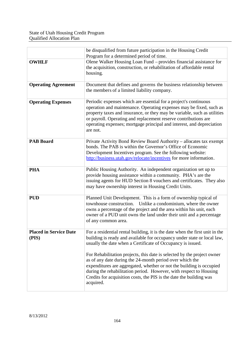|                                        | be disqualified from future participation in the Housing Credit<br>Program for a determined period of time.                                                                                                                                                                                                                                                                 |
|----------------------------------------|-----------------------------------------------------------------------------------------------------------------------------------------------------------------------------------------------------------------------------------------------------------------------------------------------------------------------------------------------------------------------------|
| <b>OWHLF</b>                           | Olene Walker Housing Loan Fund - provides financial assistance for<br>the acquisition, construction, or rehabilitation of affordable rental<br>housing.                                                                                                                                                                                                                     |
| <b>Operating Agreement</b>             | Document that defines and governs the business relationship between<br>the members of a limited liability company.                                                                                                                                                                                                                                                          |
| <b>Operating Expenses</b>              | Periodic expenses which are essential for a project's continuous<br>operation and maintenance. Operating expenses may be fixed, such as<br>property taxes and insurance, or they may be variable, such as utilities<br>or payroll. Operating and replacement reserve contributions are<br>operating expenses; mortgage principal and interest, and depreciation<br>are not. |
| <b>PAB Board</b>                       | Private Activity Bond Review Board Authority – allocates tax exempt<br>bonds. The PAB is within the Governor's Office of Economic<br>Development Incentives program. See the following website:<br>http://business.utah.gov/relocate/incentives for more information.                                                                                                       |
| <b>PHA</b>                             | Public Housing Authority. An independent organization set up to<br>provide housing assistance within a community. PHA's are the<br>issuing agents for HUD Section 8 vouchers and certificates. They also<br>may have ownership interest in Housing Credit Units.                                                                                                            |
| <b>PUD</b>                             | Planned Unit Development. This is a form of ownership typical of<br>townhouse construction. Unlike a condominium, where the owner<br>owns a percentage of the project and the area within his unit, each<br>owner of a PUD unit owns the land under their unit and a percentage<br>of any common area.                                                                      |
| <b>Placed in Service Date</b><br>(PIS) | For a residential rental building, it is the date when the first unit in the<br>building is ready and available for occupancy under state or local law,<br>usually the date when a Certificate of Occupancy is issued.                                                                                                                                                      |
|                                        | For Rehabilitation projects, this date is selected by the project owner<br>as of any date during the 24-month period over which the<br>expenditures are aggregated, whether or not the building is occupied<br>during the rehabilitation period. However, with respect to Housing<br>Credits for acquisition costs, the PIS is the date the building was<br>acquired.       |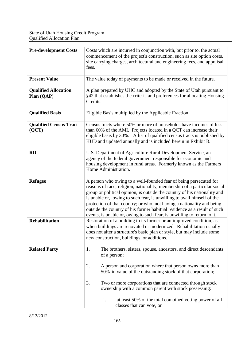| <b>Pre-development Costs</b>              | Costs which are incurred in conjunction with, but prior to, the actual<br>commencement of the project's construction, such as site option costs,<br>site carrying charges, architectural and engineering fees, and appraisal<br>fees.                                                                                                                                                                                                                                                                                                  |
|-------------------------------------------|----------------------------------------------------------------------------------------------------------------------------------------------------------------------------------------------------------------------------------------------------------------------------------------------------------------------------------------------------------------------------------------------------------------------------------------------------------------------------------------------------------------------------------------|
| <b>Present Value</b>                      | The value today of payments to be made or received in the future.                                                                                                                                                                                                                                                                                                                                                                                                                                                                      |
| <b>Qualified Allocation</b><br>Plan (QAP) | A plan prepared by UHC and adopted by the State of Utah pursuant to<br>§42 that establishes the criteria and preferences for allocating Housing<br>Credits.                                                                                                                                                                                                                                                                                                                                                                            |
| <b>Qualified Basis</b>                    | Eligible Basis multiplied by the Applicable Fraction.                                                                                                                                                                                                                                                                                                                                                                                                                                                                                  |
| <b>Qualified Census Tract</b><br>(QCT)    | Census tracts where 50% or more of households have incomes of less<br>than 60% of the AMI. Projects located in a QCT can increase their<br>eligible basis by 30%. A list of qualified census tracts is published by<br>HUD and updated annually and is included herein in Exhibit B.                                                                                                                                                                                                                                                   |
| <b>RD</b>                                 | U.S. Department of Agriculture Rural Development Service, an<br>agency of the federal government responsible for economic and<br>housing development in rural areas. Formerly known as the Farmers<br>Home Administration.                                                                                                                                                                                                                                                                                                             |
| <b>Refugee</b>                            | A person who owing to a well-founded fear of being persecuted for<br>reasons of race, religion, nationality, membership of a particular social<br>group or political opinion, is outside the country of his nationality and<br>is unable or, owing to such fear, is unwilling to avail himself of the<br>protection of that country; or who, not having a nationality and being<br>outside the country of his former habitual residence as a result of such<br>events, is unable or, owing to such fear, is unwilling to return to it. |
| <b>Rehabilitation</b>                     | Restoration of a building to its former or an improved condition, as<br>when buildings are renovated or modernized. Rehabilitation usually<br>does not alter a structure's basic plan or style, but may include some<br>new construction, buildings, or additions.                                                                                                                                                                                                                                                                     |
| <b>Related Party</b>                      | The brothers, sisters, spouse, ancestors, and direct descendants<br>1.<br>of a person;                                                                                                                                                                                                                                                                                                                                                                                                                                                 |
|                                           | A person and corporation where that person owns more than<br>2.<br>50% in value of the outstanding stock of that corporation;                                                                                                                                                                                                                                                                                                                                                                                                          |
|                                           | Two or more corporations that are connected through stock<br>3.<br>ownership with a common parent with stock possessing:                                                                                                                                                                                                                                                                                                                                                                                                               |
|                                           | i.<br>at least 50% of the total combined voting power of all<br>classes that can vote, or                                                                                                                                                                                                                                                                                                                                                                                                                                              |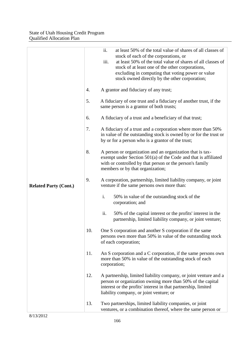|                              |     | ii.<br>at least 50% of the total value of shares of all classes of<br>stock of each of the corporations, or<br>iii.<br>at least 50% of the total value of shares of all classes of<br>stock of at least one of the other corporations,<br>excluding in computing that voting power or value<br>stock owned directly by the other corporation; |
|------------------------------|-----|-----------------------------------------------------------------------------------------------------------------------------------------------------------------------------------------------------------------------------------------------------------------------------------------------------------------------------------------------|
|                              | 4.  | A grantor and fiduciary of any trust;                                                                                                                                                                                                                                                                                                         |
|                              | 5.  | A fiduciary of one trust and a fiduciary of another trust, if the<br>same person is a grantor of both trusts;                                                                                                                                                                                                                                 |
|                              | 6.  | A fiduciary of a trust and a beneficiary of that trust;                                                                                                                                                                                                                                                                                       |
|                              | 7.  | A fiduciary of a trust and a corporation where more than 50%<br>in value of the outstanding stock is owned by or for the trust or<br>by or for a person who is a grantor of the trust;                                                                                                                                                        |
|                              | 8.  | A person or organization and an organization that is tax-<br>exempt under Section $501(a)$ of the Code and that is affiliated<br>with or controlled by that person or the person's family<br>members or by that organization;                                                                                                                 |
| <b>Related Party (Cont.)</b> | 9.  | A corporation, partnership, limited liability company, or joint<br>venture if the same persons own more than:                                                                                                                                                                                                                                 |
|                              |     | i.<br>50% in value of the outstanding stock of the<br>corporation; and                                                                                                                                                                                                                                                                        |
|                              |     | ii.<br>50% of the capital interest or the profits' interest in the<br>partnership, limited liability company, or joint venture;                                                                                                                                                                                                               |
|                              | 10. | One S corporation and another S corporation if the same<br>persons own more than 50% in value of the outstanding stock<br>of each corporation;                                                                                                                                                                                                |
|                              | 11. | An S corporation and a C corporation, if the same persons own<br>more than 50% in value of the outstanding stock of each<br>corporation;                                                                                                                                                                                                      |
|                              | 12. | A partnership, limited liability company, or joint venture and a<br>person or organization owning more than 50% of the capital<br>interest or the profits' interest in that partnership, limited<br>liability company, or joint venture; or                                                                                                   |
|                              | 13. | Two partnerships, limited liability companies, or joint<br>ventures, or a combination thereof, where the same person or                                                                                                                                                                                                                       |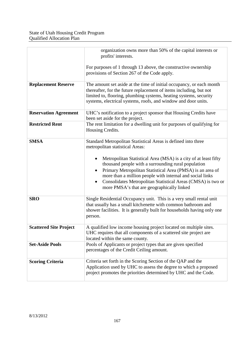|                               | organization owns more than 50% of the capital interests or<br>profits' interests.                                                                                                                                                                                                                                                                                                                                                                                                            |
|-------------------------------|-----------------------------------------------------------------------------------------------------------------------------------------------------------------------------------------------------------------------------------------------------------------------------------------------------------------------------------------------------------------------------------------------------------------------------------------------------------------------------------------------|
|                               | For purposes of 1 through 13 above, the constructive ownership<br>provisions of Section 267 of the Code apply.                                                                                                                                                                                                                                                                                                                                                                                |
| <b>Replacement Reserve</b>    | The amount set aside at the time of initial occupancy, or each month<br>thereafter, for the future replacement of items including, but not<br>limited to, flooring, plumbing systems, heating systems, security<br>systems, electrical systems, roofs, and window and door units.                                                                                                                                                                                                             |
| <b>Reservation Agreement</b>  | UHC's notification to a project sponsor that Housing Credits have<br>been set aside for the project.                                                                                                                                                                                                                                                                                                                                                                                          |
| <b>Restricted Rent</b>        | The rent limitation for a dwelling unit for purposes of qualifying for<br>Housing Credits.                                                                                                                                                                                                                                                                                                                                                                                                    |
| <b>SMSA</b>                   | Standard Metropolitan Statistical Areas is defined into three<br>metropolitan statistical Areas:<br>Metropolitan Statistical Area (MSA) is a city of at least fifty<br>$\bullet$<br>thousand people with a surrounding rural population<br>Primary Metropolitan Statistical Area (PMSA) is an area of<br>more than a million people with internal and social links<br>Consolidates Metropolitan Statistical Areas (CMSA) is two or<br>$\bullet$<br>more PMSA's that are geographically linked |
| <b>SRO</b>                    | Single Residential Occupancy unit. This is a very small rental unit<br>that usually has a small kitchenette with common bathroom and<br>shower facilities. It is generally built for households having only one<br>person.                                                                                                                                                                                                                                                                    |
| <b>Scattered Site Project</b> | A qualified low income housing project located on multiple sites.<br>UHC requires that all components of a scattered site project are<br>located within the same county.                                                                                                                                                                                                                                                                                                                      |
| <b>Set-Aside Pools</b>        | Pools of Applicants or project types that are given specified<br>percentages of the Credit Ceiling amount.                                                                                                                                                                                                                                                                                                                                                                                    |
| <b>Scoring Criteria</b>       | Criteria set forth in the Scoring Section of the QAP and the<br>Application used by UHC to assess the degree to which a proposed<br>project promotes the priorities determined by UHC and the Code.                                                                                                                                                                                                                                                                                           |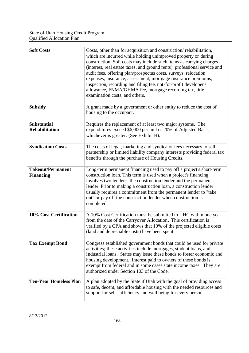| <b>Soft Costs</b>                            | Costs, other than for acquisition and construction/rehabilitation,<br>which are incurred while holding unimproved property or during<br>construction. Soft costs may include such items as carrying charges<br>(interest, real estate taxes, and ground rents), professional service and<br>audit fees, offering plan/prospectus costs, surveys, relocation<br>expenses, insurance, assessment, mortgage insurance premiums,<br>inspection, recording and filing fee, not-for-profit developer's<br>allowance, FNMA/GHMA fee, mortgage recording tax, title<br>examination costs, and others. |
|----------------------------------------------|-----------------------------------------------------------------------------------------------------------------------------------------------------------------------------------------------------------------------------------------------------------------------------------------------------------------------------------------------------------------------------------------------------------------------------------------------------------------------------------------------------------------------------------------------------------------------------------------------|
| <b>Subsidy</b>                               | A grant made by a government or other entity to reduce the cost of<br>housing to the occupant.                                                                                                                                                                                                                                                                                                                                                                                                                                                                                                |
| <b>Substantial</b><br><b>Rehabilitation</b>  | Requires the replacement of at least two major systems. The<br>expenditures exceed \$6,000 per unit or 20% of Adjusted Basis,<br>whichever is greater. (See Exhibit H).                                                                                                                                                                                                                                                                                                                                                                                                                       |
| <b>Syndication Costs</b>                     | The costs of legal, marketing and syndicator fees necessary to sell<br>partnership or limited liability company interests providing federal tax<br>benefits through the purchase of Housing Credits.                                                                                                                                                                                                                                                                                                                                                                                          |
| <b>Takeout/Permanent</b><br><b>Financing</b> | Long-term permanent financing used to pay off a project's short-term<br>construction loan. This term is used when a project's financing<br>involves two lenders- the construction lender and the permanent<br>lender. Prior to making a construction loan, a construction lender<br>usually requires a commitment from the permanent lender to "take<br>out" or pay off the construction lender when construction is<br>completed.                                                                                                                                                            |
| 10% Cost Certification                       | A 10% Cost Certification must be submitted to UHC within one year<br>from the date of the Carryover Allocation. This certification is<br>verified by a CPA and shows that 10% of the projected eligible costs<br>(land and depreciable costs) have been spent.                                                                                                                                                                                                                                                                                                                                |
| <b>Tax Exempt Bond</b>                       | Congress established government bonds that could be used for private<br>activities; these activities include mortgages, student loans, and<br>industrial loans. States may issue these bonds to foster economic and<br>housing development. Interest paid to owners of these bonds is<br>exempt from federal and in some cases state income taxes. They are<br>authorized under Section 103 of the Code.                                                                                                                                                                                      |
| <b>Ten-Year Homeless Plan</b>                | A plan adopted by the State if Utah with the goal of providing access<br>to safe, decent, and affordable housing with the needed resources and<br>support for self-sufficiency and well being for every person.                                                                                                                                                                                                                                                                                                                                                                               |